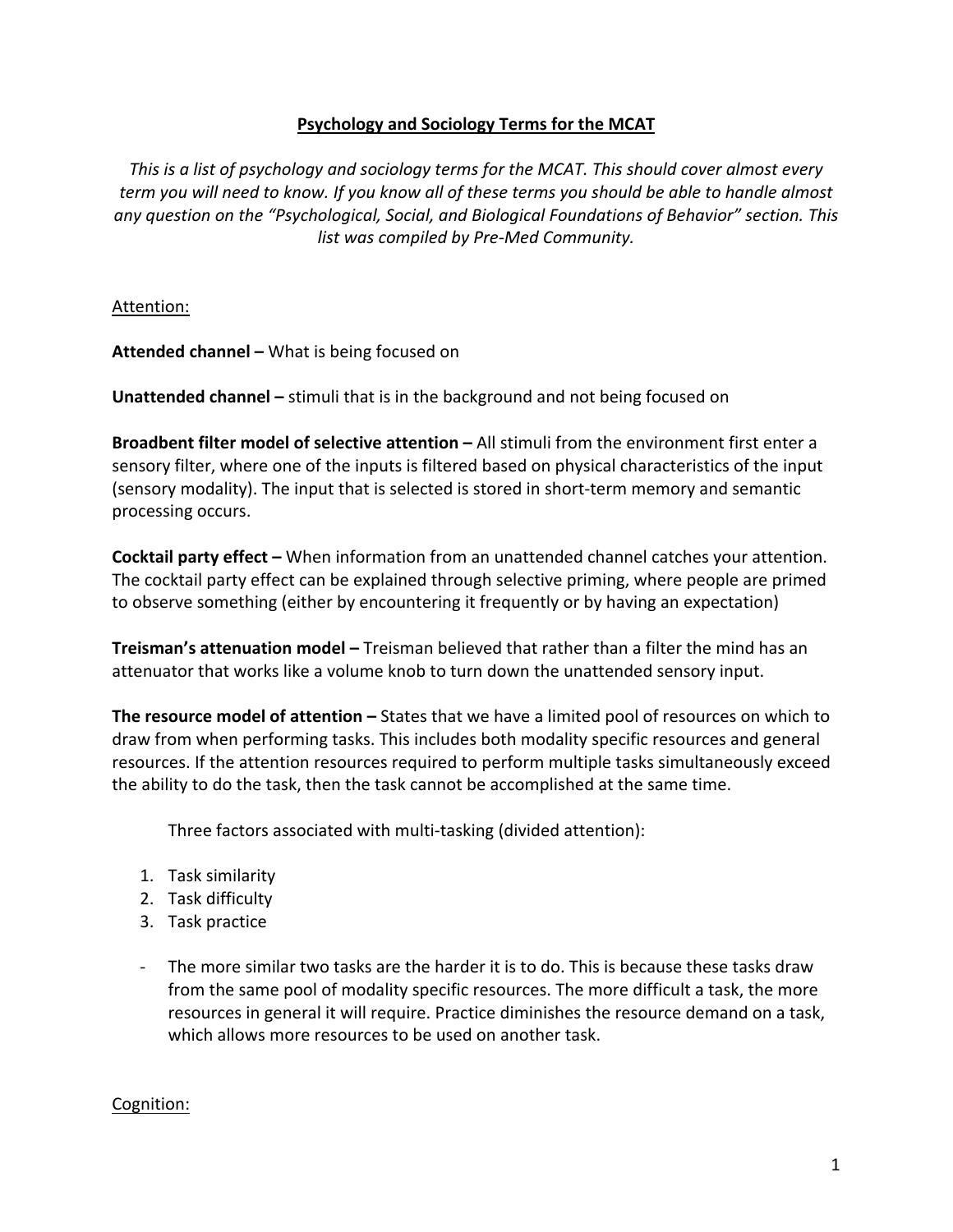## **Psychology and Sociology Terms for the MCAT**

This is a list of psychology and sociology terms for the MCAT. This should cover almost every *term* you will need to know. If you know all of these terms you should be able to handle almost *any question on the "Psychological, Social, and Biological Foundations of Behavior" section. This list* was compiled by Pre-Med Community.

Attention:

**Attended channel –** What is being focused on

**Unattended channel** – stimuli that is in the background and not being focused on

**Broadbent filter model of selective attention – All stimuli from the environment first enter a** sensory filter, where one of the inputs is filtered based on physical characteristics of the input (sensory modality). The input that is selected is stored in short-term memory and semantic processing occurs.

**Cocktail party effect** – When information from an unattended channel catches your attention. The cocktail party effect can be explained through selective priming, where people are primed to observe something (either by encountering it frequently or by having an expectation)

**Treisman's attenuation model –** Treisman believed that rather than a filter the mind has an attenuator that works like a volume knob to turn down the unattended sensory input.

**The resource model of attention** – States that we have a limited pool of resources on which to draw from when performing tasks. This includes both modality specific resources and general resources. If the attention resources required to perform multiple tasks simultaneously exceed the ability to do the task, then the task cannot be accomplished at the same time.

Three factors associated with multi-tasking (divided attention):

- 1. Task similarity
- 2. Task difficulty
- 3. Task practice
- The more similar two tasks are the harder it is to do. This is because these tasks draw from the same pool of modality specific resources. The more difficult a task, the more resources in general it will require. Practice diminishes the resource demand on a task, which allows more resources to be used on another task.

#### Cognition: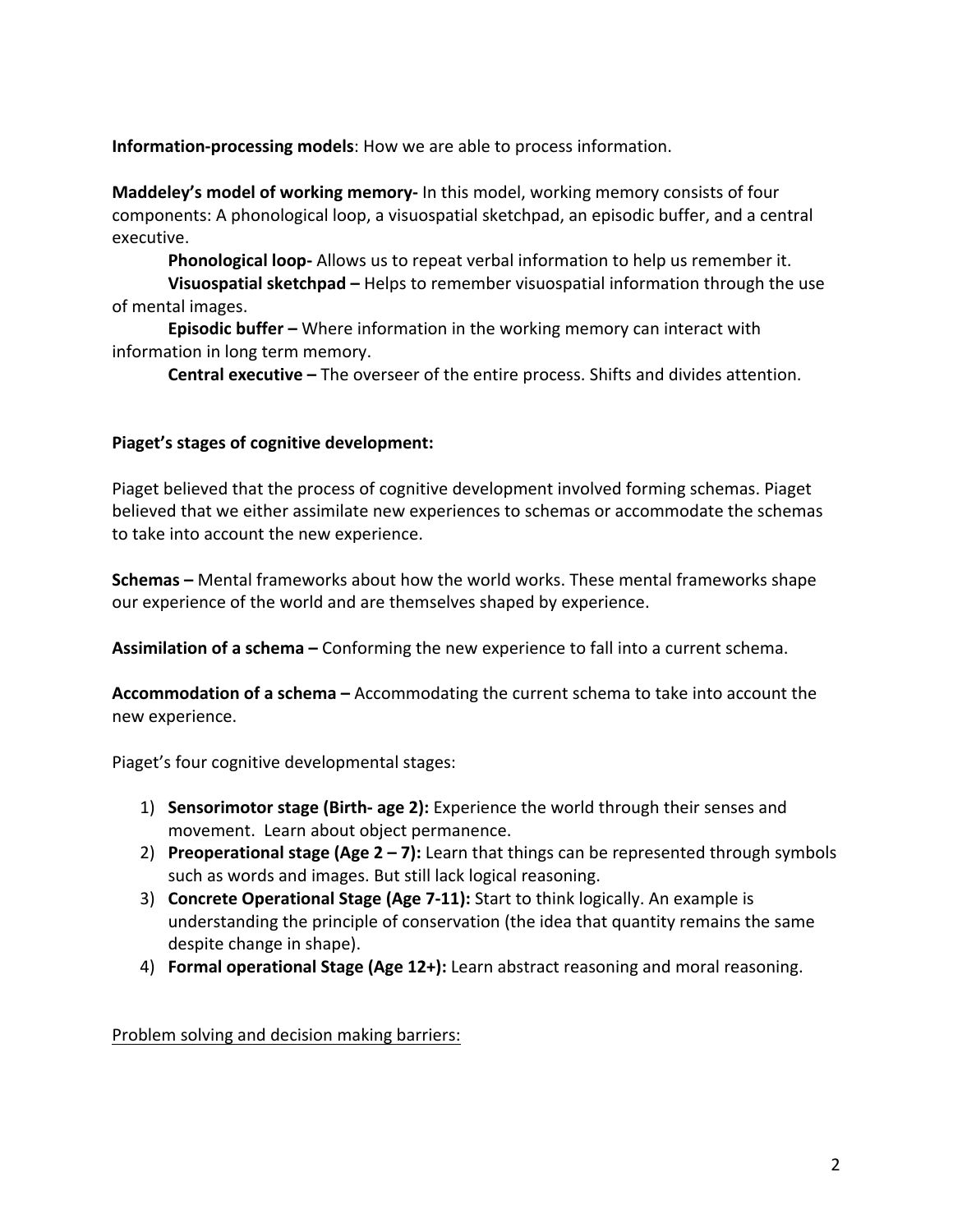**Information-processing models**: How we are able to process information.

**Maddeley's model of working memory-** In this model, working memory consists of four components: A phonological loop, a visuospatial sketchpad, an episodic buffer, and a central executive. 

**Phonological loop-** Allows us to repeat verbal information to help us remember it.

**Visuospatial sketchpad** – Helps to remember visuospatial information through the use of mental images.

**Episodic buffer** – Where information in the working memory can interact with information in long term memory.

**Central executive** – The overseer of the entire process. Shifts and divides attention.

### Piaget's stages of cognitive development:

Piaget believed that the process of cognitive development involved forming schemas. Piaget believed that we either assimilate new experiences to schemas or accommodate the schemas to take into account the new experience.

**Schemas** – Mental frameworks about how the world works. These mental frameworks shape our experience of the world and are themselves shaped by experience.

**Assimilation of a schema** – Conforming the new experience to fall into a current schema.

**Accommodation of a schema** – Accommodating the current schema to take into account the new experience. 

Piaget's four cognitive developmental stages:

- 1) **Sensorimotor stage (Birth- age 2):** Experience the world through their senses and movement. Learn about object permanence.
- 2) **Preoperational stage (Age 2 7):** Learn that things can be represented through symbols such as words and images. But still lack logical reasoning.
- 3) **Concrete Operational Stage (Age 7-11):** Start to think logically. An example is understanding the principle of conservation (the idea that quantity remains the same despite change in shape).
- 4) **Formal operational Stage (Age 12+):** Learn abstract reasoning and moral reasoning.

Problem solving and decision making barriers: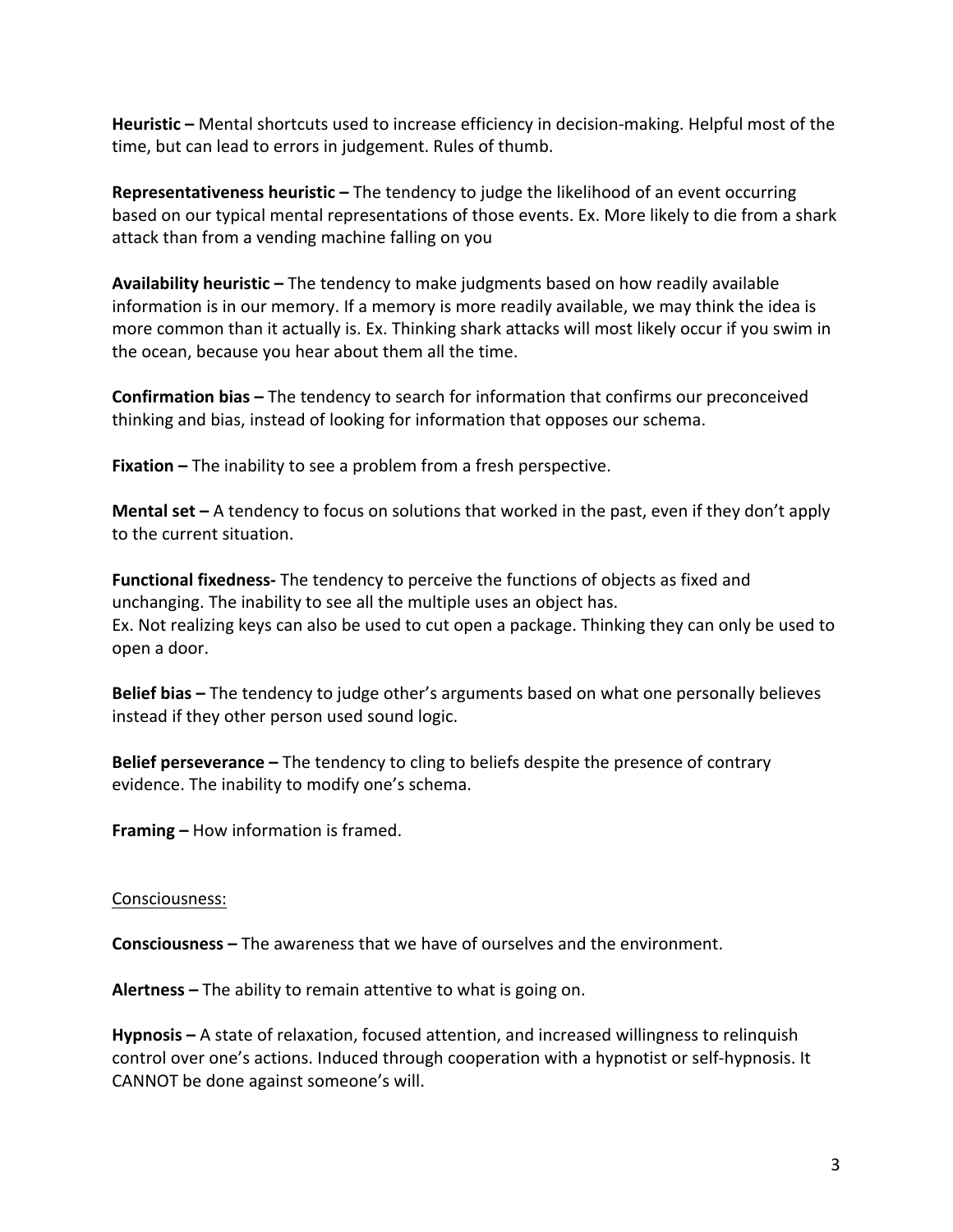**Heuristic** – Mental shortcuts used to increase efficiency in decision-making. Helpful most of the time, but can lead to errors in judgement. Rules of thumb.

**Representativeness heuristic** – The tendency to judge the likelihood of an event occurring based on our typical mental representations of those events. Ex. More likely to die from a shark attack than from a vending machine falling on you

**Availability heuristic** – The tendency to make judgments based on how readily available information is in our memory. If a memory is more readily available, we may think the idea is more common than it actually is. Ex. Thinking shark attacks will most likely occur if you swim in the ocean, because you hear about them all the time.

**Confirmation bias** – The tendency to search for information that confirms our preconceived thinking and bias, instead of looking for information that opposes our schema.

**Fixation** – The inability to see a problem from a fresh perspective.

**Mental set** – A tendency to focus on solutions that worked in the past, even if they don't apply to the current situation.

**Functional fixedness-** The tendency to perceive the functions of objects as fixed and unchanging. The inability to see all the multiple uses an object has. Ex. Not realizing keys can also be used to cut open a package. Thinking they can only be used to open a door. 

**Belief bias** – The tendency to judge other's arguments based on what one personally believes instead if they other person used sound logic.

**Belief perseverance** – The tendency to cling to beliefs despite the presence of contrary evidence. The inability to modify one's schema.

**Framing –** How information is framed.

#### Consciousness:

**Consciousness** – The awareness that we have of ourselves and the environment.

**Alertness** – The ability to remain attentive to what is going on.

**Hypnosis** – A state of relaxation, focused attention, and increased willingness to relinquish control over one's actions. Induced through cooperation with a hypnotist or self-hypnosis. It CANNOT be done against someone's will.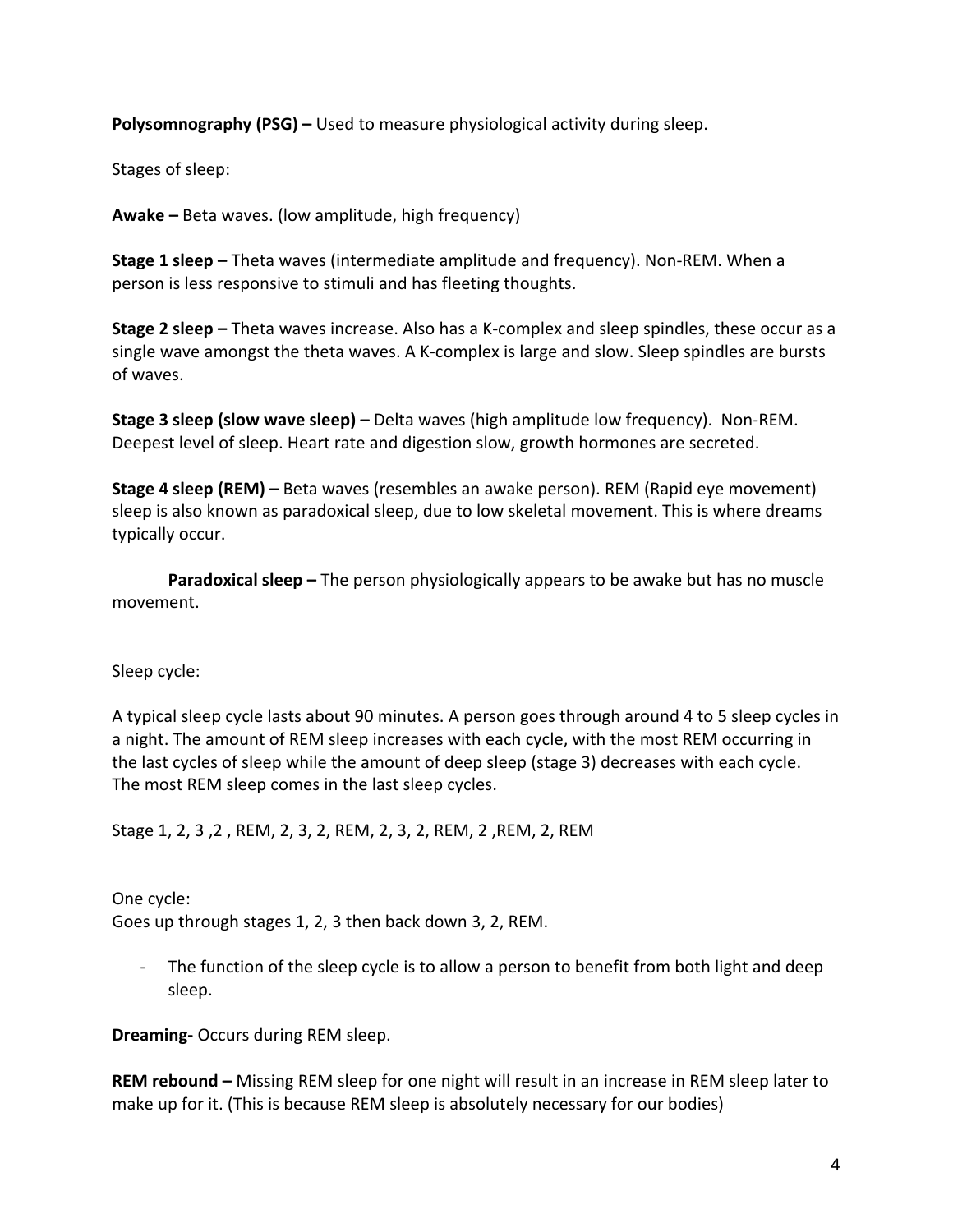**Polysomnography (PSG)** – Used to measure physiological activity during sleep.

Stages of sleep:

**Awake –** Beta waves. (low amplitude, high frequency)

**Stage 1 sleep –** Theta waves (intermediate amplitude and frequency). Non-REM. When a person is less responsive to stimuli and has fleeting thoughts.

**Stage 2 sleep –** Theta waves increase. Also has a K-complex and sleep spindles, these occur as a single wave amongst the theta waves. A K-complex is large and slow. Sleep spindles are bursts of waves.

**Stage 3 sleep (slow wave sleep)** – Delta waves (high amplitude low frequency). Non-REM. Deepest level of sleep. Heart rate and digestion slow, growth hormones are secreted.

**Stage 4 sleep (REM)** – Beta waves (resembles an awake person). REM (Rapid eye movement) sleep is also known as paradoxical sleep, due to low skeletal movement. This is where dreams typically occur.

**Paradoxical sleep** – The person physiologically appears to be awake but has no muscle movement. 

Sleep cycle:

A typical sleep cycle lasts about 90 minutes. A person goes through around 4 to 5 sleep cycles in a night. The amount of REM sleep increases with each cycle, with the most REM occurring in the last cycles of sleep while the amount of deep sleep (stage 3) decreases with each cycle. The most REM sleep comes in the last sleep cycles.

Stage 1, 2, 3, 2, REM, 2, 3, 2, REM, 2, 3, 2, REM, 2, REM, 2, REM

One cycle: Goes up through stages 1, 2, 3 then back down 3, 2, REM.

The function of the sleep cycle is to allow a person to benefit from both light and deep sleep. 

**Dreaming-** Occurs during REM sleep.

**REM rebound** – Missing REM sleep for one night will result in an increase in REM sleep later to make up for it. (This is because REM sleep is absolutely necessary for our bodies)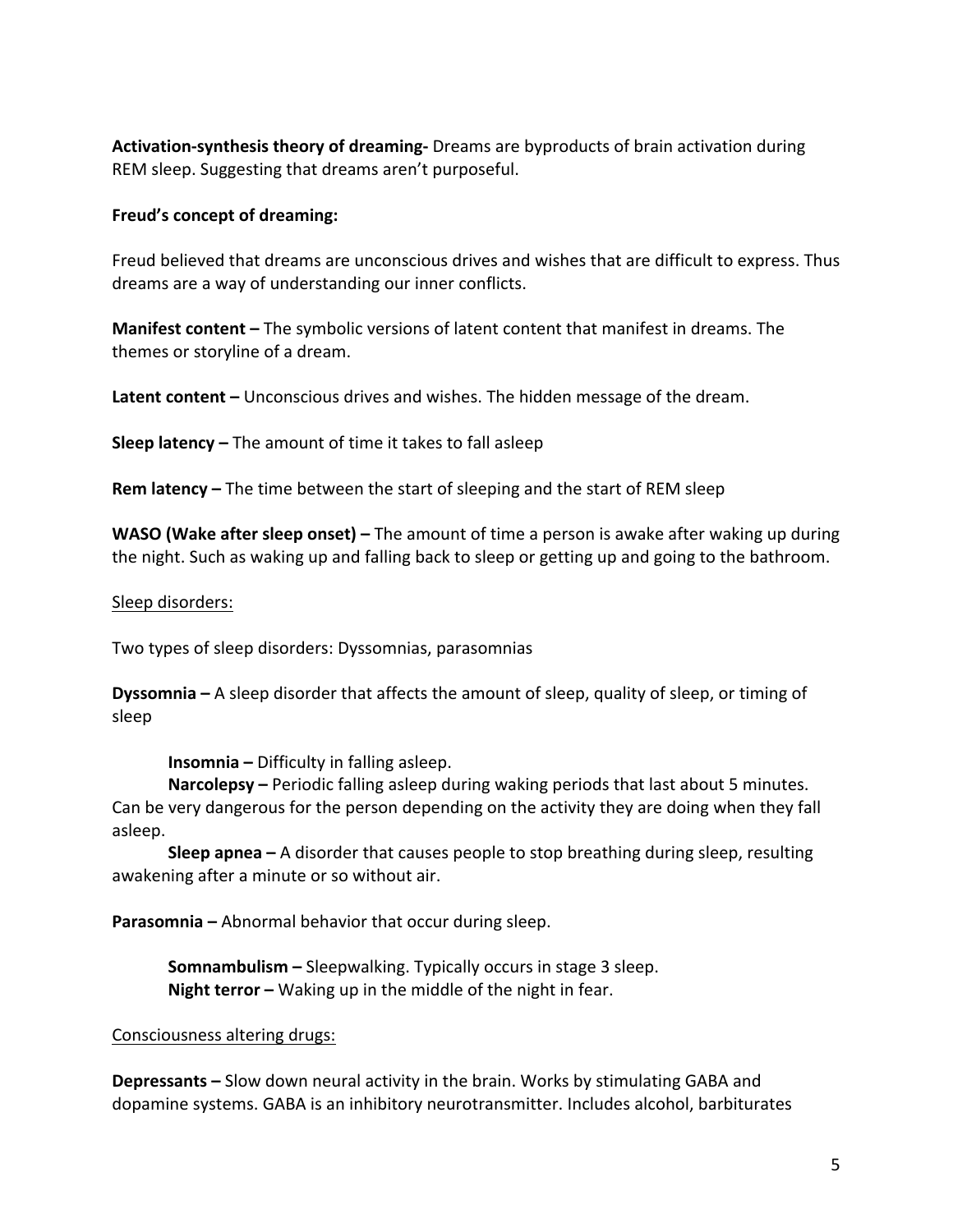**Activation-synthesis theory of dreaming-** Dreams are byproducts of brain activation during REM sleep. Suggesting that dreams aren't purposeful.

### **Freud's concept of dreaming:**

Freud believed that dreams are unconscious drives and wishes that are difficult to express. Thus dreams are a way of understanding our inner conflicts.

**Manifest content** – The symbolic versions of latent content that manifest in dreams. The themes or storyline of a dream.

**Latent content** – Unconscious drives and wishes. The hidden message of the dream.

**Sleep latency** – The amount of time it takes to fall asleep

**Rem latency** – The time between the start of sleeping and the start of REM sleep

**WASO (Wake after sleep onset)** – The amount of time a person is awake after waking up during the night. Such as waking up and falling back to sleep or getting up and going to the bathroom.

### Sleep disorders:

Two types of sleep disorders: Dyssomnias, parasomnias

**Dyssomnia** – A sleep disorder that affects the amount of sleep, quality of sleep, or timing of sleep 

**Insomnia** – Difficulty in falling asleep.

**Narcolepsy** – Periodic falling asleep during waking periods that last about 5 minutes. Can be very dangerous for the person depending on the activity they are doing when they fall asleep. 

**Sleep apnea** – A disorder that causes people to stop breathing during sleep, resulting awakening after a minute or so without air.

**Parasomnia** – Abnormal behavior that occur during sleep.

**Somnambulism** - Sleepwalking. Typically occurs in stage 3 sleep. **Night terror** – Waking up in the middle of the night in fear.

## Consciousness altering drugs:

**Depressants** – Slow down neural activity in the brain. Works by stimulating GABA and dopamine systems. GABA is an inhibitory neurotransmitter. Includes alcohol, barbiturates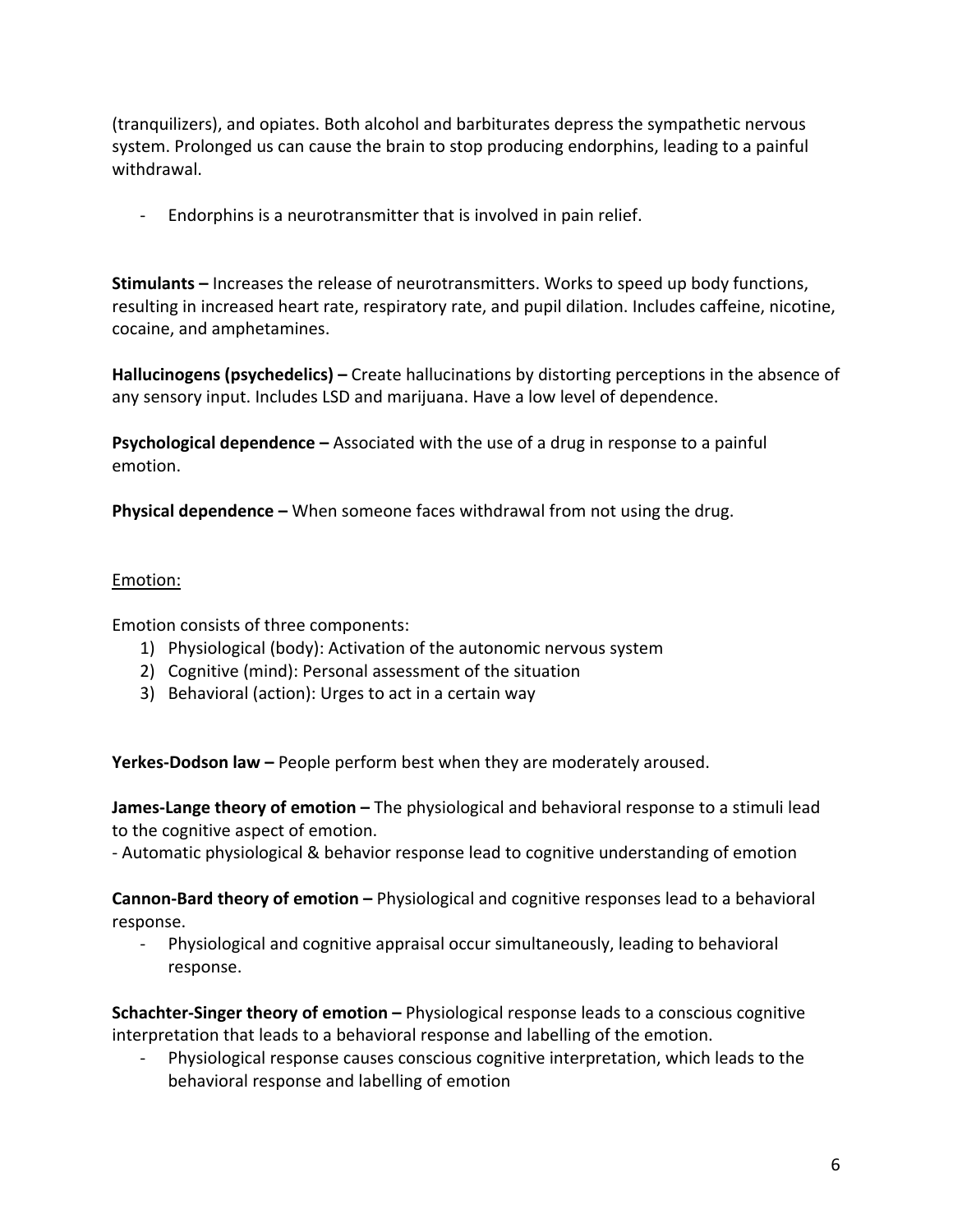(tranquilizers), and opiates. Both alcohol and barbiturates depress the sympathetic nervous system. Prolonged us can cause the brain to stop producing endorphins, leading to a painful withdrawal. 

- Endorphins is a neurotransmitter that is involved in pain relief.

**Stimulants** – Increases the release of neurotransmitters. Works to speed up body functions, resulting in increased heart rate, respiratory rate, and pupil dilation. Includes caffeine, nicotine, cocaine, and amphetamines.

**Hallucinogens (psychedelics)** – Create hallucinations by distorting perceptions in the absence of any sensory input. Includes LSD and marijuana. Have a low level of dependence.

**Psychological dependence** – Associated with the use of a drug in response to a painful emotion.

**Physical dependence** – When someone faces withdrawal from not using the drug.

## Emotion:

Emotion consists of three components:

- 1) Physiological (body): Activation of the autonomic nervous system
- 2) Cognitive (mind): Personal assessment of the situation
- 3) Behavioral (action): Urges to act in a certain way

**Yerkes-Dodson law** – People perform best when they are moderately aroused.

**James-Lange theory of emotion** – The physiological and behavioral response to a stimuli lead to the cognitive aspect of emotion.

- Automatic physiological & behavior response lead to cognitive understanding of emotion

**Cannon-Bard theory of emotion –** Physiological and cognitive responses lead to a behavioral response. 

- Physiological and cognitive appraisal occur simultaneously, leading to behavioral response. 

**Schachter-Singer theory of emotion** – Physiological response leads to a conscious cognitive interpretation that leads to a behavioral response and labelling of the emotion.

Physiological response causes conscious cognitive interpretation, which leads to the behavioral response and labelling of emotion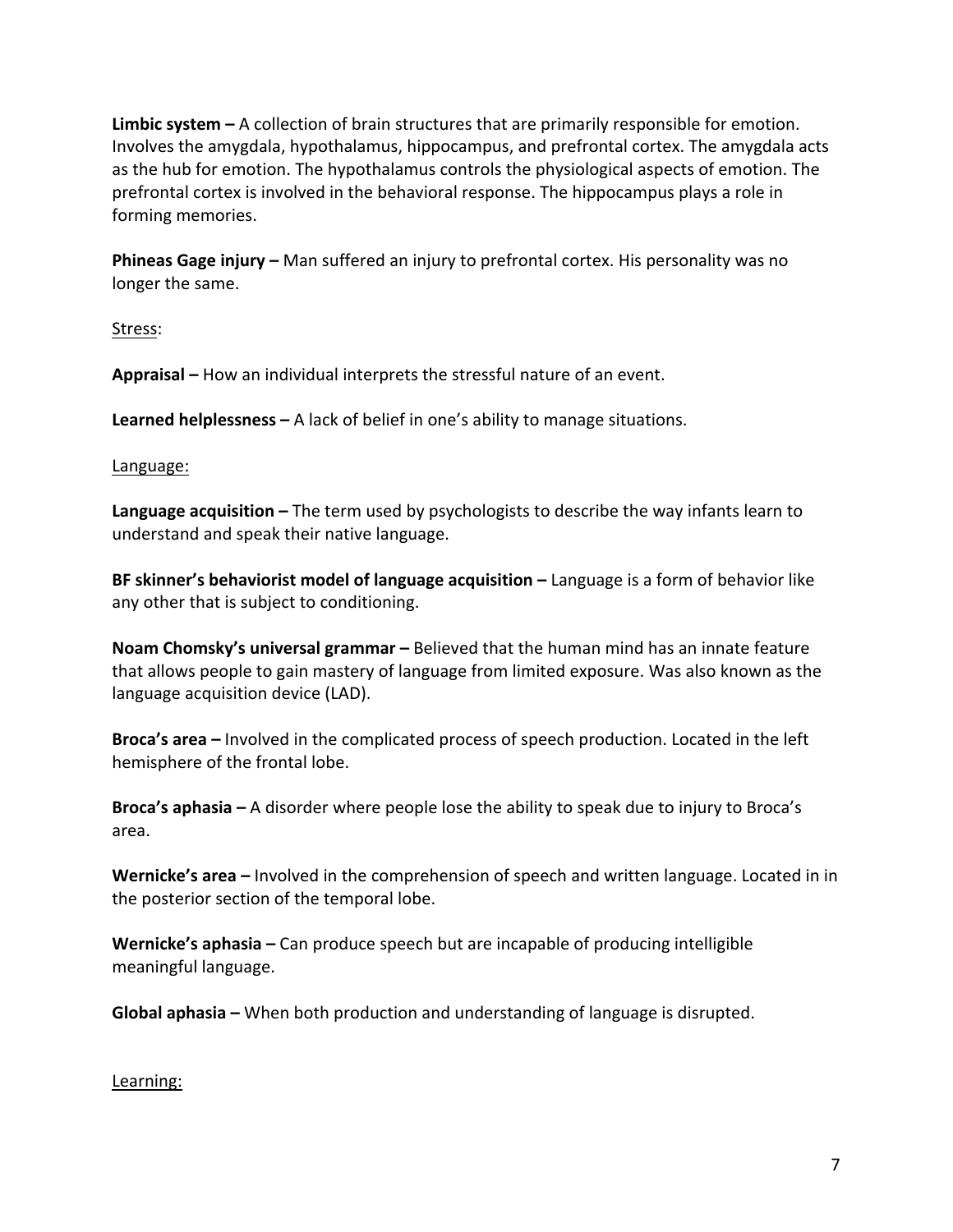**Limbic system** – A collection of brain structures that are primarily responsible for emotion. Involves the amygdala, hypothalamus, hippocampus, and prefrontal cortex. The amygdala acts as the hub for emotion. The hypothalamus controls the physiological aspects of emotion. The prefrontal cortex is involved in the behavioral response. The hippocampus plays a role in forming memories.

**Phineas Gage injury** – Man suffered an injury to prefrontal cortex. His personality was no longer the same.

Stress: 

**Appraisal** – How an individual interprets the stressful nature of an event.

**Learned helplessness** – A lack of belief in one's ability to manage situations.

Language:

**Language acquisition** – The term used by psychologists to describe the way infants learn to understand and speak their native language.

**BF skinner's behaviorist model of language acquisition** – Language is a form of behavior like any other that is subject to conditioning.

**Noam Chomsky's universal grammar** – Believed that the human mind has an innate feature that allows people to gain mastery of language from limited exposure. Was also known as the language acquisition device (LAD).

**Broca's area** – Involved in the complicated process of speech production. Located in the left hemisphere of the frontal lobe.

**Broca's aphasia** – A disorder where people lose the ability to speak due to injury to Broca's area. 

**Wernicke's area** – Involved in the comprehension of speech and written language. Located in in the posterior section of the temporal lobe.

**Wernicke's aphasia** – Can produce speech but are incapable of producing intelligible meaningful language.

**Global aphasia** – When both production and understanding of language is disrupted.

Learning: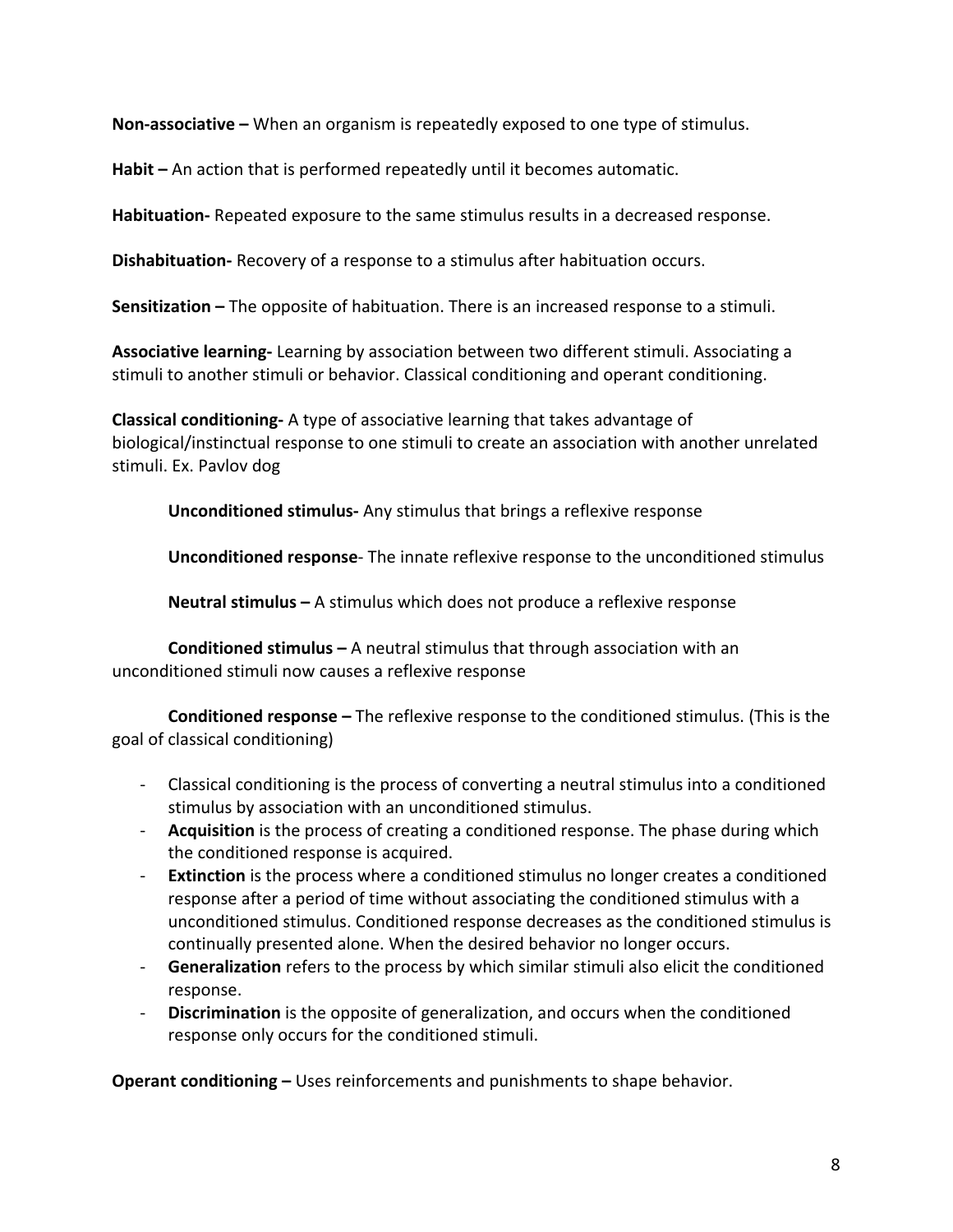**Non-associative** – When an organism is repeatedly exposed to one type of stimulus.

**Habit** – An action that is performed repeatedly until it becomes automatic.

**Habituation-** Repeated exposure to the same stimulus results in a decreased response.

**Dishabituation-** Recovery of a response to a stimulus after habituation occurs.

**Sensitization** – The opposite of habituation. There is an increased response to a stimuli.

**Associative learning-** Learning by association between two different stimuli. Associating a stimuli to another stimuli or behavior. Classical conditioning and operant conditioning.

**Classical conditioning-** A type of associative learning that takes advantage of biological/instinctual response to one stimuli to create an association with another unrelated stimuli. Ex. Pavlov dog

**Unconditioned stimulus-** Any stimulus that brings a reflexive response

**Unconditioned response**- The innate reflexive response to the unconditioned stimulus

**Neutral stimulus** – A stimulus which does not produce a reflexive response

**Conditioned stimulus** – A neutral stimulus that through association with an unconditioned stimuli now causes a reflexive response

**Conditioned response** – The reflexive response to the conditioned stimulus. (This is the goal of classical conditioning)

- Classical conditioning is the process of converting a neutral stimulus into a conditioned stimulus by association with an unconditioned stimulus.
- **Acquisition** is the process of creating a conditioned response. The phase during which the conditioned response is acquired.
- **Extinction** is the process where a conditioned stimulus no longer creates a conditioned response after a period of time without associating the conditioned stimulus with a unconditioned stimulus. Conditioned response decreases as the conditioned stimulus is continually presented alone. When the desired behavior no longer occurs.
- Generalization refers to the process by which similar stimuli also elicit the conditioned response.
- **Discrimination** is the opposite of generalization, and occurs when the conditioned response only occurs for the conditioned stimuli.

**Operant conditioning** – Uses reinforcements and punishments to shape behavior.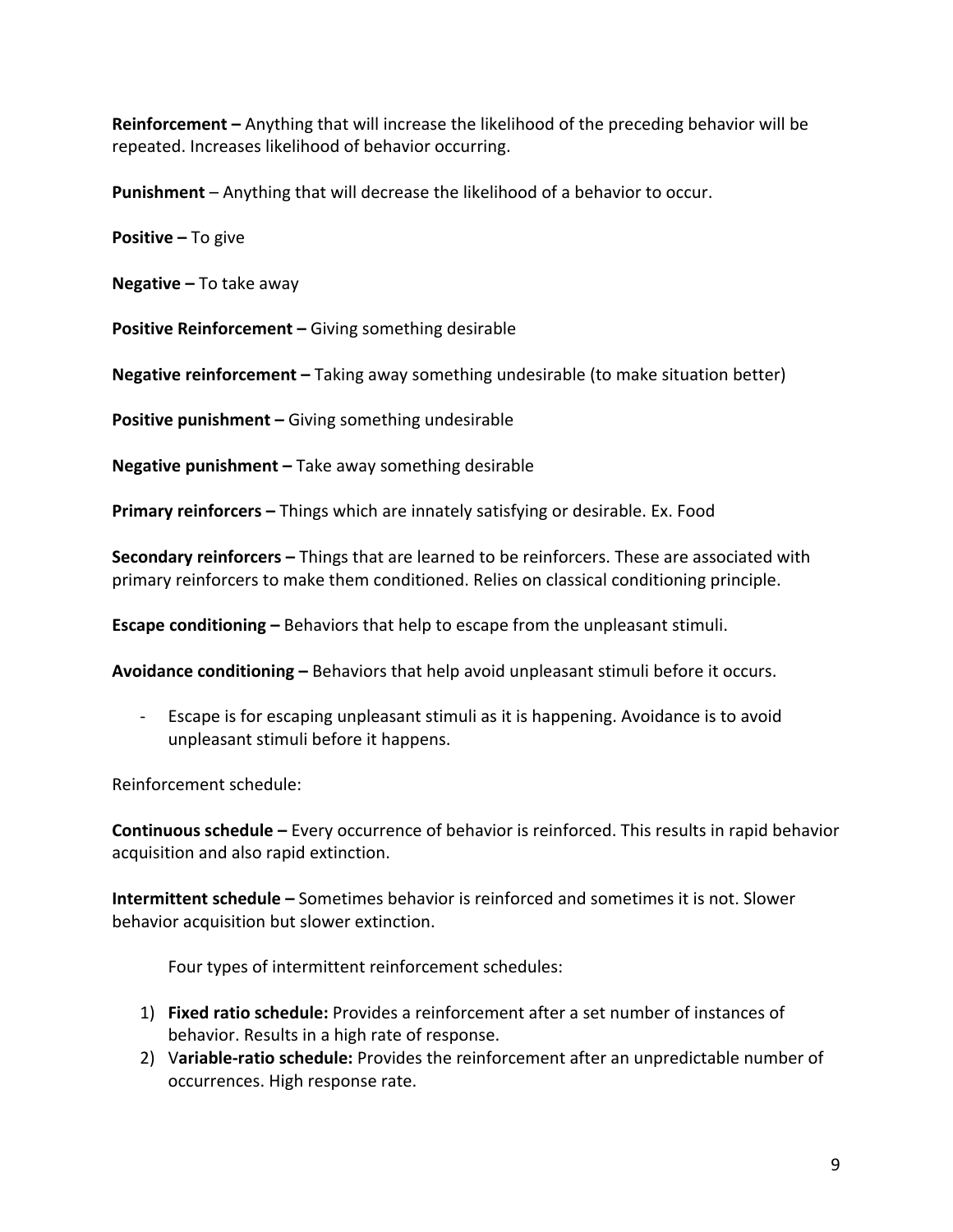**Reinforcement** – Anything that will increase the likelihood of the preceding behavior will be repeated. Increases likelihood of behavior occurring.

**Punishment** – Anything that will decrease the likelihood of a behavior to occur.

**Positive** – To give

**Negative** – To take away

**Positive Reinforcement –** Giving something desirable

**Negative reinforcement** – Taking away something undesirable (to make situation better)

**Positive punishment –** Giving something undesirable

**Negative punishment** – Take away something desirable

**Primary reinforcers** – Things which are innately satisfying or desirable. Ex. Food

**Secondary reinforcers** – Things that are learned to be reinforcers. These are associated with primary reinforcers to make them conditioned. Relies on classical conditioning principle.

**Escape conditioning** – Behaviors that help to escape from the unpleasant stimuli.

**Avoidance conditioning** – Behaviors that help avoid unpleasant stimuli before it occurs.

- Escape is for escaping unpleasant stimuli as it is happening. Avoidance is to avoid unpleasant stimuli before it happens.

Reinforcement schedule:

**Continuous schedule** – Every occurrence of behavior is reinforced. This results in rapid behavior acquisition and also rapid extinction.

**Intermittent schedule** – Sometimes behavior is reinforced and sometimes it is not. Slower behavior acquisition but slower extinction.

Four types of intermittent reinforcement schedules:

- 1) **Fixed ratio schedule:** Provides a reinforcement after a set number of instances of behavior. Results in a high rate of response.
- 2) Variable-ratio schedule: Provides the reinforcement after an unpredictable number of occurrences. High response rate.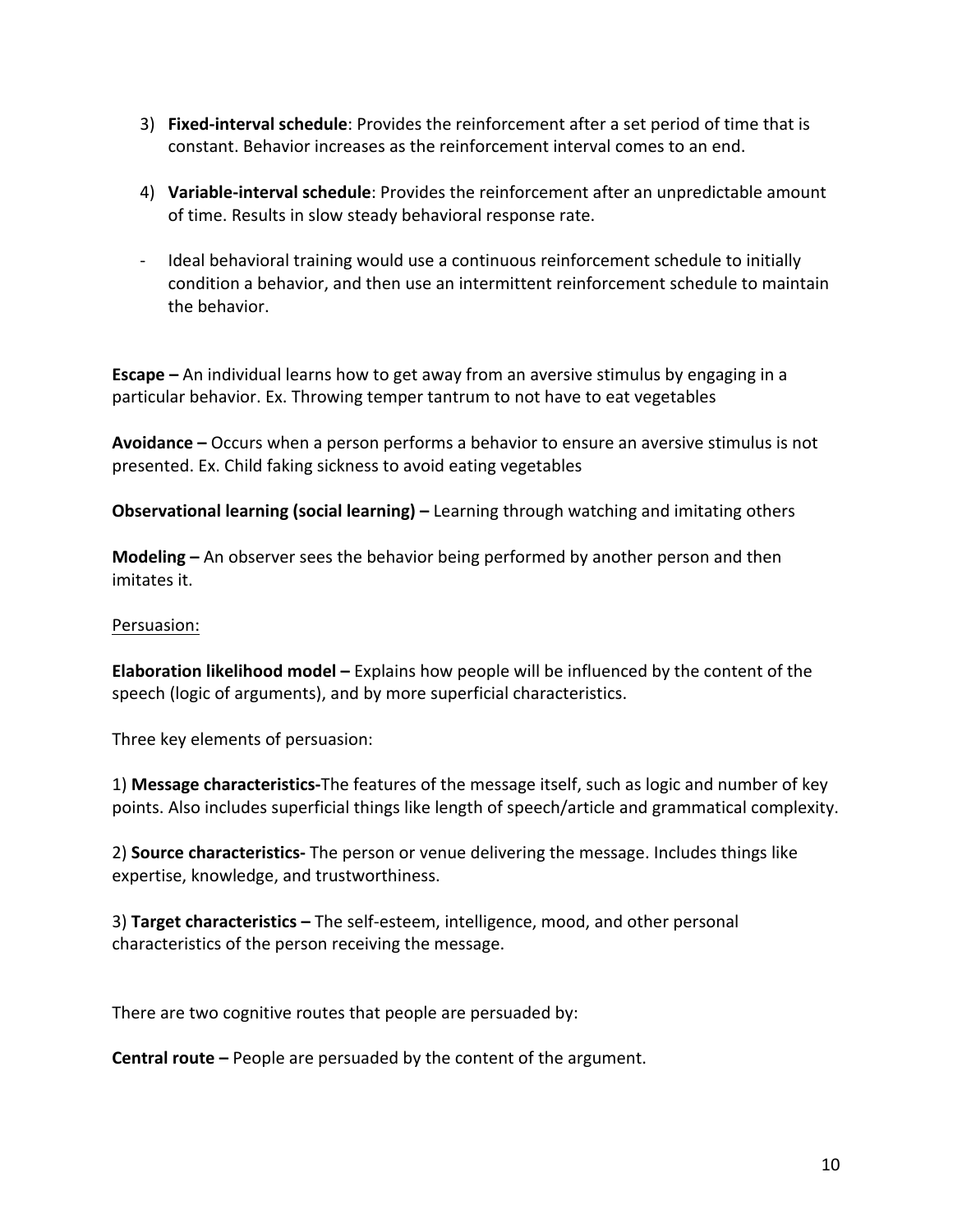- 3) **Fixed-interval schedule**: Provides the reinforcement after a set period of time that is constant. Behavior increases as the reinforcement interval comes to an end.
- 4) **Variable-interval schedule**: Provides the reinforcement after an unpredictable amount of time. Results in slow steady behavioral response rate.
- Ideal behavioral training would use a continuous reinforcement schedule to initially condition a behavior, and then use an intermittent reinforcement schedule to maintain the behavior.

**Escape** – An individual learns how to get away from an aversive stimulus by engaging in a particular behavior. Ex. Throwing temper tantrum to not have to eat vegetables

**Avoidance** – Occurs when a person performs a behavior to ensure an aversive stimulus is not presented. Ex. Child faking sickness to avoid eating vegetables

**Observational learning (social learning)** – Learning through watching and imitating others

**Modeling** – An observer sees the behavior being performed by another person and then imitates it.

### Persuasion:

**Elaboration likelihood model** – Explains how people will be influenced by the content of the speech (logic of arguments), and by more superficial characteristics.

Three key elements of persuasion:

1) **Message characteristics-**The features of the message itself, such as logic and number of key points. Also includes superficial things like length of speech/article and grammatical complexity.

2) **Source characteristics-** The person or venue delivering the message. Includes things like expertise, knowledge, and trustworthiness.

3) **Target characteristics** – The self-esteem, intelligence, mood, and other personal characteristics of the person receiving the message.

There are two cognitive routes that people are persuaded by:

**Central route** – People are persuaded by the content of the argument.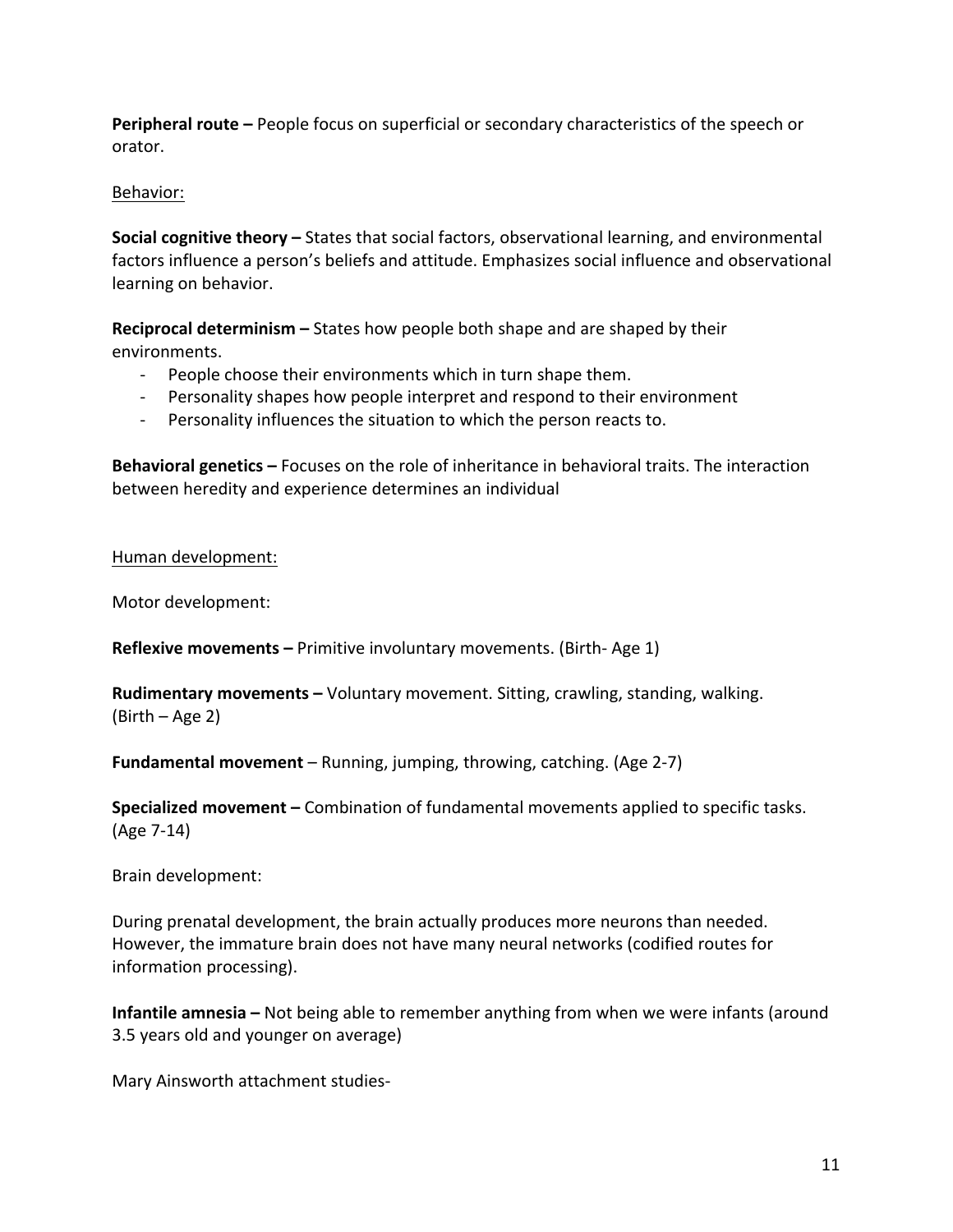**Peripheral route** – People focus on superficial or secondary characteristics of the speech or orator. 

## Behavior:

**Social cognitive theory** – States that social factors, observational learning, and environmental factors influence a person's beliefs and attitude. Emphasizes social influence and observational learning on behavior.

**Reciprocal determinism** – States how people both shape and are shaped by their environments. 

- People choose their environments which in turn shape them.
- Personality shapes how people interpret and respond to their environment
- Personality influences the situation to which the person reacts to.

**Behavioral genetics** – Focuses on the role of inheritance in behavioral traits. The interaction between heredity and experience determines an individual

Human development:

Motor development:

**Reflexive movements** – Primitive involuntary movements. (Birth- Age 1)

**Rudimentary movements** – Voluntary movement. Sitting, crawling, standing, walking.  $(Birth - Age 2)$ 

**Fundamental movement** – Running, jumping, throwing, catching. (Age 2-7)

**Specialized movement** – Combination of fundamental movements applied to specific tasks. (Age 7-14)

Brain development: 

During prenatal development, the brain actually produces more neurons than needed. However, the immature brain does not have many neural networks (codified routes for information processing).

**Infantile amnesia** – Not being able to remember anything from when we were infants (around 3.5 years old and younger on average)

Mary Ainsworth attachment studies-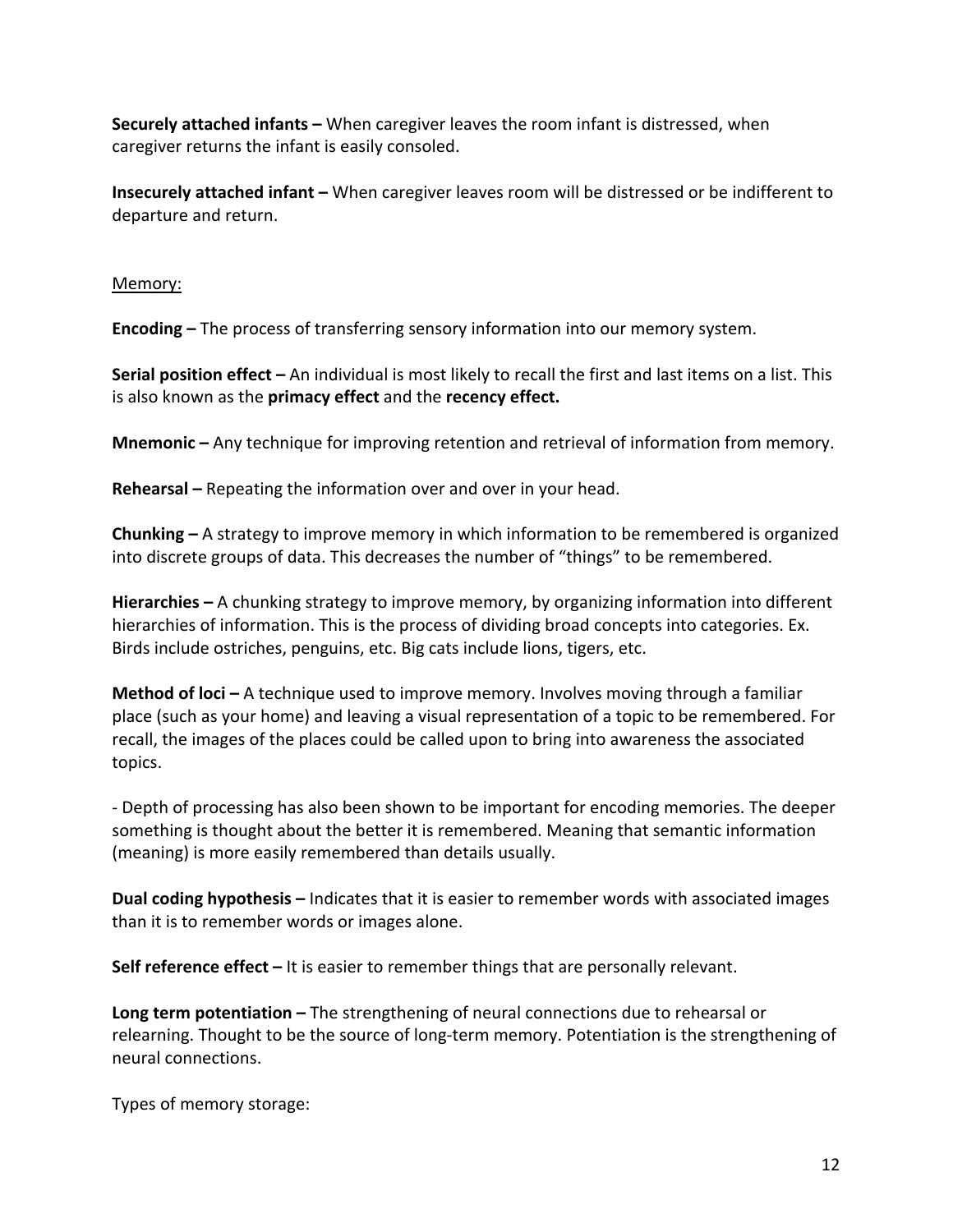**Securely attached infants** – When caregiver leaves the room infant is distressed, when caregiver returns the infant is easily consoled.

**Insecurely attached infant** – When caregiver leaves room will be distressed or be indifferent to departure and return.

### Memory:

**Encoding** – The process of transferring sensory information into our memory system.

**Serial position effect** – An individual is most likely to recall the first and last items on a list. This is also known as the **primacy effect** and the **recency effect.** 

**Mnemonic** – Any technique for improving retention and retrieval of information from memory.

**Rehearsal** – Repeating the information over and over in your head.

**Chunking** – A strategy to improve memory in which information to be remembered is organized into discrete groups of data. This decreases the number of "things" to be remembered.

**Hierarchies** – A chunking strategy to improve memory, by organizing information into different hierarchies of information. This is the process of dividing broad concepts into categories. Ex. Birds include ostriches, penguins, etc. Big cats include lions, tigers, etc.

**Method of loci** – A technique used to improve memory. Involves moving through a familiar place (such as your home) and leaving a visual representation of a topic to be remembered. For recall, the images of the places could be called upon to bring into awareness the associated topics. 

- Depth of processing has also been shown to be important for encoding memories. The deeper something is thought about the better it is remembered. Meaning that semantic information (meaning) is more easily remembered than details usually.

**Dual coding hypothesis** – Indicates that it is easier to remember words with associated images than it is to remember words or images alone.

**Self reference effect** – It is easier to remember things that are personally relevant.

**Long term potentiation** – The strengthening of neural connections due to rehearsal or relearning. Thought to be the source of long-term memory. Potentiation is the strengthening of neural connections. 

Types of memory storage: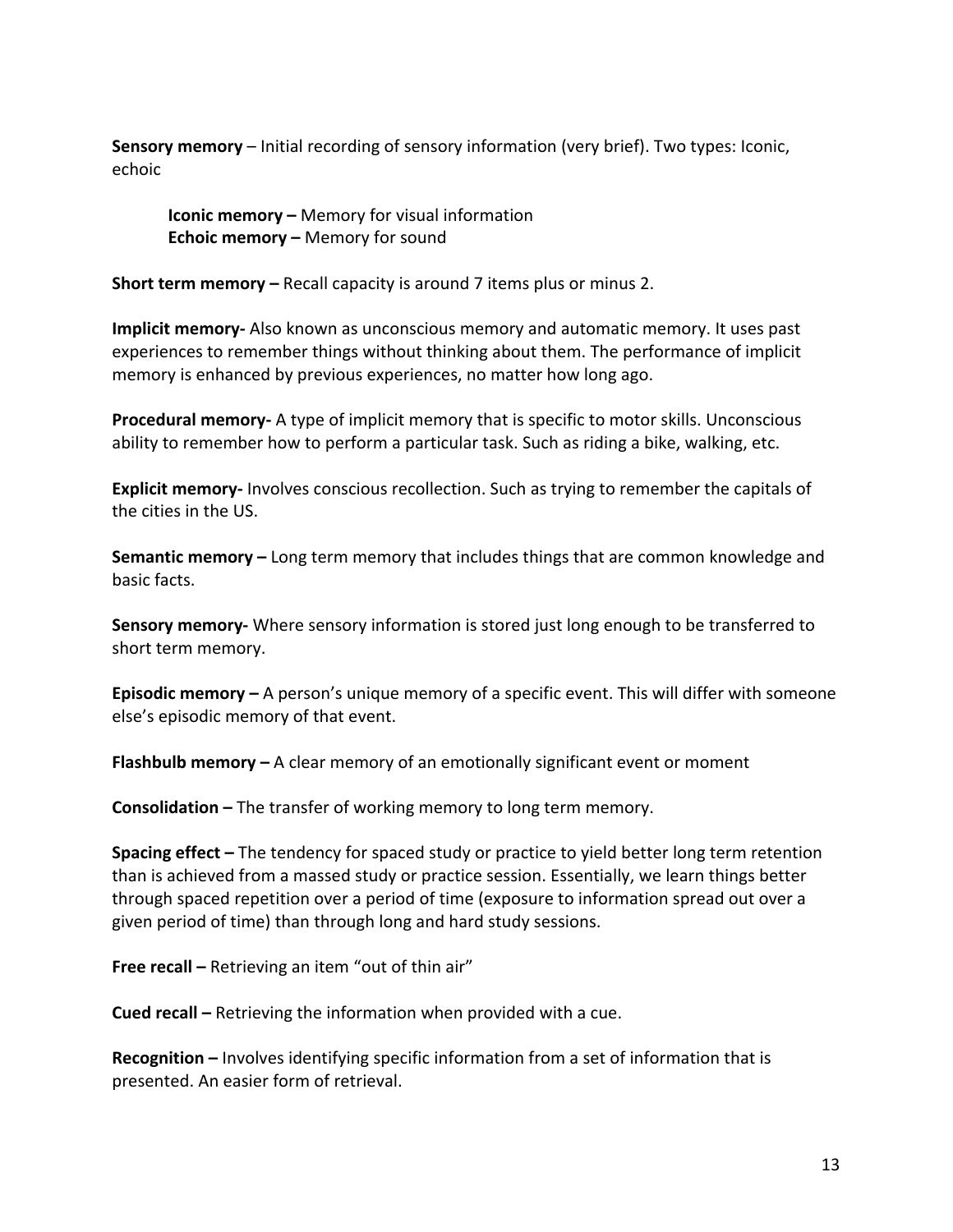**Sensory memory** – Initial recording of sensory information (very brief). Two types: Iconic, echoic 

**Iconic memory –** Memory for visual information **Echoic memory –** Memory for sound

**Short term memory –** Recall capacity is around 7 items plus or minus 2.

**Implicit memory-** Also known as unconscious memory and automatic memory. It uses past experiences to remember things without thinking about them. The performance of implicit memory is enhanced by previous experiences, no matter how long ago.

**Procedural memory-** A type of implicit memory that is specific to motor skills. Unconscious ability to remember how to perform a particular task. Such as riding a bike, walking, etc.

**Explicit memory-** Involves conscious recollection. Such as trying to remember the capitals of the cities in the US.

**Semantic memory** – Long term memory that includes things that are common knowledge and basic facts.

**Sensory memory-** Where sensory information is stored just long enough to be transferred to short term memory.

**Episodic memory** – A person's unique memory of a specific event. This will differ with someone else's episodic memory of that event.

**Flashbulb memory** – A clear memory of an emotionally significant event or moment

**Consolidation –** The transfer of working memory to long term memory.

**Spacing effect** – The tendency for spaced study or practice to yield better long term retention than is achieved from a massed study or practice session. Essentially, we learn things better through spaced repetition over a period of time (exposure to information spread out over a given period of time) than through long and hard study sessions.

**Free recall –** Retrieving an item "out of thin air"

**Cued recall** – Retrieving the information when provided with a cue.

**Recognition** – Involves identifying specific information from a set of information that is presented. An easier form of retrieval.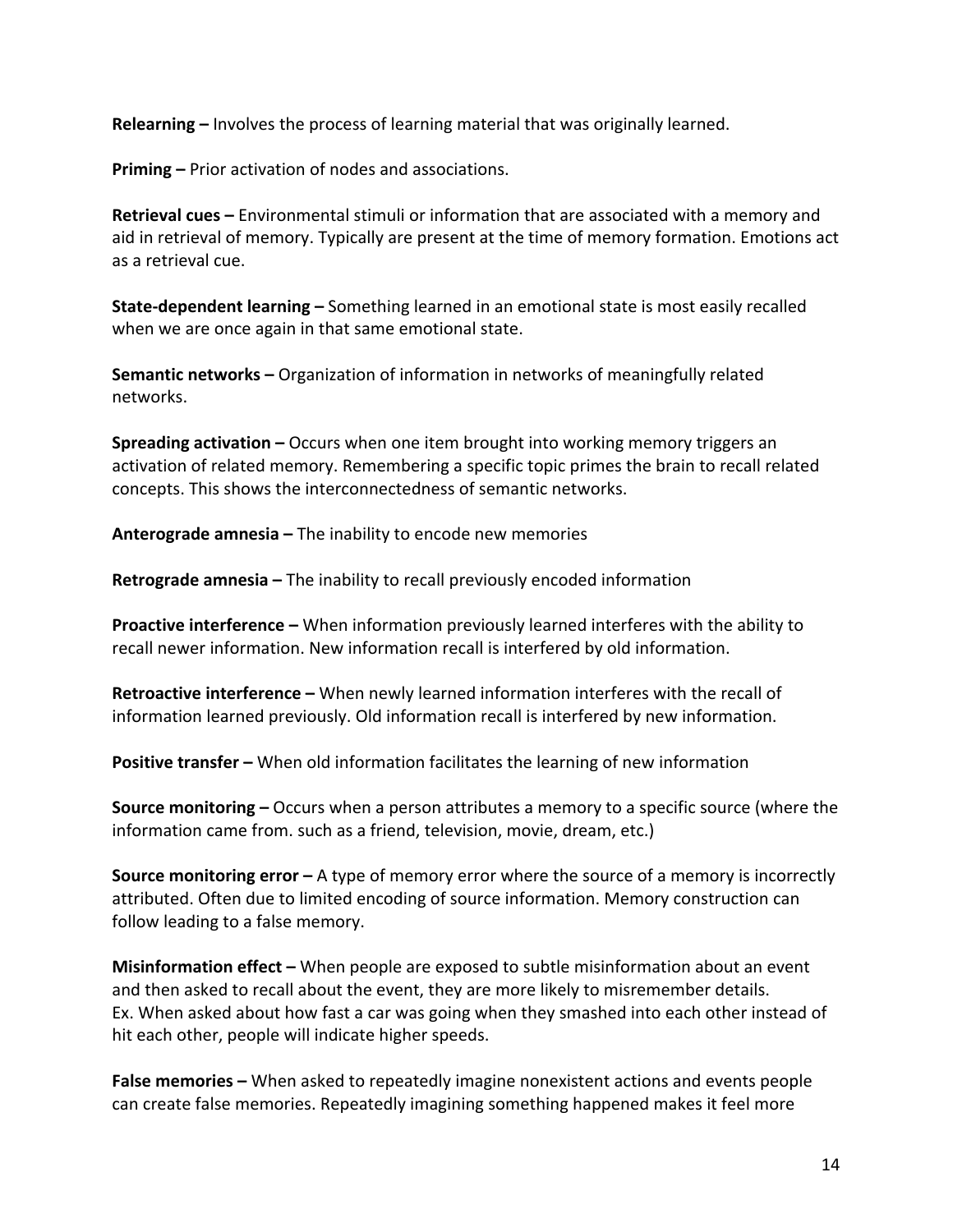**Relearning** – Involves the process of learning material that was originally learned.

**Priming –** Prior activation of nodes and associations.

**Retrieval cues** – Environmental stimuli or information that are associated with a memory and aid in retrieval of memory. Typically are present at the time of memory formation. Emotions act as a retrieval cue.

**State-dependent learning** - Something learned in an emotional state is most easily recalled when we are once again in that same emotional state.

**Semantic networks** – Organization of information in networks of meaningfully related networks. 

**Spreading activation** – Occurs when one item brought into working memory triggers an activation of related memory. Remembering a specific topic primes the brain to recall related concepts. This shows the interconnectedness of semantic networks.

**Anterograde amnesia –** The inability to encode new memories

**Retrograde amnesia** – The inability to recall previously encoded information

**Proactive interference –** When information previously learned interferes with the ability to recall newer information. New information recall is interfered by old information.

**Retroactive interference –** When newly learned information interferes with the recall of information learned previously. Old information recall is interfered by new information.

**Positive transfer** – When old information facilitates the learning of new information

**Source monitoring** – Occurs when a person attributes a memory to a specific source (where the information came from. such as a friend, television, movie, dream, etc.)

**Source monitoring error** – A type of memory error where the source of a memory is incorrectly attributed. Often due to limited encoding of source information. Memory construction can follow leading to a false memory.

**Misinformation effect** – When people are exposed to subtle misinformation about an event and then asked to recall about the event, they are more likely to misremember details. Ex. When asked about how fast a car was going when they smashed into each other instead of hit each other, people will indicate higher speeds.

**False memories** – When asked to repeatedly imagine nonexistent actions and events people can create false memories. Repeatedly imagining something happened makes it feel more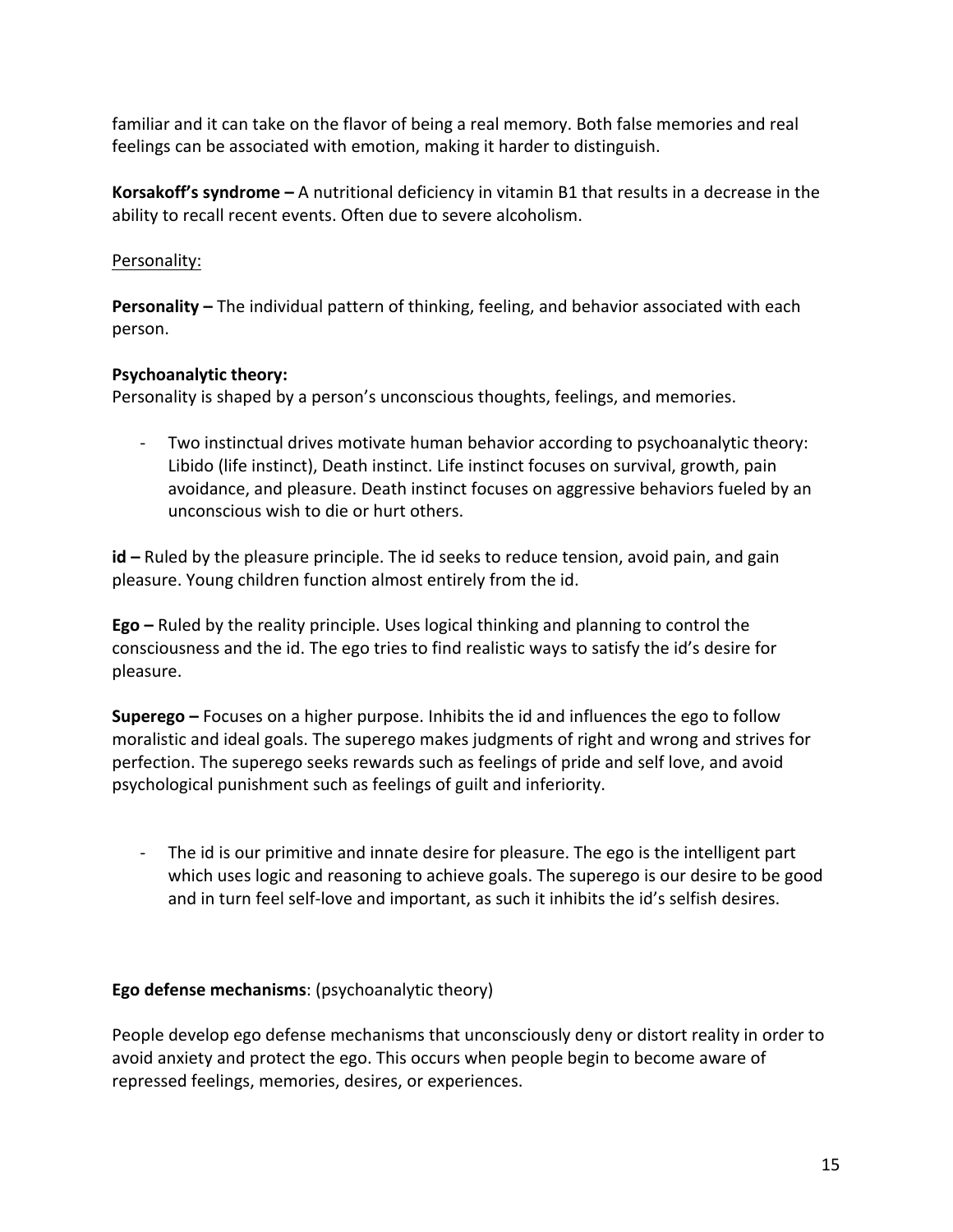familiar and it can take on the flavor of being a real memory. Both false memories and real feelings can be associated with emotion, making it harder to distinguish.

**Korsakoff's syndrome** – A nutritional deficiency in vitamin B1 that results in a decrease in the ability to recall recent events. Often due to severe alcoholism.

## Personality:

**Personality** – The individual pattern of thinking, feeling, and behavior associated with each person. 

## **Psychoanalytic theory:**

Personality is shaped by a person's unconscious thoughts, feelings, and memories.

Two instinctual drives motivate human behavior according to psychoanalytic theory: Libido (life instinct), Death instinct. Life instinct focuses on survival, growth, pain avoidance, and pleasure. Death instinct focuses on aggressive behaviors fueled by an unconscious wish to die or hurt others.

**id** – Ruled by the pleasure principle. The id seeks to reduce tension, avoid pain, and gain pleasure. Young children function almost entirely from the id.

**Ego** – Ruled by the reality principle. Uses logical thinking and planning to control the consciousness and the id. The ego tries to find realistic ways to satisfy the id's desire for pleasure. 

**Superego** – Focuses on a higher purpose. Inhibits the id and influences the ego to follow moralistic and ideal goals. The superego makes judgments of right and wrong and strives for perfection. The superego seeks rewards such as feelings of pride and self love, and avoid psychological punishment such as feelings of guilt and inferiority.

- The id is our primitive and innate desire for pleasure. The ego is the intelligent part which uses logic and reasoning to achieve goals. The superego is our desire to be good and in turn feel self-love and important, as such it inhibits the id's selfish desires.

## **Ego defense mechanisms:** (psychoanalytic theory)

People develop ego defense mechanisms that unconsciously deny or distort reality in order to avoid anxiety and protect the ego. This occurs when people begin to become aware of repressed feelings, memories, desires, or experiences.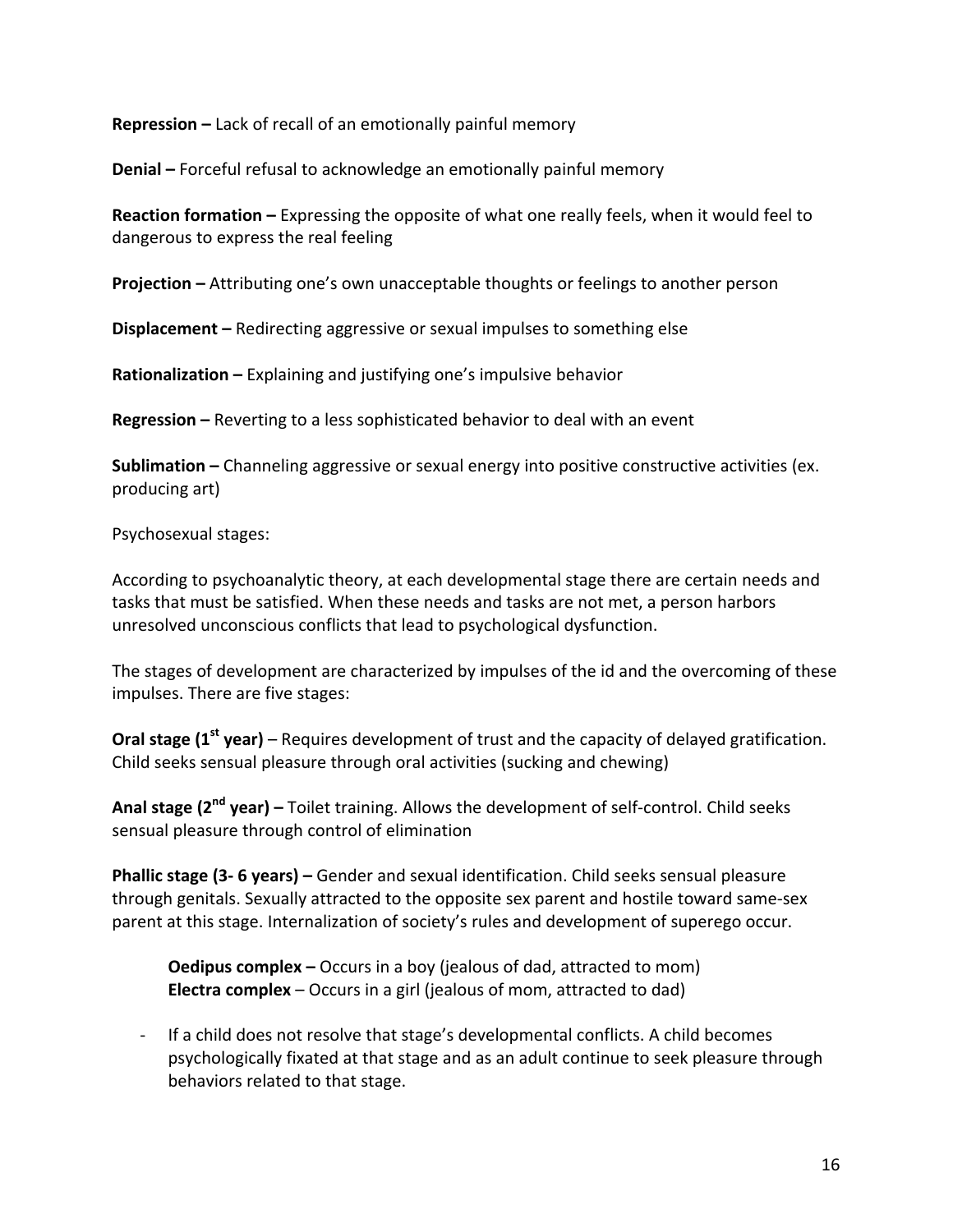**Repression –** Lack of recall of an emotionally painful memory

**Denial** – Forceful refusal to acknowledge an emotionally painful memory

**Reaction formation** – Expressing the opposite of what one really feels, when it would feel to dangerous to express the real feeling

**Projection** – Attributing one's own unacceptable thoughts or feelings to another person

**Displacement** – Redirecting aggressive or sexual impulses to something else

**Rationalization** – Explaining and justifying one's impulsive behavior

**Regression** – Reverting to a less sophisticated behavior to deal with an event

**Sublimation** – Channeling aggressive or sexual energy into positive constructive activities (ex. producing art)

Psychosexual stages:

According to psychoanalytic theory, at each developmental stage there are certain needs and tasks that must be satisfied. When these needs and tasks are not met, a person harbors unresolved unconscious conflicts that lead to psychological dysfunction.

The stages of development are characterized by impulses of the id and the overcoming of these impulses. There are five stages:

**Oral stage (1<sup>st</sup> year)** – Requires development of trust and the capacity of delayed gratification. Child seeks sensual pleasure through oral activities (sucking and chewing)

**Anal stage (2<sup>nd</sup> year)** – Toilet training. Allows the development of self-control. Child seeks sensual pleasure through control of elimination

**Phallic stage (3-6 years)** – Gender and sexual identification. Child seeks sensual pleasure through genitals. Sexually attracted to the opposite sex parent and hostile toward same-sex parent at this stage. Internalization of society's rules and development of superego occur.

**Oedipus complex** – Occurs in a boy (jealous of dad, attracted to mom) **Electra complex** – Occurs in a girl (jealous of mom, attracted to dad)

- If a child does not resolve that stage's developmental conflicts. A child becomes psychologically fixated at that stage and as an adult continue to seek pleasure through behaviors related to that stage.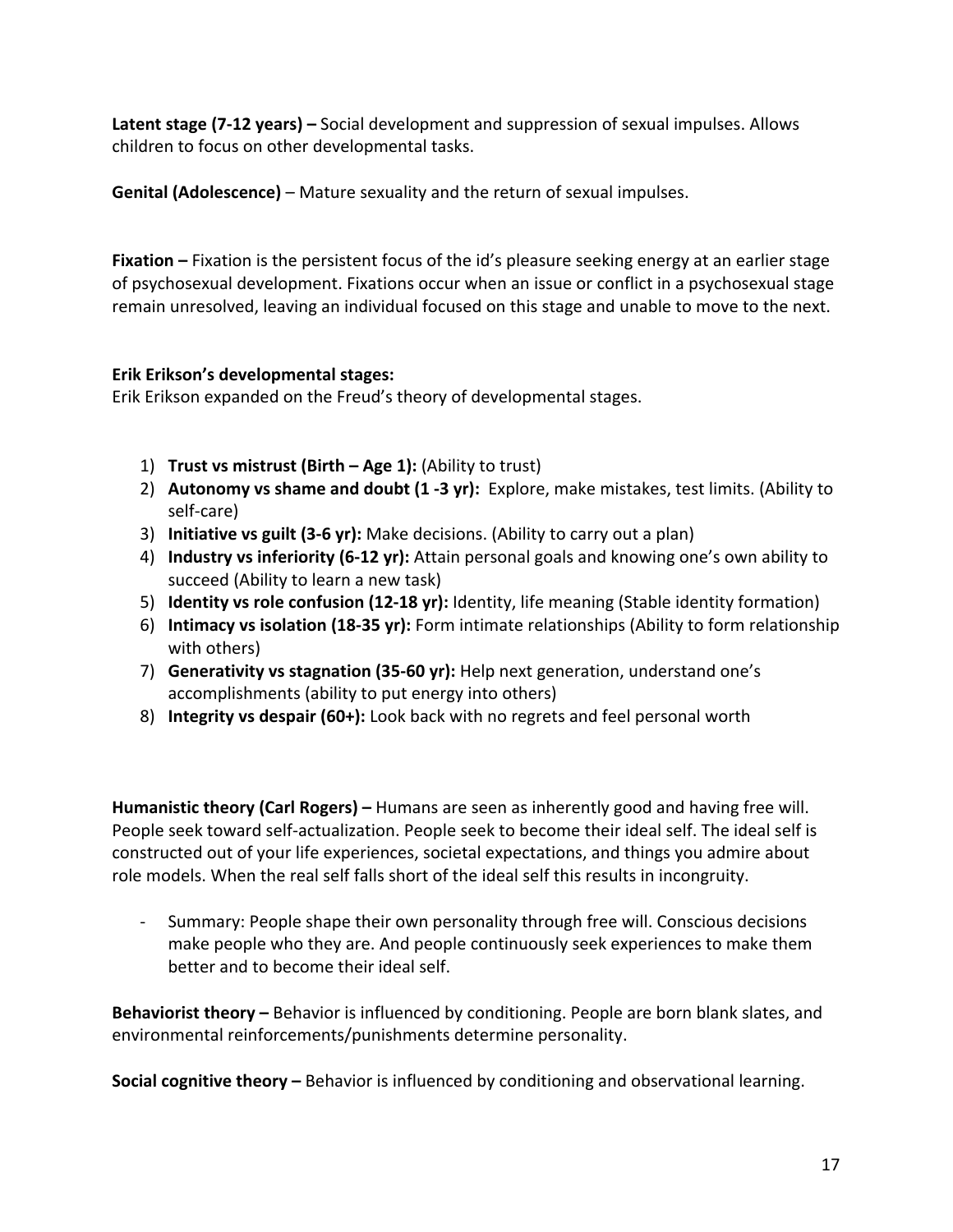**Latent stage (7-12 years)** – Social development and suppression of sexual impulses. Allows children to focus on other developmental tasks.

**Genital (Adolescence)** – Mature sexuality and the return of sexual impulses.

**Fixation** – Fixation is the persistent focus of the id's pleasure seeking energy at an earlier stage of psychosexual development. Fixations occur when an issue or conflict in a psychosexual stage remain unresolved, leaving an individual focused on this stage and unable to move to the next.

## **Erik Erikson's developmental stages:**

Erik Erikson expanded on the Freud's theory of developmental stages.

- 1) **Trust vs mistrust (Birth Age 1):** (Ability to trust)
- 2) **Autonomy vs shame and doubt (1 -3 yr):** Explore, make mistakes, test limits. (Ability to self-care)
- 3) **Initiative vs guilt (3-6 yr):** Make decisions. (Ability to carry out a plan)
- 4) **Industry vs inferiority (6-12 yr):** Attain personal goals and knowing one's own ability to succeed (Ability to learn a new task)
- 5) **Identity vs role confusion (12-18 yr):** Identity, life meaning (Stable identity formation)
- 6) **Intimacy vs isolation (18-35 yr):** Form intimate relationships (Ability to form relationship with others)
- 7) **Generativity vs stagnation (35-60 yr):** Help next generation, understand one's accomplishments (ability to put energy into others)
- 8) **Integrity vs despair (60+):** Look back with no regrets and feel personal worth

**Humanistic theory (Carl Rogers)** – Humans are seen as inherently good and having free will. People seek toward self-actualization. People seek to become their ideal self. The ideal self is constructed out of your life experiences, societal expectations, and things you admire about role models. When the real self falls short of the ideal self this results in incongruity.

- Summary: People shape their own personality through free will. Conscious decisions make people who they are. And people continuously seek experiences to make them better and to become their ideal self.

**Behaviorist theory** – Behavior is influenced by conditioning. People are born blank slates, and environmental reinforcements/punishments determine personality.

**Social cognitive theory** – Behavior is influenced by conditioning and observational learning.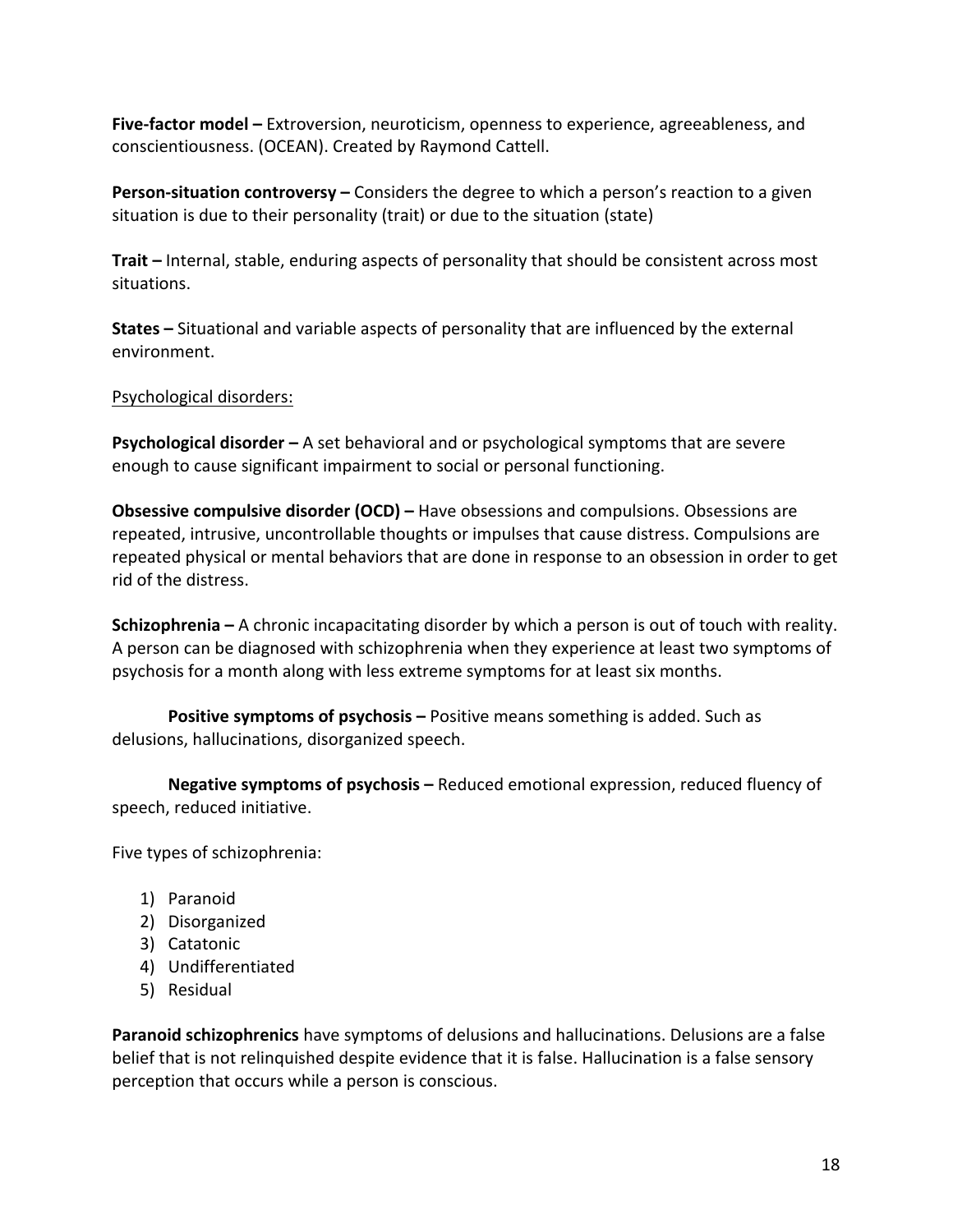**Five-factor model –** Extroversion, neuroticism, openness to experience, agreeableness, and conscientiousness. (OCEAN). Created by Raymond Cattell.

**Person-situation controversy** – Considers the degree to which a person's reaction to a given situation is due to their personality (trait) or due to the situation (state)

**Trait** – Internal, stable, enduring aspects of personality that should be consistent across most situations. 

**States** – Situational and variable aspects of personality that are influenced by the external environment. 

## Psychological disorders:

**Psychological disorder** – A set behavioral and or psychological symptoms that are severe enough to cause significant impairment to social or personal functioning.

**Obsessive compulsive disorder (OCD)** – Have obsessions and compulsions. Obsessions are repeated, intrusive, uncontrollable thoughts or impulses that cause distress. Compulsions are repeated physical or mental behaviors that are done in response to an obsession in order to get rid of the distress.

**Schizophrenia** – A chronic incapacitating disorder by which a person is out of touch with reality. A person can be diagnosed with schizophrenia when they experience at least two symptoms of psychosis for a month along with less extreme symptoms for at least six months.

**Positive symptoms of psychosis** – Positive means something is added. Such as delusions, hallucinations, disorganized speech.

**Negative symptoms of psychosis** – Reduced emotional expression, reduced fluency of speech, reduced initiative.

Five types of schizophrenia:

- 1) Paranoid
- 2) Disorganized
- 3) Catatonic
- 4) Undifferentiated
- 5) Residual

**Paranoid schizophrenics** have symptoms of delusions and hallucinations. Delusions are a false belief that is not relinguished despite evidence that it is false. Hallucination is a false sensory perception that occurs while a person is conscious.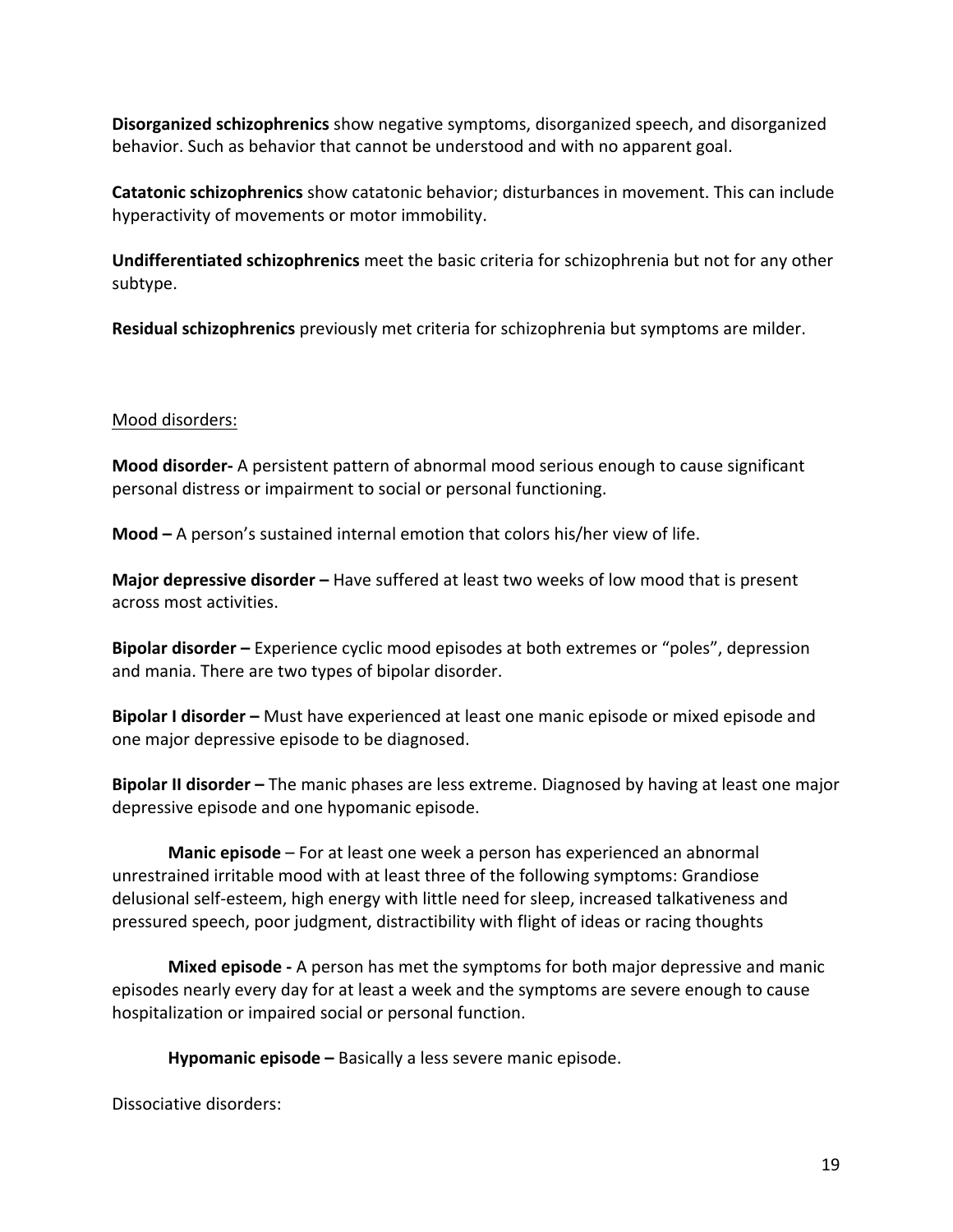**Disorganized schizophrenics** show negative symptoms, disorganized speech, and disorganized behavior. Such as behavior that cannot be understood and with no apparent goal.

**Catatonic schizophrenics** show catatonic behavior; disturbances in movement. This can include hyperactivity of movements or motor immobility.

**Undifferentiated schizophrenics** meet the basic criteria for schizophrenia but not for any other subtype. 

**Residual schizophrenics** previously met criteria for schizophrenia but symptoms are milder.

## Mood disorders:

**Mood disorder-** A persistent pattern of abnormal mood serious enough to cause significant personal distress or impairment to social or personal functioning.

**Mood** – A person's sustained internal emotion that colors his/her view of life.

**Major depressive disorder** – Have suffered at least two weeks of low mood that is present across most activities.

**Bipolar disorder** – Experience cyclic mood episodes at both extremes or "poles", depression and mania. There are two types of bipolar disorder.

**Bipolar I disorder** – Must have experienced at least one manic episode or mixed episode and one major depressive episode to be diagnosed.

**Bipolar II disorder** – The manic phases are less extreme. Diagnosed by having at least one major depressive episode and one hypomanic episode.

**Manic episode** – For at least one week a person has experienced an abnormal unrestrained irritable mood with at least three of the following symptoms: Grandiose delusional self-esteem, high energy with little need for sleep, increased talkativeness and pressured speech, poor judgment, distractibility with flight of ideas or racing thoughts

**Mixed episode** - A person has met the symptoms for both major depressive and manic episodes nearly every day for at least a week and the symptoms are severe enough to cause hospitalization or impaired social or personal function.

Hypomanic episode - Basically a less severe manic episode.

Dissociative disorders: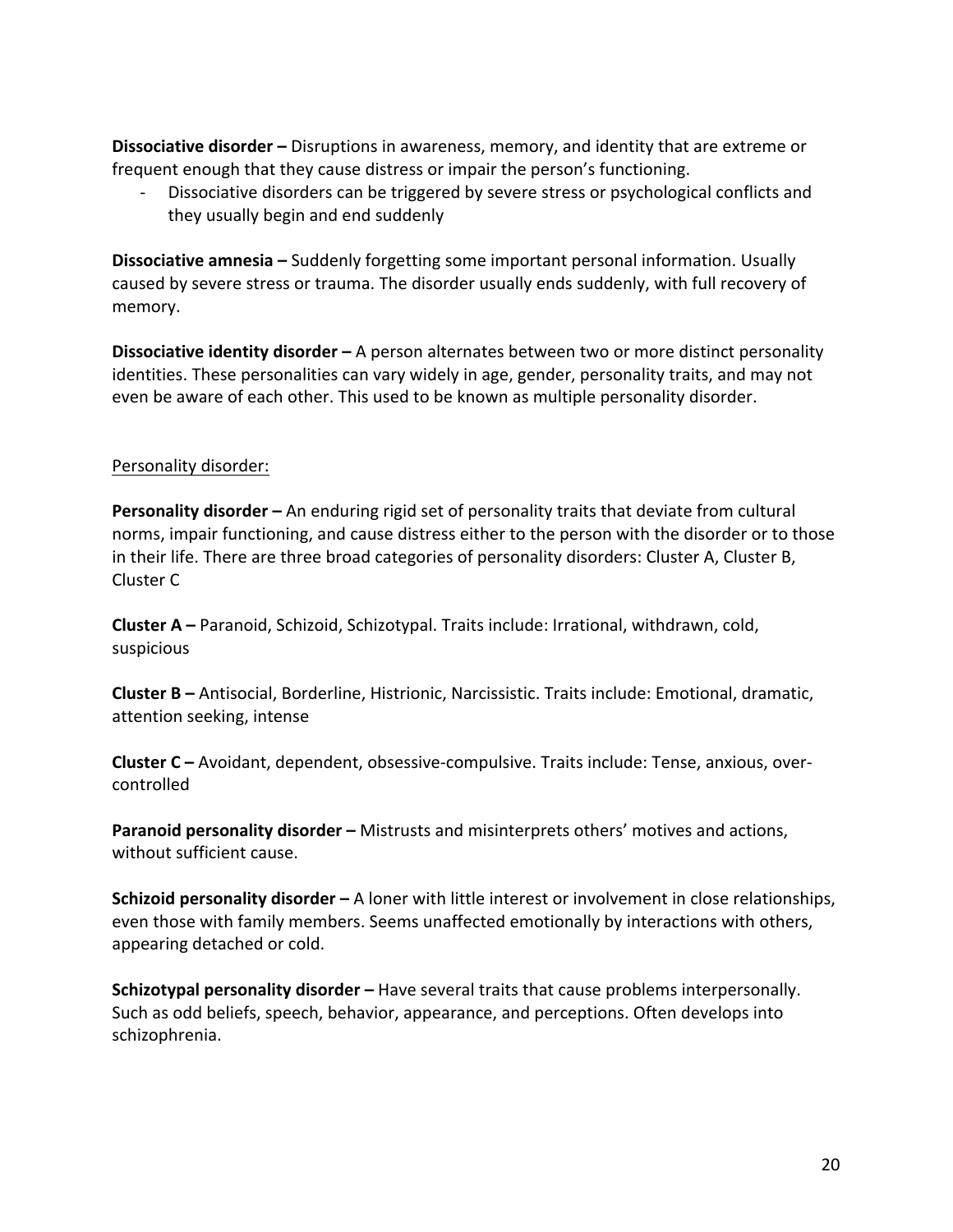**Dissociative disorder** – Disruptions in awareness, memory, and identity that are extreme or frequent enough that they cause distress or impair the person's functioning.

Dissociative disorders can be triggered by severe stress or psychological conflicts and they usually begin and end suddenly

**Dissociative amnesia** – Suddenly forgetting some important personal information. Usually caused by severe stress or trauma. The disorder usually ends suddenly, with full recovery of memory. 

**Dissociative identity disorder** – A person alternates between two or more distinct personality identities. These personalities can vary widely in age, gender, personality traits, and may not even be aware of each other. This used to be known as multiple personality disorder.

## Personality disorder:

**Personality disorder** – An enduring rigid set of personality traits that deviate from cultural norms, impair functioning, and cause distress either to the person with the disorder or to those in their life. There are three broad categories of personality disorders: Cluster A, Cluster B, Cluster C

**Cluster A** – Paranoid, Schizoid, Schizotypal. Traits include: Irrational, withdrawn, cold, suspicious 

**Cluster B** – Antisocial, Borderline, Histrionic, Narcissistic. Traits include: Emotional, dramatic, attention seeking, intense

**Cluster C** – Avoidant, dependent, obsessive-compulsive. Traits include: Tense, anxious, overcontrolled

**Paranoid personality disorder** – Mistrusts and misinterprets others' motives and actions, without sufficient cause.

**Schizoid personality disorder** – A loner with little interest or involvement in close relationships, even those with family members. Seems unaffected emotionally by interactions with others, appearing detached or cold.

**Schizotypal personality disorder** – Have several traits that cause problems interpersonally. Such as odd beliefs, speech, behavior, appearance, and perceptions. Often develops into schizophrenia.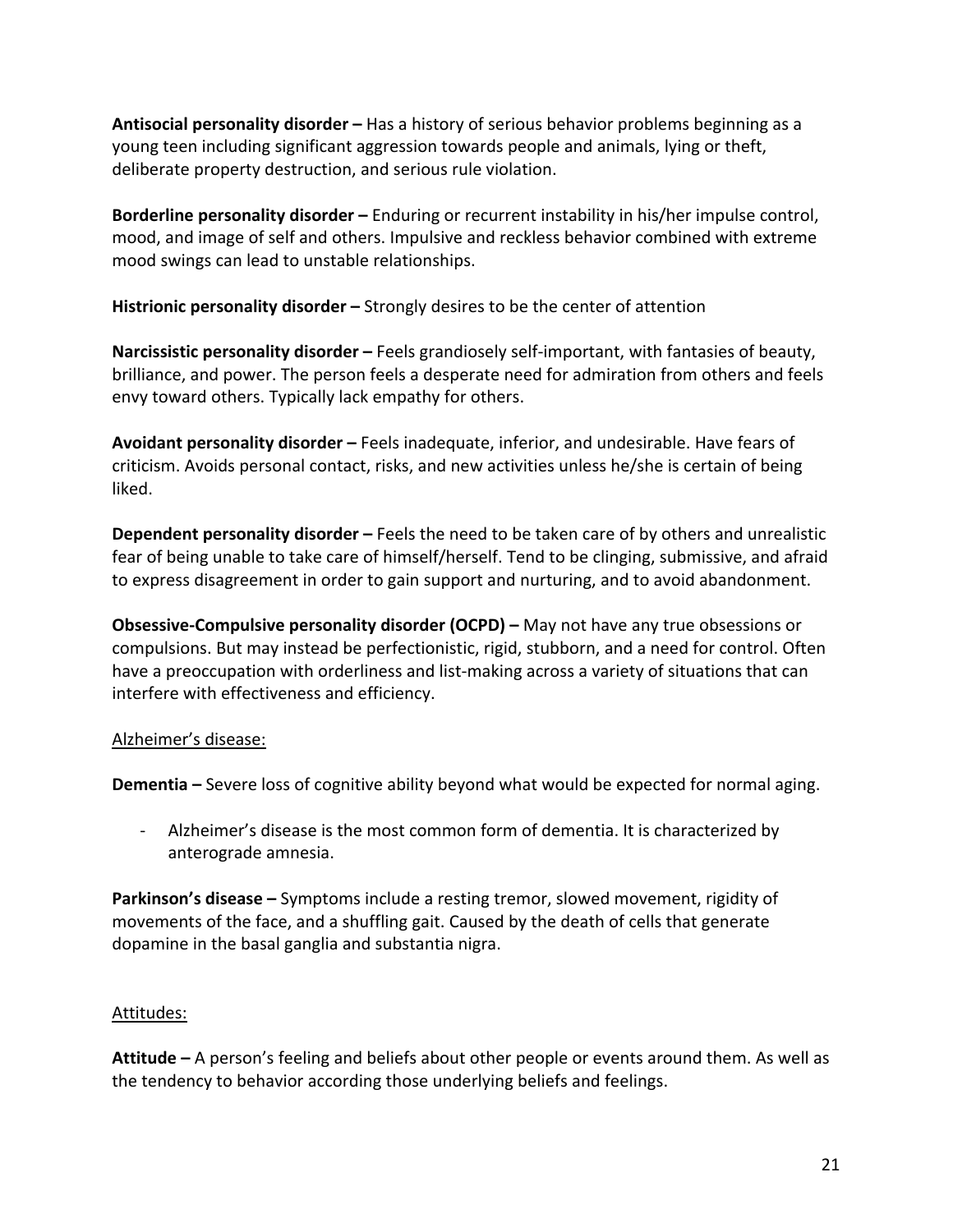**Antisocial personality disorder** – Has a history of serious behavior problems beginning as a young teen including significant aggression towards people and animals, lying or theft, deliberate property destruction, and serious rule violation.

**Borderline personality disorder** – Enduring or recurrent instability in his/her impulse control, mood, and image of self and others. Impulsive and reckless behavior combined with extreme mood swings can lead to unstable relationships.

**Histrionic personality disorder** – Strongly desires to be the center of attention

**Narcissistic personality disorder** – Feels grandiosely self-important, with fantasies of beauty, brilliance, and power. The person feels a desperate need for admiration from others and feels envy toward others. Typically lack empathy for others.

**Avoidant personality disorder** – Feels inadequate, inferior, and undesirable. Have fears of criticism. Avoids personal contact, risks, and new activities unless he/she is certain of being liked. 

**Dependent personality disorder** – Feels the need to be taken care of by others and unrealistic fear of being unable to take care of himself/herself. Tend to be clinging, submissive, and afraid to express disagreement in order to gain support and nurturing, and to avoid abandonment.

**Obsessive-Compulsive personality disorder (OCPD)** – May not have any true obsessions or compulsions. But may instead be perfectionistic, rigid, stubborn, and a need for control. Often have a preoccupation with orderliness and list-making across a variety of situations that can interfere with effectiveness and efficiency.

## Alzheimer's disease:

**Dementia** – Severe loss of cognitive ability beyond what would be expected for normal aging.

- Alzheimer's disease is the most common form of dementia. It is characterized by anterograde amnesia.

**Parkinson's disease** – Symptoms include a resting tremor, slowed movement, rigidity of movements of the face, and a shuffling gait. Caused by the death of cells that generate dopamine in the basal ganglia and substantia nigra.

## Attitudes:

**Attitude** – A person's feeling and beliefs about other people or events around them. As well as the tendency to behavior according those underlying beliefs and feelings.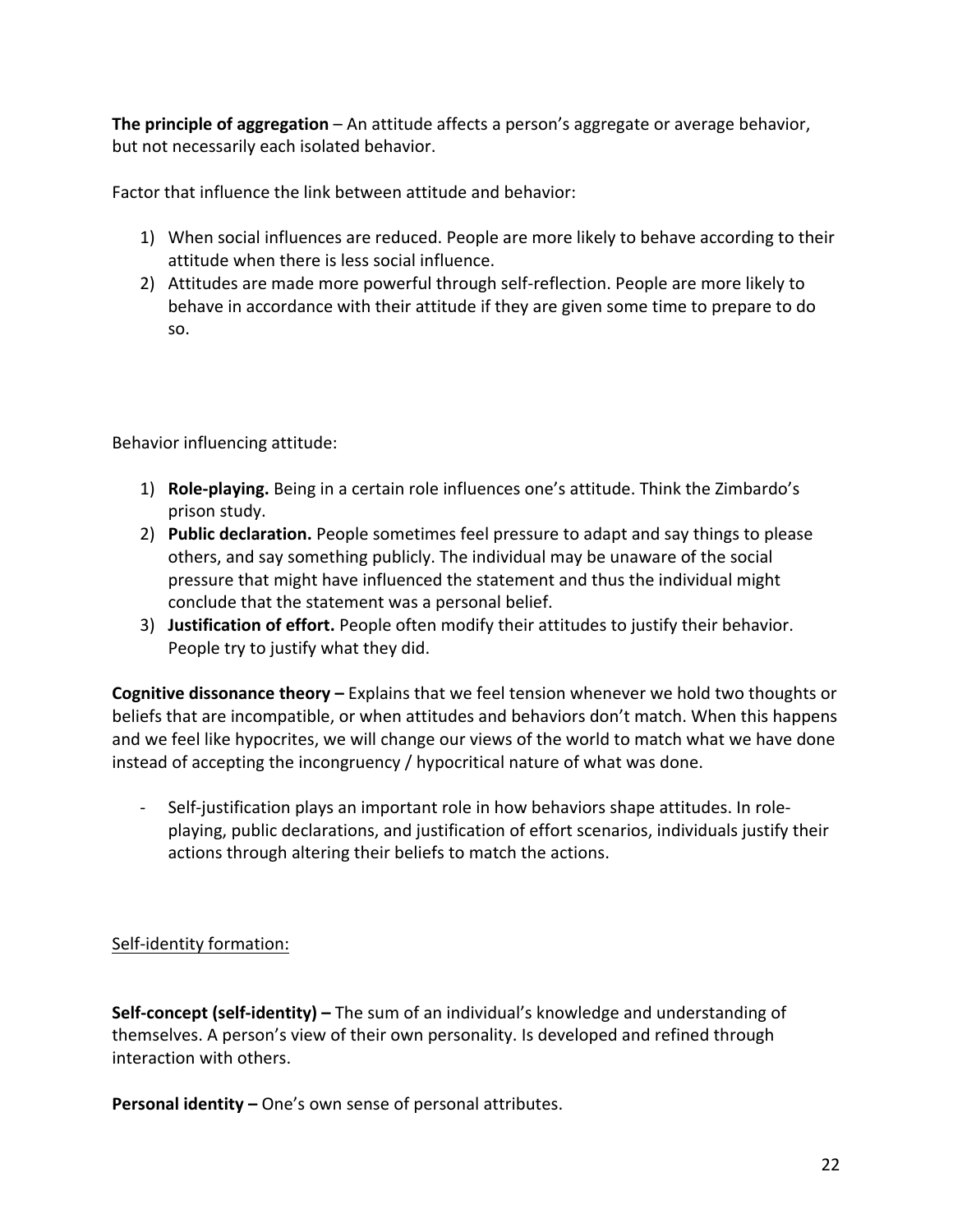**The principle of aggregation** – An attitude affects a person's aggregate or average behavior, but not necessarily each isolated behavior.

Factor that influence the link between attitude and behavior:

- 1) When social influences are reduced. People are more likely to behave according to their attitude when there is less social influence.
- 2) Attitudes are made more powerful through self-reflection. People are more likely to behave in accordance with their attitude if they are given some time to prepare to do so.

Behavior influencing attitude:

- 1) **Role-playing.** Being in a certain role influences one's attitude. Think the Zimbardo's prison study.
- 2) **Public declaration.** People sometimes feel pressure to adapt and say things to please others, and say something publicly. The individual may be unaware of the social pressure that might have influenced the statement and thus the individual might conclude that the statement was a personal belief.
- 3) **Justification of effort.** People often modify their attitudes to justify their behavior. People try to justify what they did.

**Cognitive dissonance theory** – Explains that we feel tension whenever we hold two thoughts or beliefs that are incompatible, or when attitudes and behaviors don't match. When this happens and we feel like hypocrites, we will change our views of the world to match what we have done instead of accepting the incongruency / hypocritical nature of what was done.

- Self-justification plays an important role in how behaviors shape attitudes. In roleplaying, public declarations, and justification of effort scenarios, individuals justify their actions through altering their beliefs to match the actions.

## Self-identity formation:

**Self-concept (self-identity)** – The sum of an individual's knowledge and understanding of themselves. A person's view of their own personality. Is developed and refined through interaction with others.

**Personal identity –** One's own sense of personal attributes.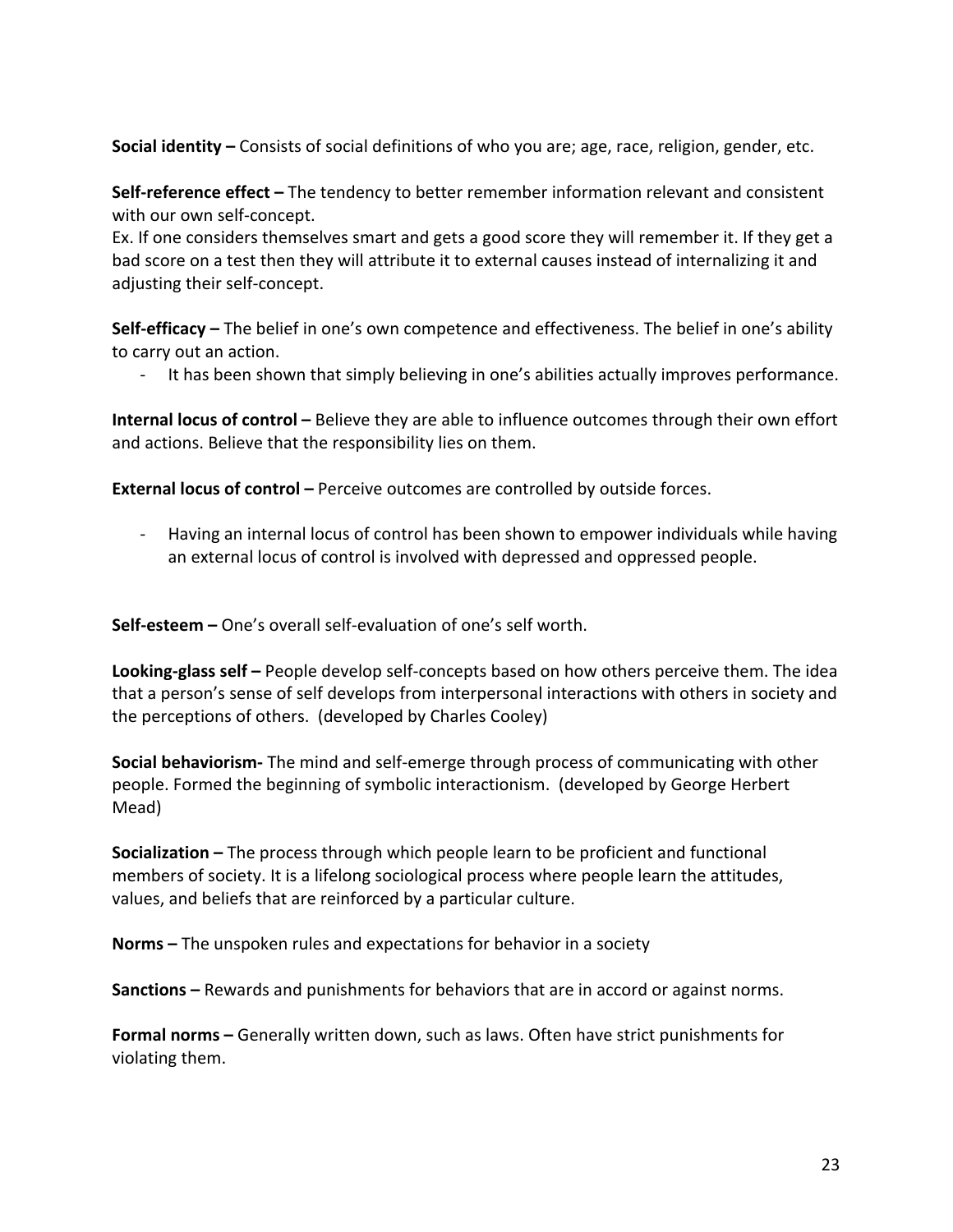**Social identity** – Consists of social definitions of who you are; age, race, religion, gender, etc.

**Self-reference effect** – The tendency to better remember information relevant and consistent with our own self-concept.

Ex. If one considers themselves smart and gets a good score they will remember it. If they get a bad score on a test then they will attribute it to external causes instead of internalizing it and adjusting their self-concept.

**Self-efficacy** – The belief in one's own competence and effectiveness. The belief in one's ability to carry out an action.

- It has been shown that simply believing in one's abilities actually improves performance.

**Internal locus of control** – Believe they are able to influence outcomes through their own effort and actions. Believe that the responsibility lies on them.

**External locus of control** – Perceive outcomes are controlled by outside forces.

- Having an internal locus of control has been shown to empower individuals while having an external locus of control is involved with depressed and oppressed people.

**Self-esteem** – One's overall self-evaluation of one's self worth.

**Looking-glass self** – People develop self-concepts based on how others perceive them. The idea that a person's sense of self develops from interpersonal interactions with others in society and the perceptions of others. (developed by Charles Cooley)

**Social behaviorism-** The mind and self-emerge through process of communicating with other people. Formed the beginning of symbolic interactionism. (developed by George Herbert Mead) 

**Socialization** – The process through which people learn to be proficient and functional members of society. It is a lifelong sociological process where people learn the attitudes, values, and beliefs that are reinforced by a particular culture.

**Norms** – The unspoken rules and expectations for behavior in a society

**Sanctions** – Rewards and punishments for behaviors that are in accord or against norms.

**Formal norms** – Generally written down, such as laws. Often have strict punishments for violating them.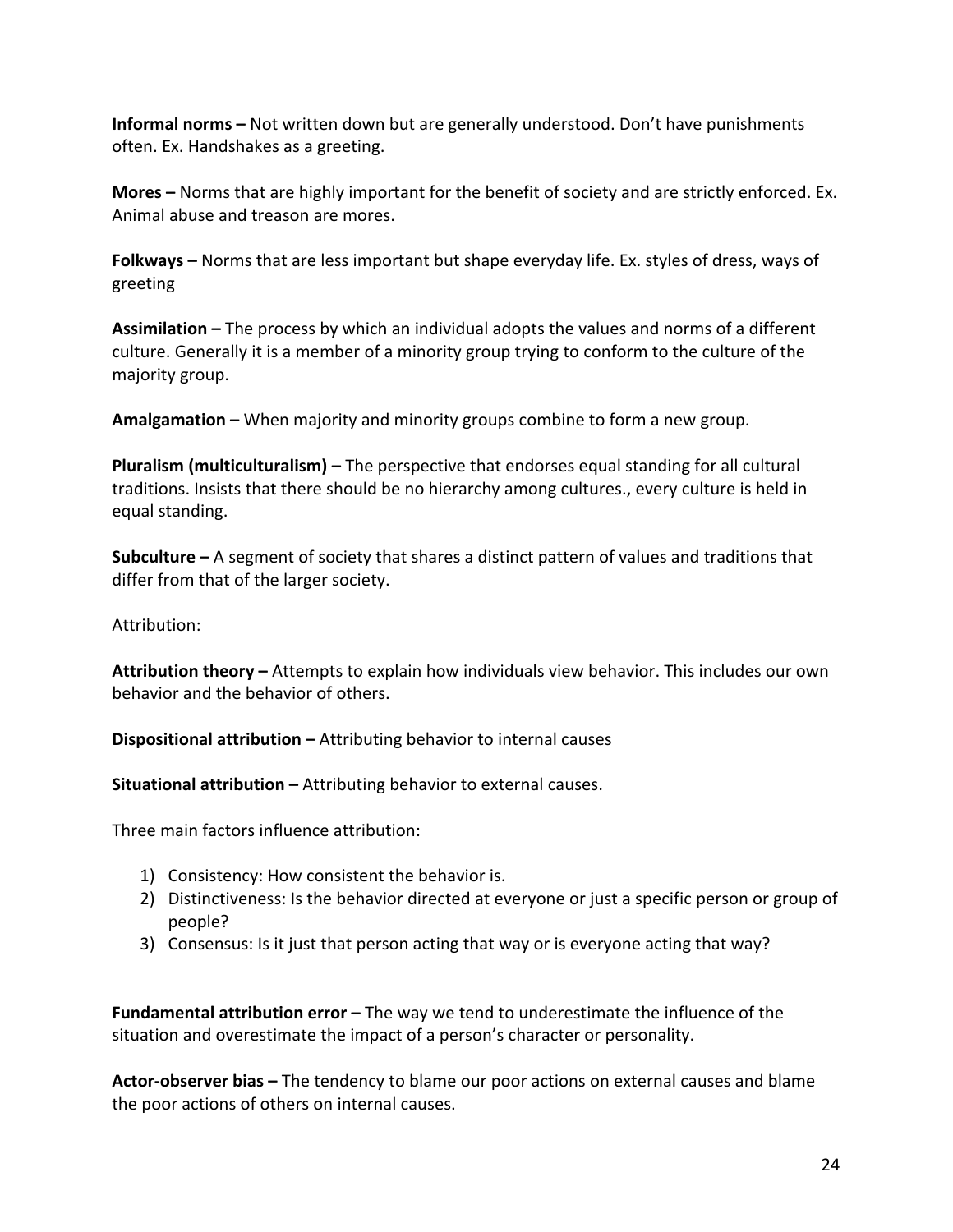**Informal norms** – Not written down but are generally understood. Don't have punishments often. Ex. Handshakes as a greeting.

**Mores** – Norms that are highly important for the benefit of society and are strictly enforced. Ex. Animal abuse and treason are mores.

**Folkways** – Norms that are less important but shape everyday life. Ex. styles of dress, ways of greeting 

**Assimilation** – The process by which an individual adopts the values and norms of a different culture. Generally it is a member of a minority group trying to conform to the culture of the majority group.

**Amalgamation** – When majority and minority groups combine to form a new group.

**Pluralism (multiculturalism)** – The perspective that endorses equal standing for all cultural traditions. Insists that there should be no hierarchy among cultures., every culture is held in equal standing.

**Subculture** – A segment of society that shares a distinct pattern of values and traditions that differ from that of the larger society.

Attribution:

**Attribution theory** – Attempts to explain how individuals view behavior. This includes our own behavior and the behavior of others.

**Dispositional attribution** – Attributing behavior to internal causes

**Situational attribution** – Attributing behavior to external causes.

Three main factors influence attribution:

- 1) Consistency: How consistent the behavior is.
- 2) Distinctiveness: Is the behavior directed at everyone or just a specific person or group of people?
- 3) Consensus: Is it just that person acting that way or is everyone acting that way?

**Fundamental attribution error** – The way we tend to underestimate the influence of the situation and overestimate the impact of a person's character or personality.

**Actor-observer bias** – The tendency to blame our poor actions on external causes and blame the poor actions of others on internal causes.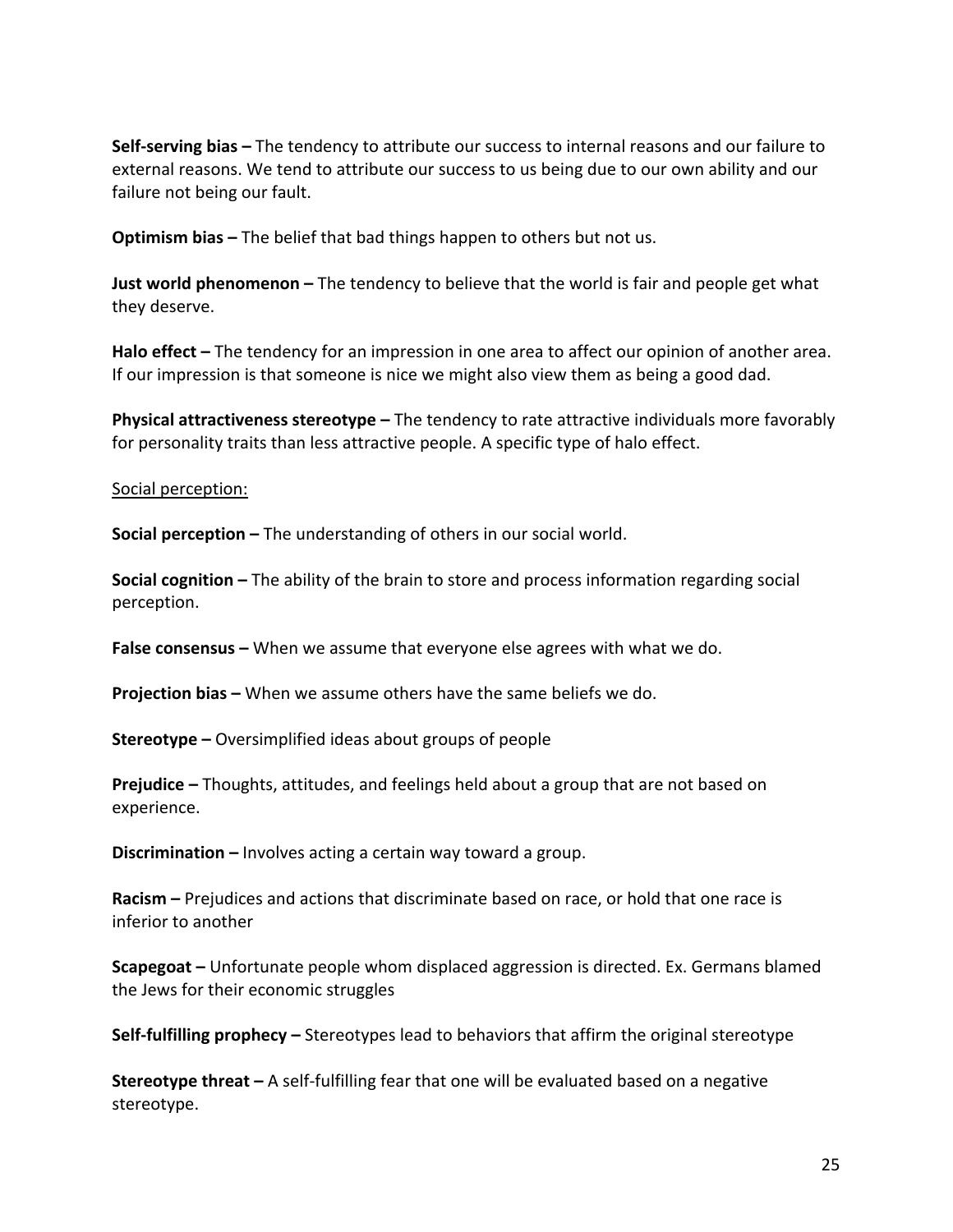**Self-serving bias** – The tendency to attribute our success to internal reasons and our failure to external reasons. We tend to attribute our success to us being due to our own ability and our failure not being our fault.

**Optimism bias** – The belief that bad things happen to others but not us.

**Just world phenomenon** – The tendency to believe that the world is fair and people get what they deserve.

**Halo effect** – The tendency for an impression in one area to affect our opinion of another area. If our impression is that someone is nice we might also view them as being a good dad.

**Physical attractiveness stereotype –** The tendency to rate attractive individuals more favorably for personality traits than less attractive people. A specific type of halo effect.

#### Social perception:

**Social perception –** The understanding of others in our social world.

**Social cognition** – The ability of the brain to store and process information regarding social perception. 

**False consensus** – When we assume that everyone else agrees with what we do.

**Projection bias** – When we assume others have the same beliefs we do.

**Stereotype –** Oversimplified ideas about groups of people

**Prejudice** – Thoughts, attitudes, and feelings held about a group that are not based on experience. 

**Discrimination** – Involves acting a certain way toward a group.

**Racism** – Prejudices and actions that discriminate based on race, or hold that one race is inferior to another

**Scapegoat** – Unfortunate people whom displaced aggression is directed. Ex. Germans blamed the Jews for their economic struggles

**Self-fulfilling prophecy** – Stereotypes lead to behaviors that affirm the original stereotype

**Stereotype threat** – A self-fulfilling fear that one will be evaluated based on a negative stereotype.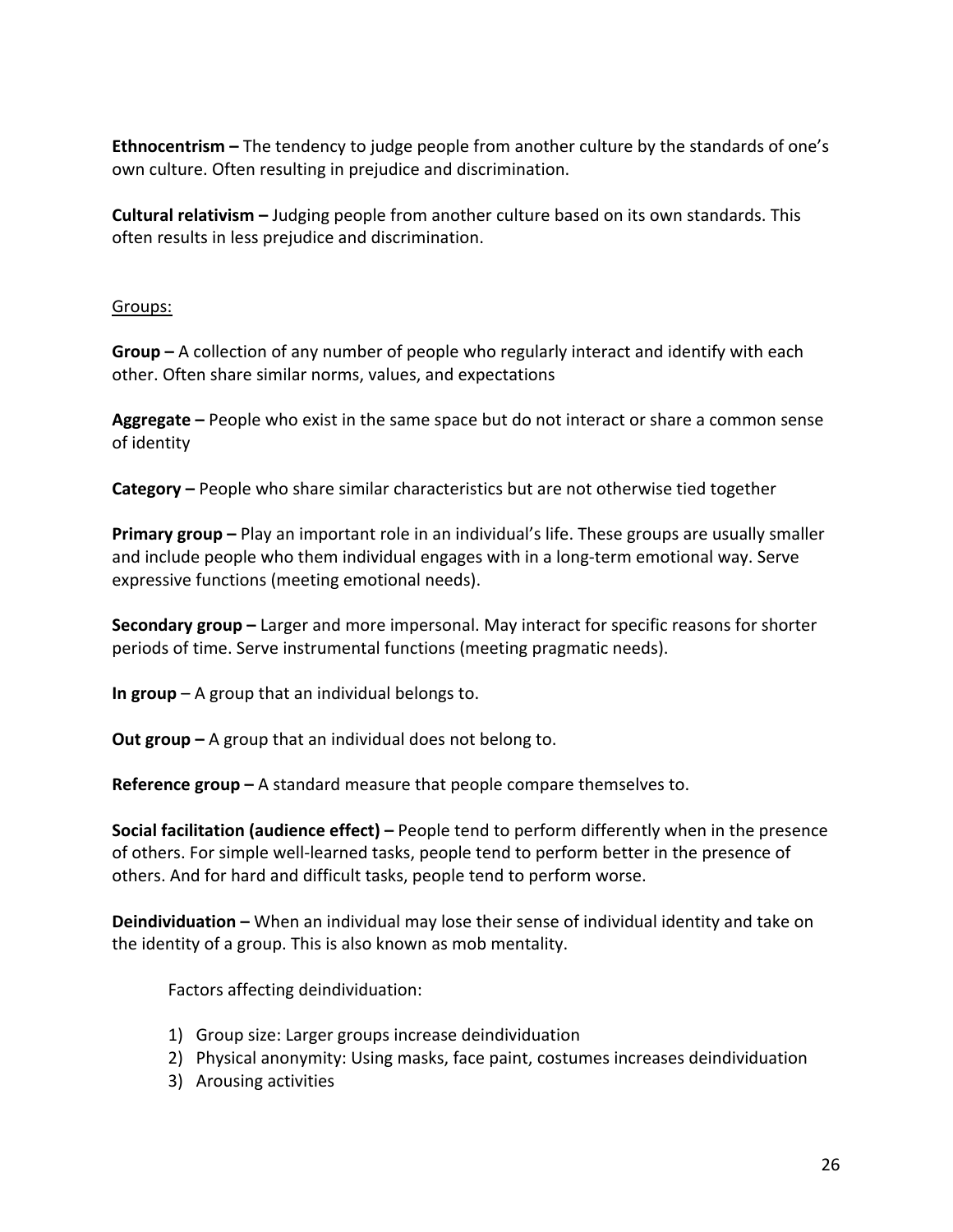**Ethnocentrism** – The tendency to judge people from another culture by the standards of one's own culture. Often resulting in prejudice and discrimination.

**Cultural relativism** – Judging people from another culture based on its own standards. This often results in less prejudice and discrimination.

### Groups:

**Group** – A collection of any number of people who regularly interact and identify with each other. Often share similar norms, values, and expectations

**Aggregate** – People who exist in the same space but do not interact or share a common sense of identity

**Category** – People who share similar characteristics but are not otherwise tied together

**Primary group** – Play an important role in an individual's life. These groups are usually smaller and include people who them individual engages with in a long-term emotional way. Serve expressive functions (meeting emotional needs).

**Secondary group** – Larger and more impersonal. May interact for specific reasons for shorter periods of time. Serve instrumental functions (meeting pragmatic needs).

**In group** – A group that an individual belongs to.

**Out group** – A group that an individual does not belong to.

**Reference group** – A standard measure that people compare themselves to.

**Social facilitation (audience effect)** – People tend to perform differently when in the presence of others. For simple well-learned tasks, people tend to perform better in the presence of others. And for hard and difficult tasks, people tend to perform worse.

**Deindividuation** – When an individual may lose their sense of individual identity and take on the identity of a group. This is also known as mob mentality.

Factors affecting deindividuation:

- 1) Group size: Larger groups increase deindividuation
- 2) Physical anonymity: Using masks, face paint, costumes increases deindividuation
- 3) Arousing activities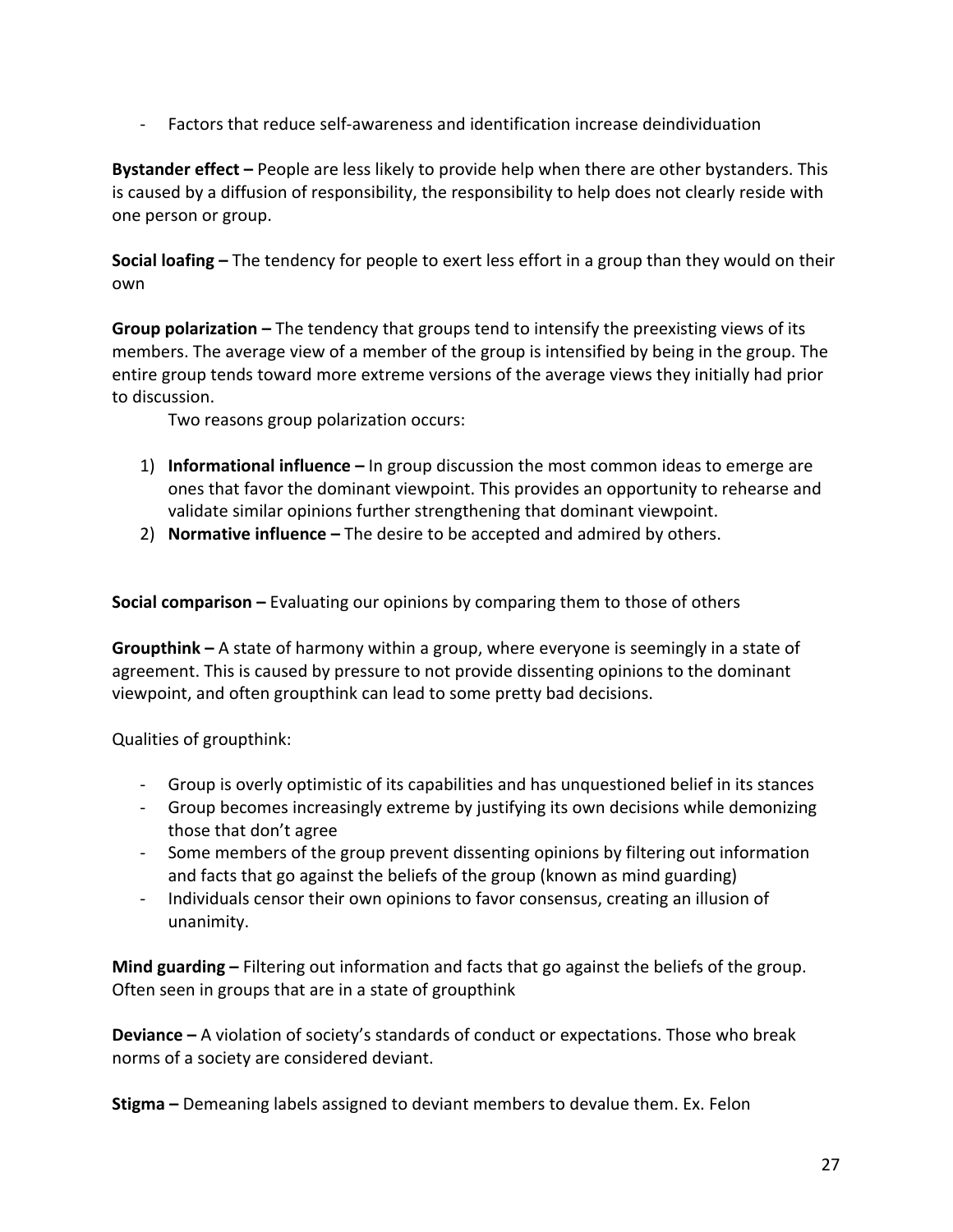- Factors that reduce self-awareness and identification increase deindividuation

**Bystander effect** – People are less likely to provide help when there are other bystanders. This is caused by a diffusion of responsibility, the responsibility to help does not clearly reside with one person or group.

**Social loafing** – The tendency for people to exert less effort in a group than they would on their own 

**Group polarization** – The tendency that groups tend to intensify the preexisting views of its members. The average view of a member of the group is intensified by being in the group. The entire group tends toward more extreme versions of the average views they initially had prior to discussion.

Two reasons group polarization occurs:

- 1) **Informational influence** In group discussion the most common ideas to emerge are ones that favor the dominant viewpoint. This provides an opportunity to rehearse and validate similar opinions further strengthening that dominant viewpoint.
- 2) **Normative influence** The desire to be accepted and admired by others.

**Social comparison** – Evaluating our opinions by comparing them to those of others

**Groupthink** – A state of harmony within a group, where everyone is seemingly in a state of agreement. This is caused by pressure to not provide dissenting opinions to the dominant viewpoint, and often groupthink can lead to some pretty bad decisions.

Qualities of groupthink:

- Group is overly optimistic of its capabilities and has unquestioned belief in its stances
- Group becomes increasingly extreme by justifying its own decisions while demonizing those that don't agree
- Some members of the group prevent dissenting opinions by filtering out information and facts that go against the beliefs of the group (known as mind guarding)
- Individuals censor their own opinions to favor consensus, creating an illusion of unanimity.

**Mind guarding** – Filtering out information and facts that go against the beliefs of the group. Often seen in groups that are in a state of groupthink

**Deviance** – A violation of society's standards of conduct or expectations. Those who break norms of a society are considered deviant.

**Stigma** – Demeaning labels assigned to deviant members to devalue them. Ex. Felon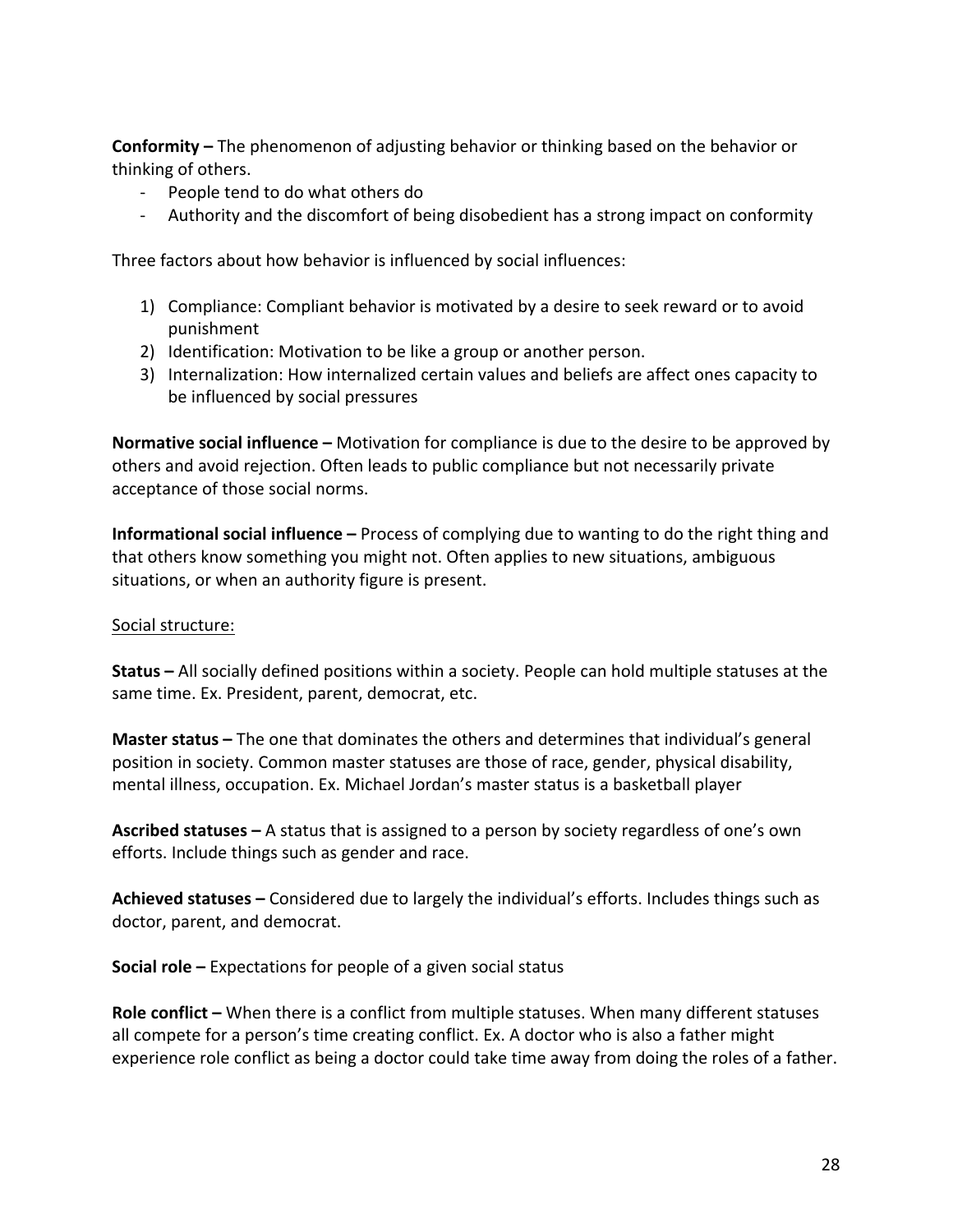**Conformity** – The phenomenon of adjusting behavior or thinking based on the behavior or thinking of others.

- People tend to do what others do
- Authority and the discomfort of being disobedient has a strong impact on conformity

Three factors about how behavior is influenced by social influences:

- 1) Compliance: Compliant behavior is motivated by a desire to seek reward or to avoid punishment
- 2) Identification: Motivation to be like a group or another person.
- 3) Internalization: How internalized certain values and beliefs are affect ones capacity to be influenced by social pressures

**Normative social influence** – Motivation for compliance is due to the desire to be approved by others and avoid rejection. Often leads to public compliance but not necessarily private acceptance of those social norms.

**Informational social influence** – Process of complying due to wanting to do the right thing and that others know something you might not. Often applies to new situations, ambiguous situations, or when an authority figure is present.

## Social structure:

**Status** – All socially defined positions within a society. People can hold multiple statuses at the same time. Ex. President, parent, democrat, etc.

**Master status** – The one that dominates the others and determines that individual's general position in society. Common master statuses are those of race, gender, physical disability, mental illness, occupation. Ex. Michael Jordan's master status is a basketball player

**Ascribed statuses** – A status that is assigned to a person by society regardless of one's own efforts. Include things such as gender and race.

Achieved statuses – Considered due to largely the individual's efforts. Includes things such as doctor, parent, and democrat.

**Social role** – Expectations for people of a given social status

**Role conflict** – When there is a conflict from multiple statuses. When many different statuses all compete for a person's time creating conflict. Ex. A doctor who is also a father might experience role conflict as being a doctor could take time away from doing the roles of a father.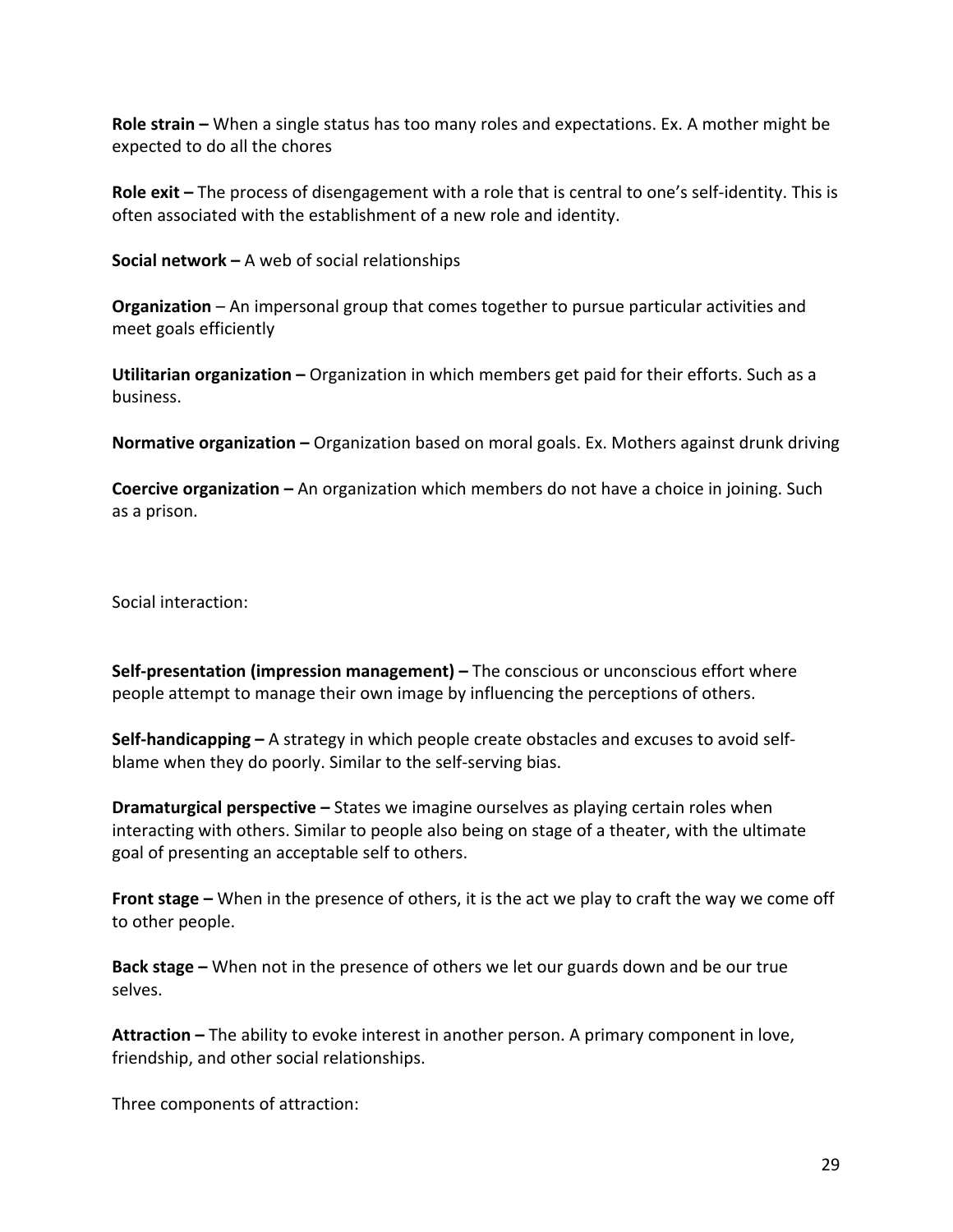**Role strain** – When a single status has too many roles and expectations. Ex. A mother might be expected to do all the chores

**Role exit** – The process of disengagement with a role that is central to one's self-identity. This is often associated with the establishment of a new role and identity.

**Social network –** A web of social relationships

**Organization** – An impersonal group that comes together to pursue particular activities and meet goals efficiently

**Utilitarian organization** – Organization in which members get paid for their efforts. Such as a business. 

**Normative organization** – Organization based on moral goals. Ex. Mothers against drunk driving

**Coercive organization** – An organization which members do not have a choice in joining. Such as a prison.

Social interaction:

**Self-presentation (impression management)** – The conscious or unconscious effort where people attempt to manage their own image by influencing the perceptions of others.

**Self-handicapping** – A strategy in which people create obstacles and excuses to avoid selfblame when they do poorly. Similar to the self-serving bias.

**Dramaturgical perspective** – States we imagine ourselves as playing certain roles when interacting with others. Similar to people also being on stage of a theater, with the ultimate goal of presenting an acceptable self to others.

**Front stage** – When in the presence of others, it is the act we play to craft the way we come off to other people.

**Back stage** – When not in the presence of others we let our guards down and be our true selves. 

**Attraction** – The ability to evoke interest in another person. A primary component in love, friendship, and other social relationships.

Three components of attraction: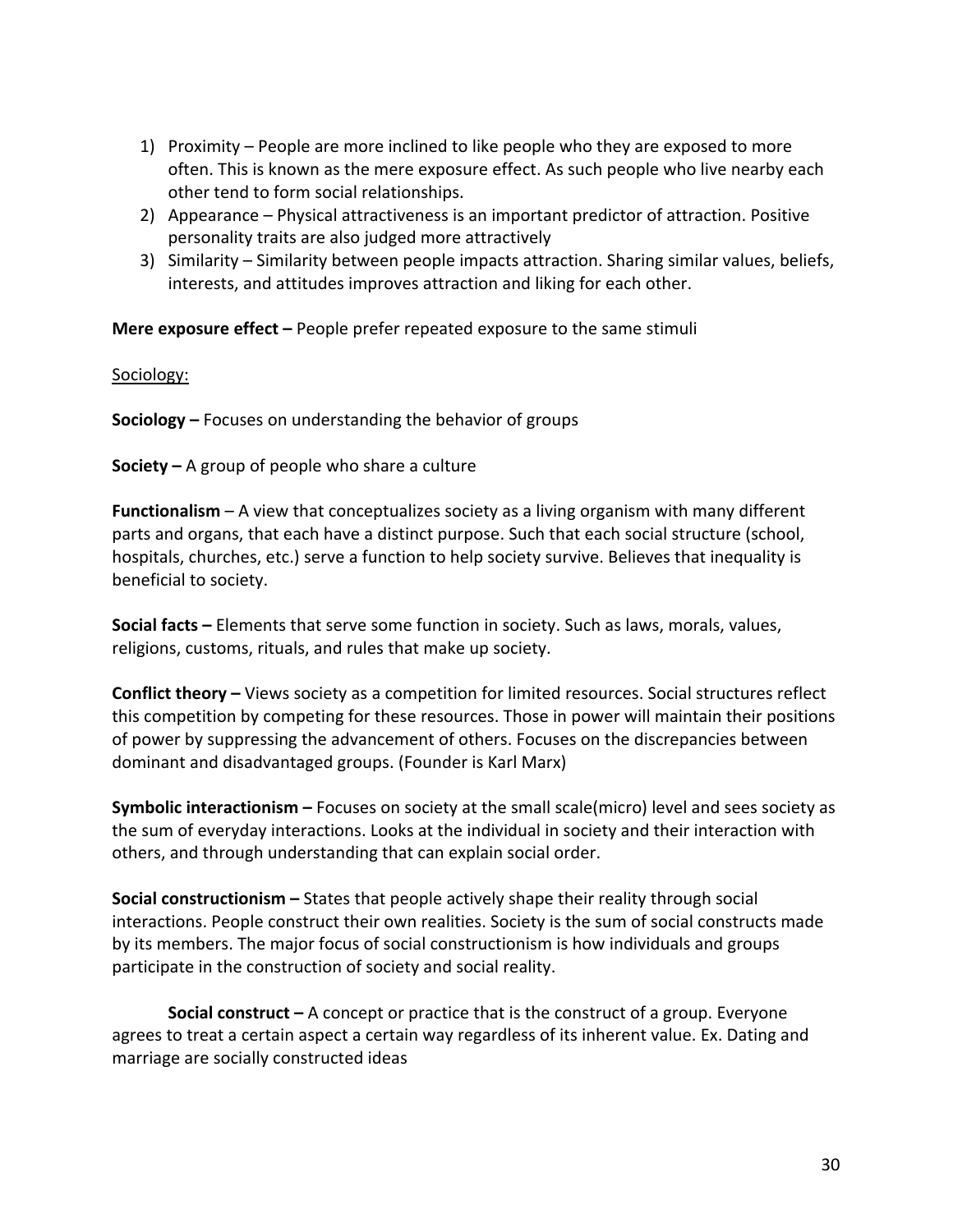- 1) Proximity People are more inclined to like people who they are exposed to more often. This is known as the mere exposure effect. As such people who live nearby each other tend to form social relationships.
- 2) Appearance Physical attractiveness is an important predictor of attraction. Positive personality traits are also judged more attractively
- 3) Similarity Similarity between people impacts attraction. Sharing similar values, beliefs, interests, and attitudes improves attraction and liking for each other.

**Mere exposure effect** – People prefer repeated exposure to the same stimuli

Sociology:

**Sociology** – Focuses on understanding the behavior of groups

**Society** – A group of people who share a culture

**Functionalism** – A view that conceptualizes society as a living organism with many different parts and organs, that each have a distinct purpose. Such that each social structure (school, hospitals, churches, etc.) serve a function to help society survive. Believes that inequality is beneficial to society.

**Social facts** – Elements that serve some function in society. Such as laws, morals, values, religions, customs, rituals, and rules that make up society.

**Conflict theory** – Views society as a competition for limited resources. Social structures reflect this competition by competing for these resources. Those in power will maintain their positions of power by suppressing the advancement of others. Focuses on the discrepancies between dominant and disadvantaged groups. (Founder is Karl Marx)

**Symbolic interactionism** – Focuses on society at the small scale(micro) level and sees society as the sum of everyday interactions. Looks at the individual in society and their interaction with others, and through understanding that can explain social order.

**Social constructionism** – States that people actively shape their reality through social interactions. People construct their own realities. Society is the sum of social constructs made by its members. The major focus of social constructionism is how individuals and groups participate in the construction of society and social reality.

**Social construct** – A concept or practice that is the construct of a group. Everyone agrees to treat a certain aspect a certain way regardless of its inherent value. Ex. Dating and marriage are socially constructed ideas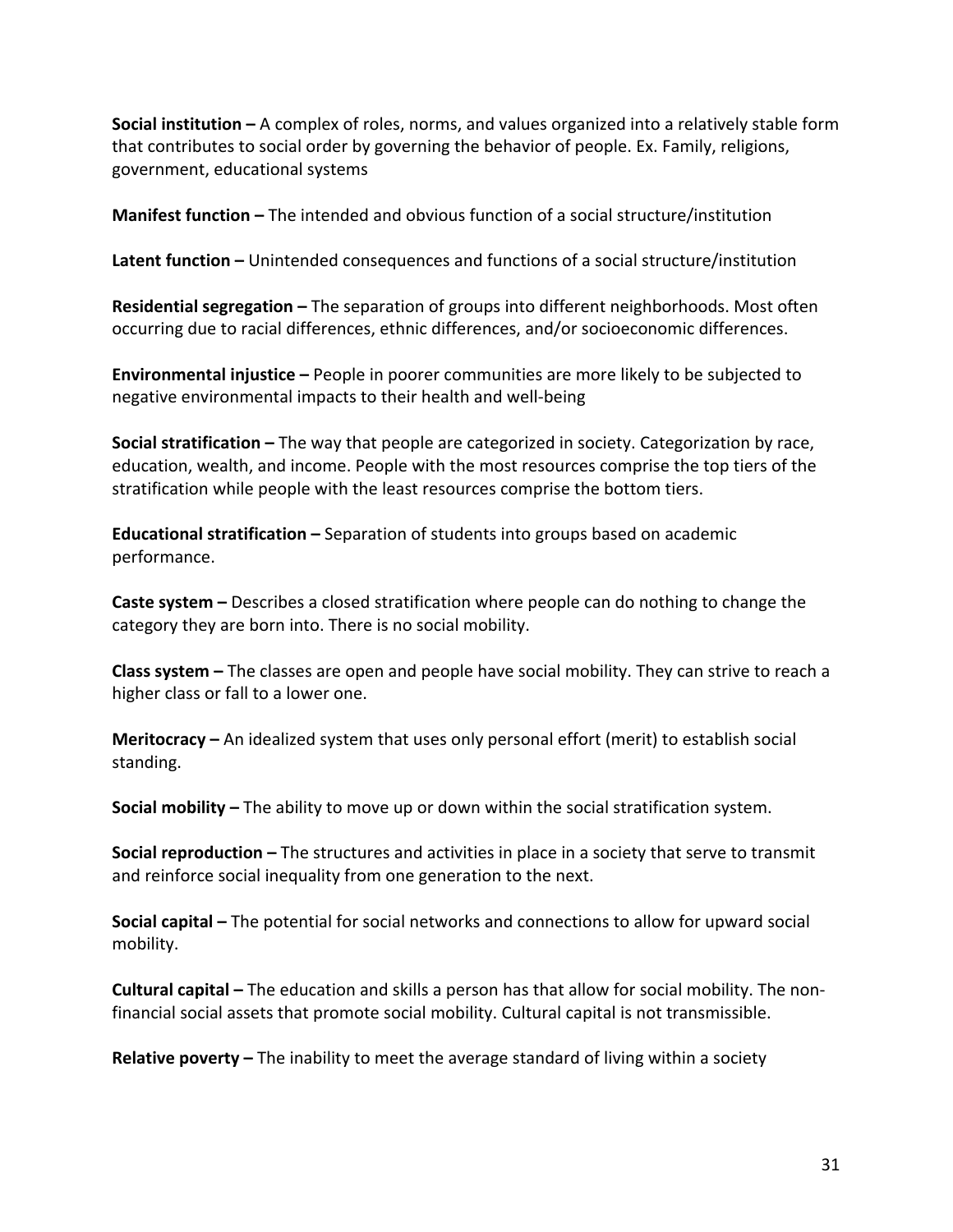**Social institution** – A complex of roles, norms, and values organized into a relatively stable form that contributes to social order by governing the behavior of people. Ex. Family, religions, government, educational systems

**Manifest function** – The intended and obvious function of a social structure/institution

**Latent function** – Unintended consequences and functions of a social structure/institution

**Residential segregation –** The separation of groups into different neighborhoods. Most often occurring due to racial differences, ethnic differences, and/or socioeconomic differences.

**Environmental injustice** – People in poorer communities are more likely to be subjected to negative environmental impacts to their health and well-being

**Social stratification** – The way that people are categorized in society. Categorization by race, education, wealth, and income. People with the most resources comprise the top tiers of the stratification while people with the least resources comprise the bottom tiers.

**Educational stratification** – Separation of students into groups based on academic performance.

**Caste system** – Describes a closed stratification where people can do nothing to change the category they are born into. There is no social mobility.

**Class system** – The classes are open and people have social mobility. They can strive to reach a higher class or fall to a lower one.

**Meritocracy** – An idealized system that uses only personal effort (merit) to establish social standing. 

**Social mobility** – The ability to move up or down within the social stratification system.

**Social reproduction** – The structures and activities in place in a society that serve to transmit and reinforce social inequality from one generation to the next.

**Social capital** – The potential for social networks and connections to allow for upward social mobility. 

**Cultural capital** – The education and skills a person has that allow for social mobility. The nonfinancial social assets that promote social mobility. Cultural capital is not transmissible.

**Relative poverty** – The inability to meet the average standard of living within a society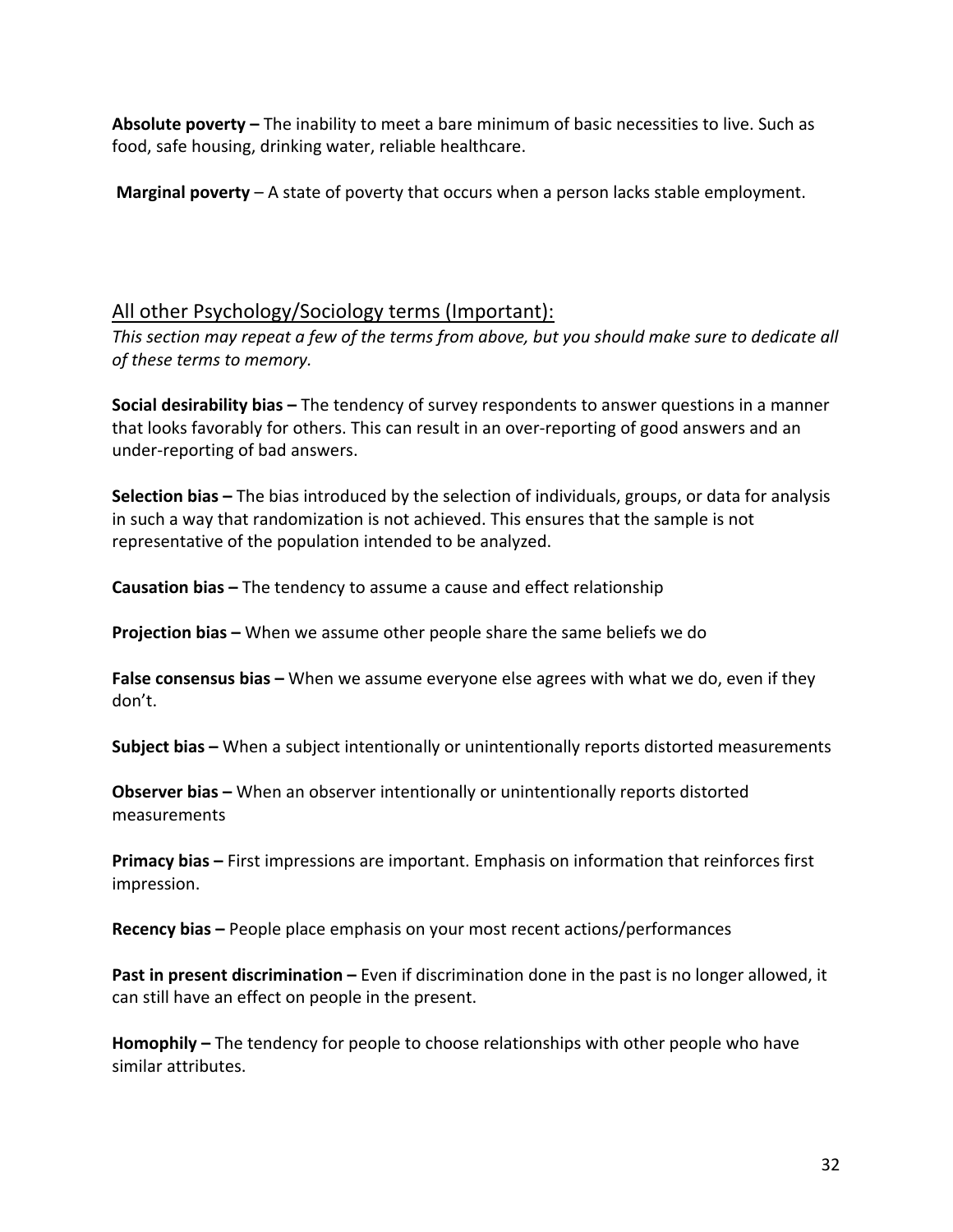**Absolute poverty** – The inability to meet a bare minimum of basic necessities to live. Such as food, safe housing, drinking water, reliable healthcare.

**Marginal poverty** – A state of poverty that occurs when a person lacks stable employment.

# All other Psychology/Sociology terms (Important):

This section may repeat a few of the terms from above, but you should make sure to dedicate all *of these terms to memory.*

**Social desirability bias –** The tendency of survey respondents to answer questions in a manner that looks favorably for others. This can result in an over-reporting of good answers and an under-reporting of bad answers.

**Selection bias** – The bias introduced by the selection of individuals, groups, or data for analysis in such a way that randomization is not achieved. This ensures that the sample is not representative of the population intended to be analyzed.

**Causation bias** – The tendency to assume a cause and effect relationship

**Projection bias** – When we assume other people share the same beliefs we do

**False consensus bias** – When we assume everyone else agrees with what we do, even if they don't.

**Subject bias** – When a subject intentionally or unintentionally reports distorted measurements

**Observer bias** – When an observer intentionally or unintentionally reports distorted measurements 

**Primacy bias** – First impressions are important. Emphasis on information that reinforces first impression. 

**Recency bias** – People place emphasis on your most recent actions/performances

**Past in present discrimination** – Even if discrimination done in the past is no longer allowed, it can still have an effect on people in the present.

Homophily – The tendency for people to choose relationships with other people who have similar attributes.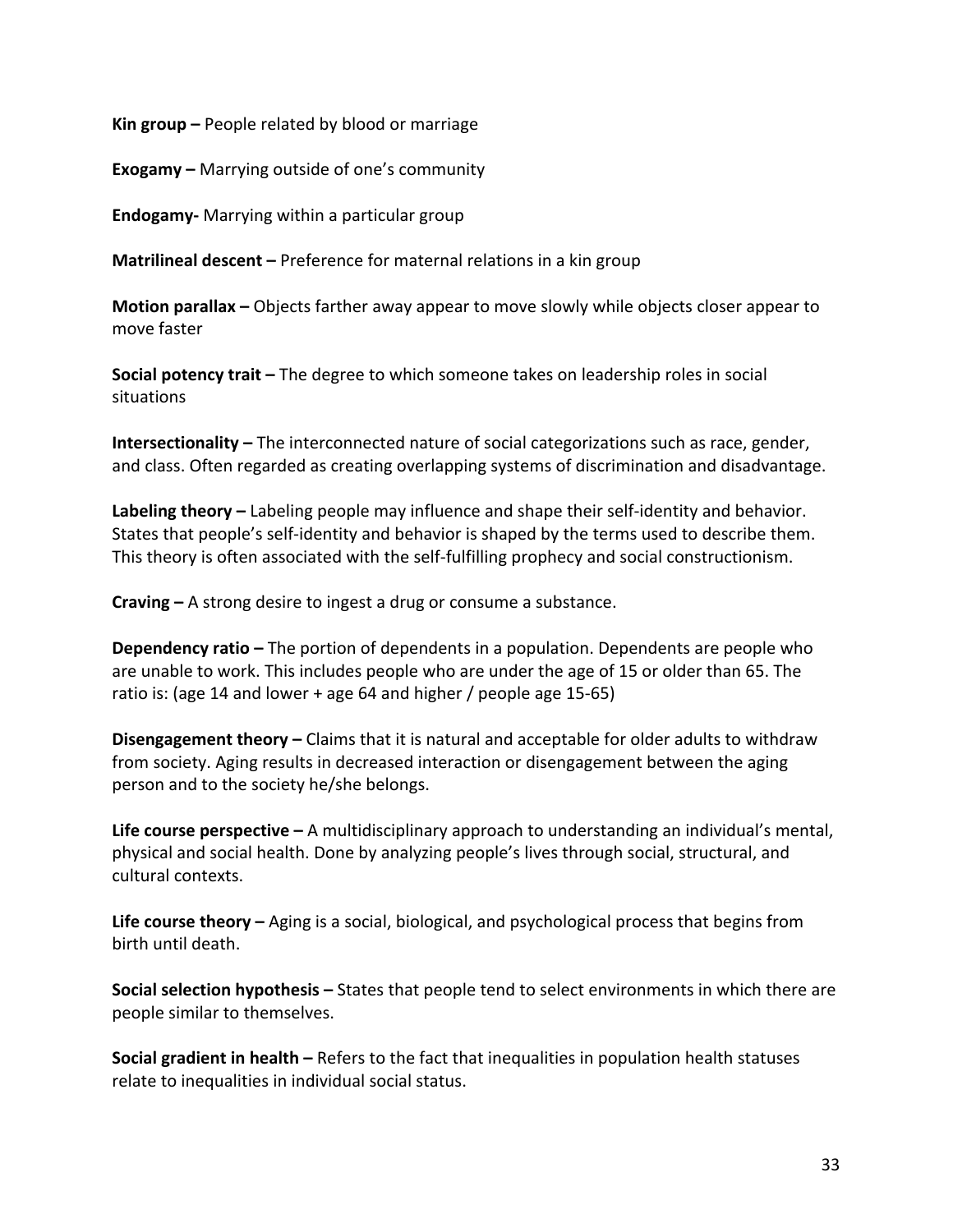**Kin group** – People related by blood or marriage

**Exogamy** – Marrying outside of one's community

**Endogamy-** Marrying within a particular group

**Matrilineal descent** – Preference for maternal relations in a kin group

**Motion parallax** – Objects farther away appear to move slowly while objects closer appear to move faster

**Social potency trait** – The degree to which someone takes on leadership roles in social situations 

**Intersectionality** – The interconnected nature of social categorizations such as race, gender, and class. Often regarded as creating overlapping systems of discrimination and disadvantage.

**Labeling theory** – Labeling people may influence and shape their self-identity and behavior. States that people's self-identity and behavior is shaped by the terms used to describe them. This theory is often associated with the self-fulfilling prophecy and social constructionism.

**Craving** – A strong desire to ingest a drug or consume a substance.

**Dependency ratio** – The portion of dependents in a population. Dependents are people who are unable to work. This includes people who are under the age of 15 or older than 65. The ratio is: (age 14 and lower + age 64 and higher / people age 15-65)

**Disengagement theory** – Claims that it is natural and acceptable for older adults to withdraw from society. Aging results in decreased interaction or disengagement between the aging person and to the society he/she belongs.

**Life course perspective** – A multidisciplinary approach to understanding an individual's mental, physical and social health. Done by analyzing people's lives through social, structural, and cultural contexts.

**Life course theory** – Aging is a social, biological, and psychological process that begins from birth until death.

**Social selection hypothesis** – States that people tend to select environments in which there are people similar to themselves.

**Social gradient in health** – Refers to the fact that inequalities in population health statuses relate to inequalities in individual social status.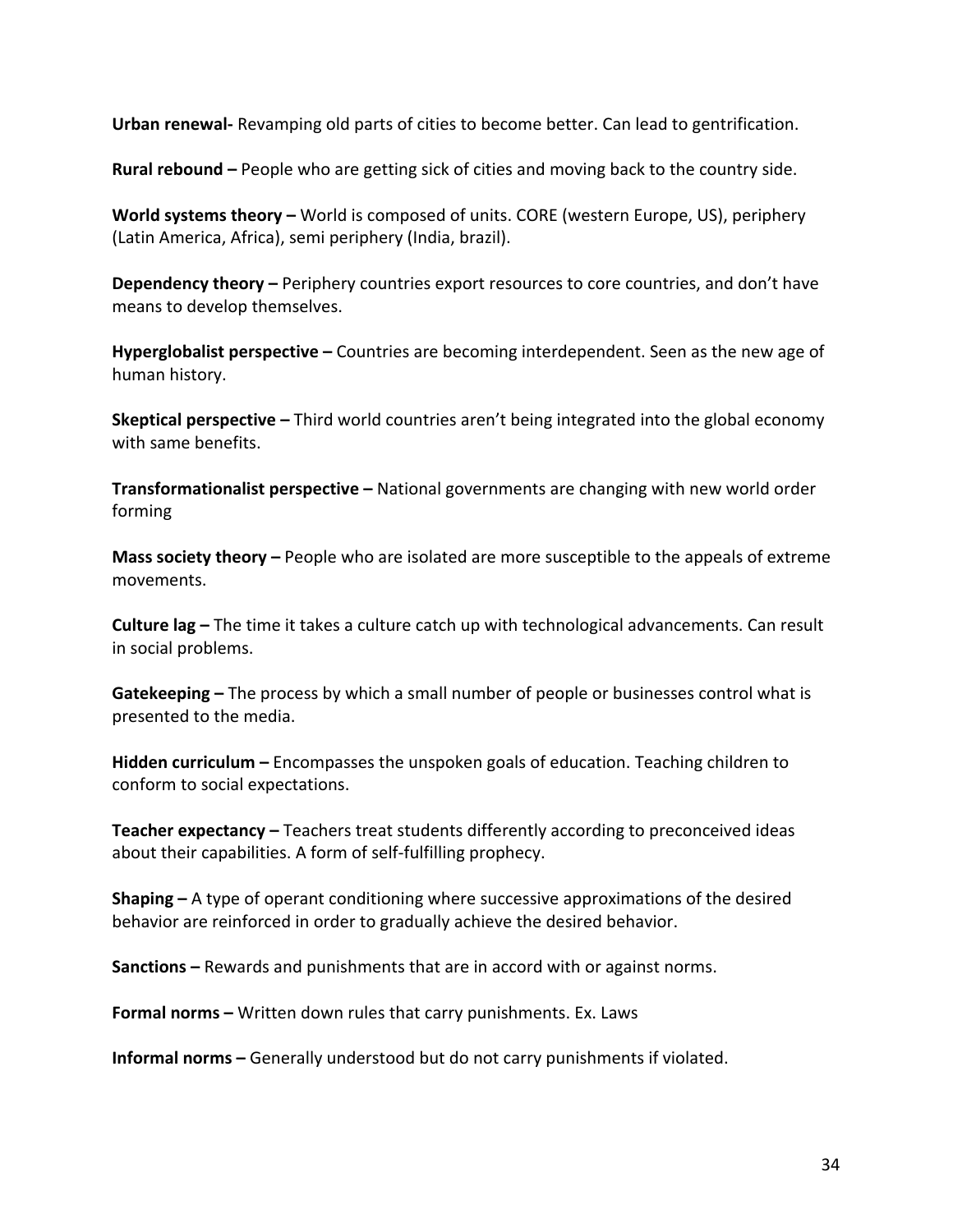**Urban renewal-** Revamping old parts of cities to become better. Can lead to gentrification.

**Rural rebound** – People who are getting sick of cities and moving back to the country side.

**World systems theory** – World is composed of units. CORE (western Europe, US), periphery (Latin America, Africa), semi periphery (India, brazil).

**Dependency theory** – Periphery countries export resources to core countries, and don't have means to develop themselves.

**Hyperglobalist perspective** – Countries are becoming interdependent. Seen as the new age of human history.

**Skeptical perspective** – Third world countries aren't being integrated into the global economy with same benefits.

**Transformationalist perspective –** National governments are changing with new world order forming

**Mass society theory** – People who are isolated are more susceptible to the appeals of extreme movements. 

**Culture lag** – The time it takes a culture catch up with technological advancements. Can result in social problems.

**Gatekeeping** – The process by which a small number of people or businesses control what is presented to the media.

**Hidden curriculum** – Encompasses the unspoken goals of education. Teaching children to conform to social expectations.

**Teacher expectancy** – Teachers treat students differently according to preconceived ideas about their capabilities. A form of self-fulfilling prophecy.

**Shaping** – A type of operant conditioning where successive approximations of the desired behavior are reinforced in order to gradually achieve the desired behavior.

**Sanctions** – Rewards and punishments that are in accord with or against norms.

**Formal norms –** Written down rules that carry punishments. Ex. Laws

**Informal norms** – Generally understood but do not carry punishments if violated.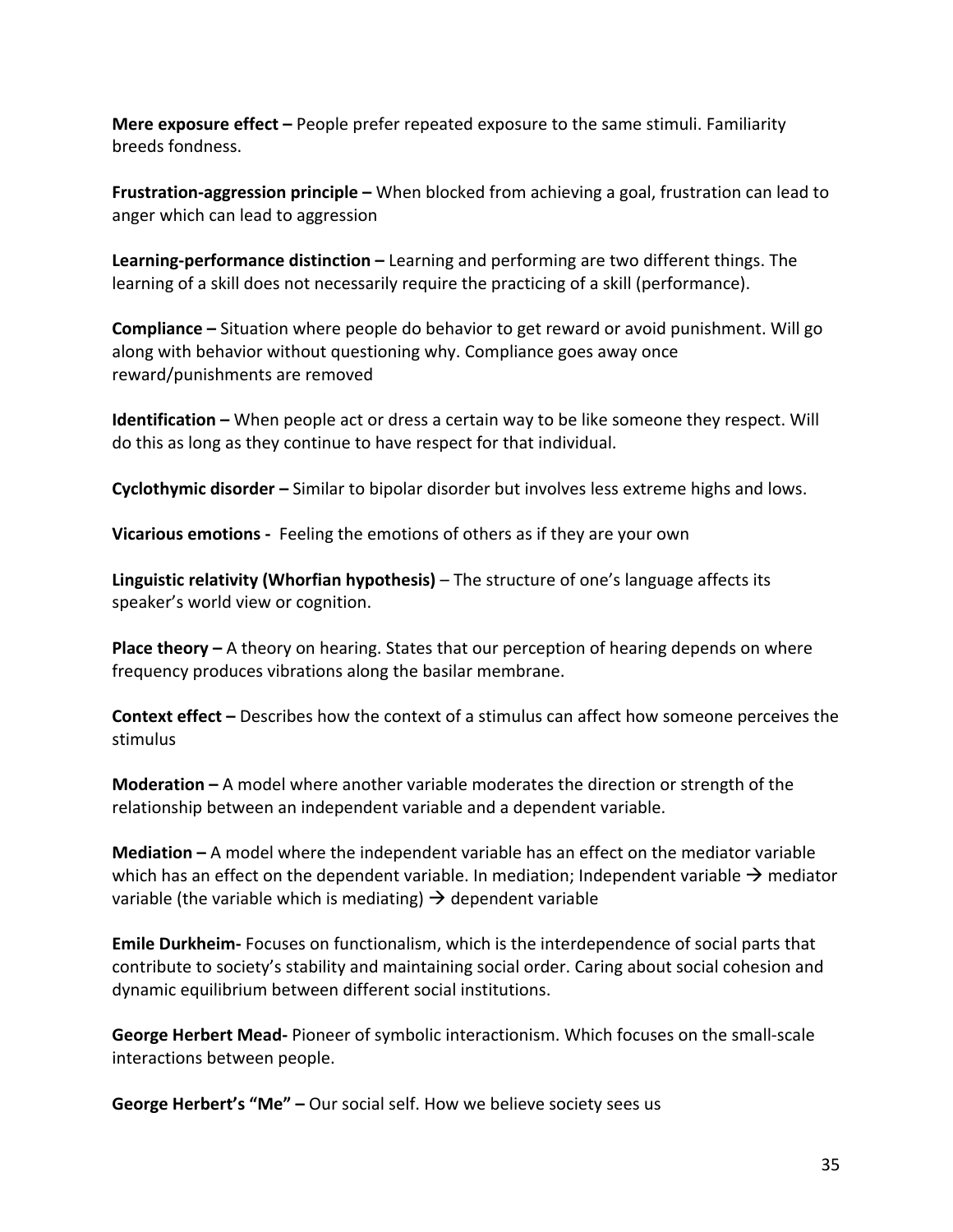**Mere exposure effect** – People prefer repeated exposure to the same stimuli. Familiarity breeds fondness.

**Frustration-aggression principle –** When blocked from achieving a goal, frustration can lead to anger which can lead to aggression

**Learning-performance distinction** – Learning and performing are two different things. The learning of a skill does not necessarily require the practicing of a skill (performance).

**Compliance** – Situation where people do behavior to get reward or avoid punishment. Will go along with behavior without questioning why. Compliance goes away once reward/punishments are removed

**Identification** – When people act or dress a certain way to be like someone they respect. Will do this as long as they continue to have respect for that individual.

**Cyclothymic disorder** – Similar to bipolar disorder but involves less extreme highs and lows.

**Vicarious emotions** - Feeling the emotions of others as if they are your own

**Linguistic relativity (Whorfian hypothesis)** – The structure of one's language affects its speaker's world view or cognition.

**Place theory** – A theory on hearing. States that our perception of hearing depends on where frequency produces vibrations along the basilar membrane.

**Context effect** – Describes how the context of a stimulus can affect how someone perceives the stimulus

**Moderation** – A model where another variable moderates the direction or strength of the relationship between an independent variable and a dependent variable.

**Mediation** – A model where the independent variable has an effect on the mediator variable which has an effect on the dependent variable. In mediation; Independent variable  $\rightarrow$  mediator variable (the variable which is mediating)  $\rightarrow$  dependent variable

**Emile Durkheim-** Focuses on functionalism, which is the interdependence of social parts that contribute to society's stability and maintaining social order. Caring about social cohesion and dynamic equilibrium between different social institutions.

**George Herbert Mead-** Pioneer of symbolic interactionism. Which focuses on the small-scale interactions between people.

**George Herbert's "Me" –** Our social self. How we believe society sees us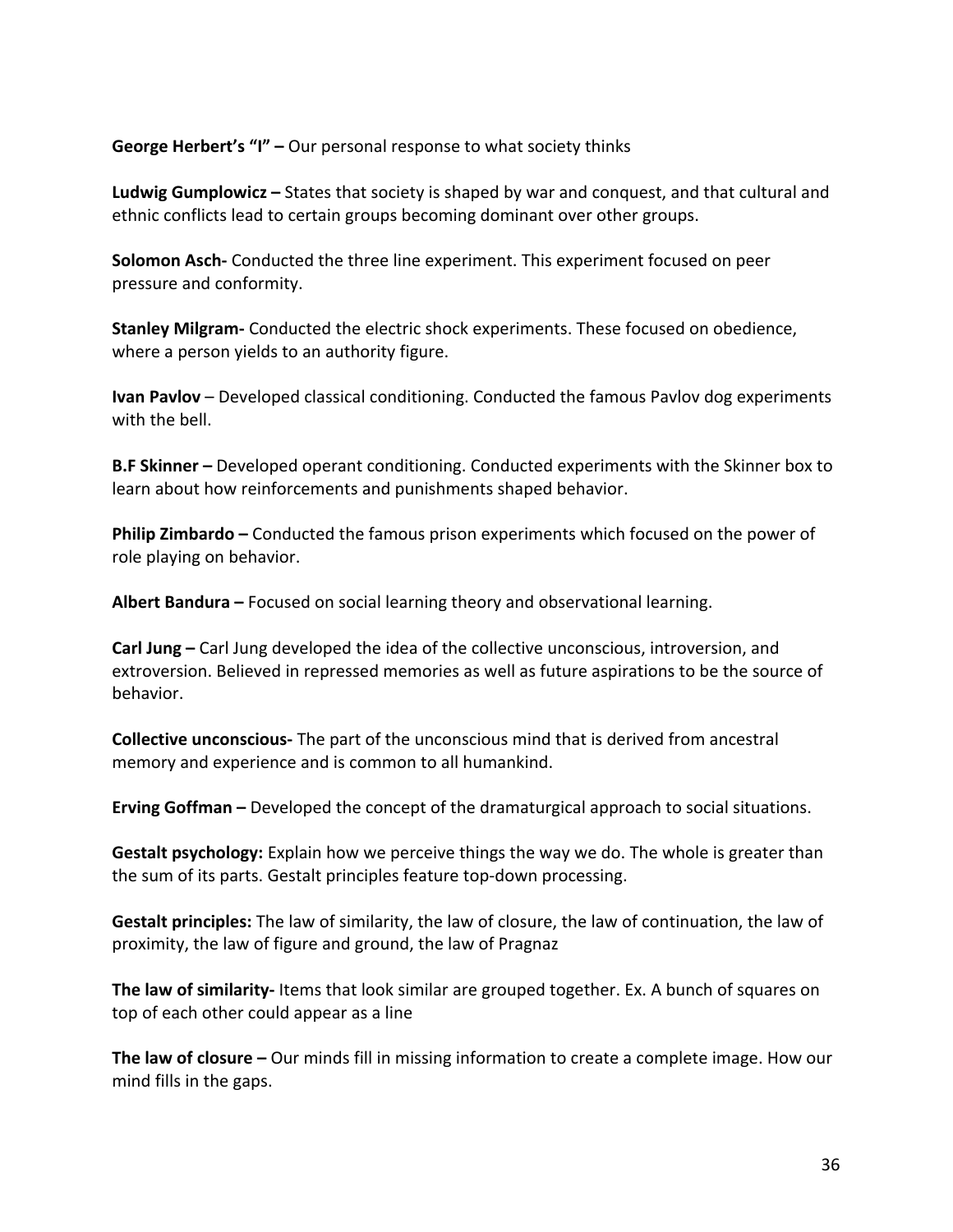**George Herbert's "I"** - Our personal response to what society thinks

**Ludwig Gumplowicz** – States that society is shaped by war and conquest, and that cultural and ethnic conflicts lead to certain groups becoming dominant over other groups.

**Solomon Asch-** Conducted the three line experiment. This experiment focused on peer pressure and conformity.

**Stanley Milgram-** Conducted the electric shock experiments. These focused on obedience, where a person yields to an authority figure.

**Ivan Pavlov** – Developed classical conditioning. Conducted the famous Pavlov dog experiments with the bell.

**B.F Skinner** – Developed operant conditioning. Conducted experiments with the Skinner box to learn about how reinforcements and punishments shaped behavior.

**Philip Zimbardo** – Conducted the famous prison experiments which focused on the power of role playing on behavior.

**Albert Bandura** – Focused on social learning theory and observational learning.

**Carl Jung** – Carl Jung developed the idea of the collective unconscious, introversion, and extroversion. Believed in repressed memories as well as future aspirations to be the source of behavior. 

**Collective unconscious-** The part of the unconscious mind that is derived from ancestral memory and experience and is common to all humankind.

**Erving Goffman** – Developed the concept of the dramaturgical approach to social situations.

**Gestalt psychology:** Explain how we perceive things the way we do. The whole is greater than the sum of its parts. Gestalt principles feature top-down processing.

**Gestalt principles:** The law of similarity, the law of closure, the law of continuation, the law of proximity, the law of figure and ground, the law of Pragnaz

**The law of similarity-** Items that look similar are grouped together. Ex. A bunch of squares on top of each other could appear as a line

**The law of closure** – Our minds fill in missing information to create a complete image. How our mind fills in the gaps.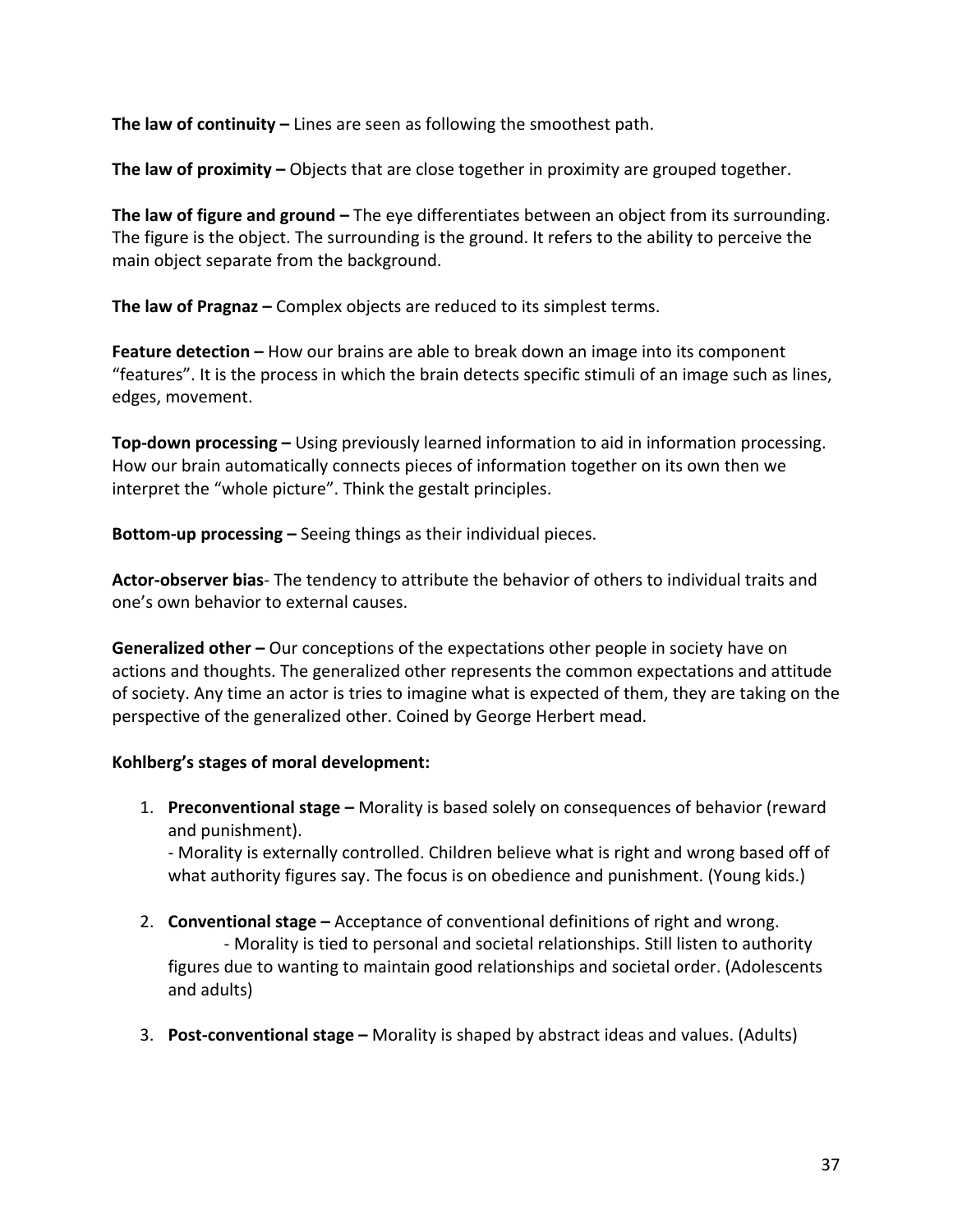**The law of continuity** – Lines are seen as following the smoothest path.

**The law of proximity** – Objects that are close together in proximity are grouped together.

**The law of figure and ground** – The eye differentiates between an object from its surrounding. The figure is the object. The surrounding is the ground. It refers to the ability to perceive the main object separate from the background.

**The law of Pragnaz** – Complex objects are reduced to its simplest terms.

**Feature detection** – How our brains are able to break down an image into its component "features". It is the process in which the brain detects specific stimuli of an image such as lines, edges, movement.

**Top-down processing** – Using previously learned information to aid in information processing. How our brain automatically connects pieces of information together on its own then we interpret the "whole picture". Think the gestalt principles.

**Bottom-up processing** – Seeing things as their individual pieces.

**Actor-observer bias**- The tendency to attribute the behavior of others to individual traits and one's own behavior to external causes.

**Generalized other** – Our conceptions of the expectations other people in society have on actions and thoughts. The generalized other represents the common expectations and attitude of society. Any time an actor is tries to imagine what is expected of them, they are taking on the perspective of the generalized other. Coined by George Herbert mead.

## Kohlberg's stages of moral development:

1. **Preconventional stage** – Morality is based solely on consequences of behavior (reward and punishment).

- Morality is externally controlled. Children believe what is right and wrong based off of what authority figures say. The focus is on obedience and punishment. (Young kids.)

- 2. **Conventional stage** Acceptance of conventional definitions of right and wrong. - Morality is tied to personal and societal relationships. Still listen to authority figures due to wanting to maintain good relationships and societal order. (Adolescents and adults)
- 3. **Post-conventional stage** Morality is shaped by abstract ideas and values. (Adults)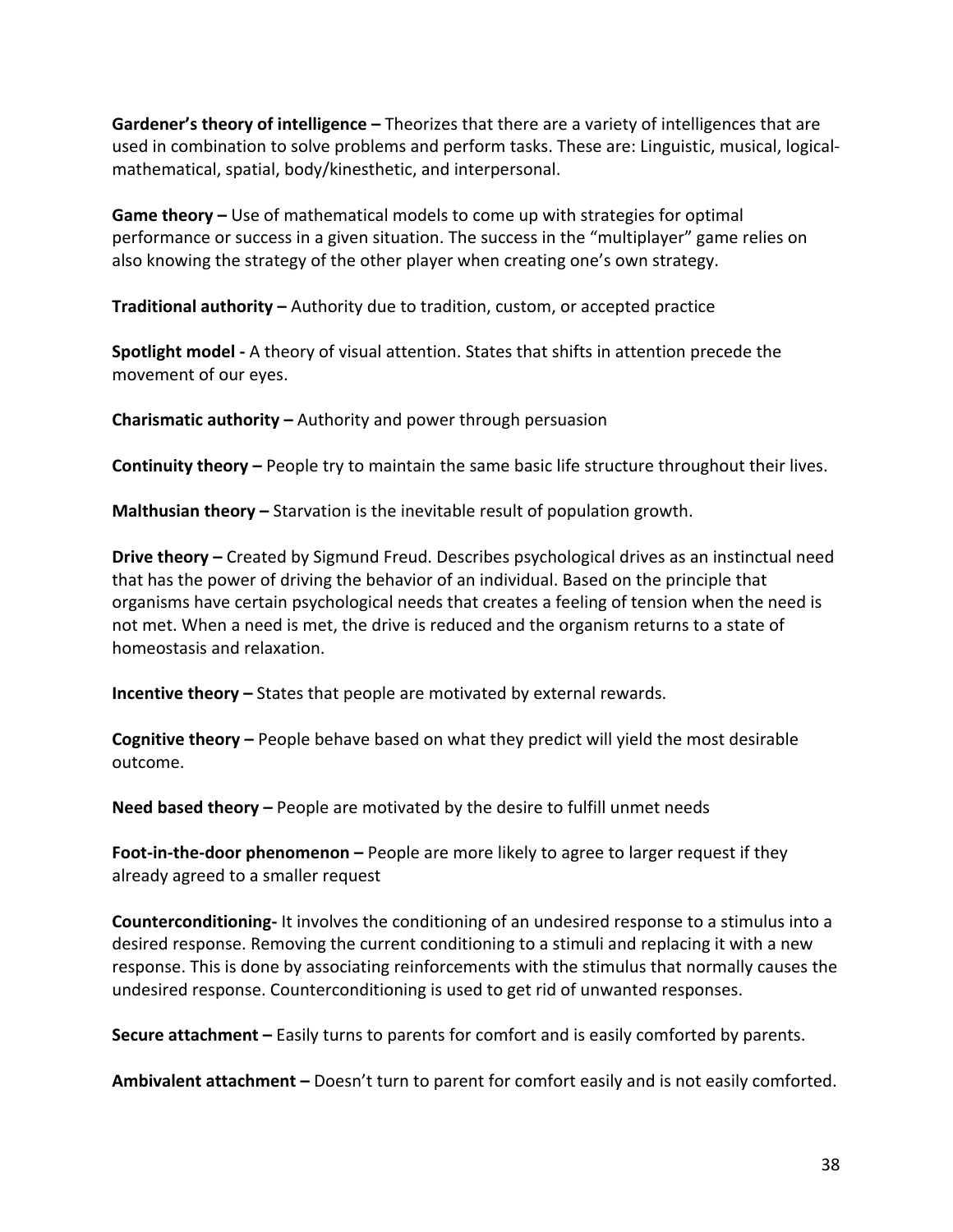**Gardener's theory of intelligence** – Theorizes that there are a variety of intelligences that are used in combination to solve problems and perform tasks. These are: Linguistic, musical, logicalmathematical, spatial, body/kinesthetic, and interpersonal.

**Game theory** – Use of mathematical models to come up with strategies for optimal performance or success in a given situation. The success in the "multiplayer" game relies on also knowing the strategy of the other player when creating one's own strategy.

**Traditional authority** – Authority due to tradition, custom, or accepted practice

**Spotlight model -** A theory of visual attention. States that shifts in attention precede the movement of our eyes.

**Charismatic authority** – Authority and power through persuasion

**Continuity theory** – People try to maintain the same basic life structure throughout their lives.

**Malthusian theory** – Starvation is the inevitable result of population growth.

**Drive theory** – Created by Sigmund Freud. Describes psychological drives as an instinctual need that has the power of driving the behavior of an individual. Based on the principle that organisms have certain psychological needs that creates a feeling of tension when the need is not met. When a need is met, the drive is reduced and the organism returns to a state of homeostasis and relaxation.

**Incentive theory** – States that people are motivated by external rewards.

**Cognitive theory** – People behave based on what they predict will yield the most desirable outcome. 

**Need based theory** – People are motivated by the desire to fulfill unmet needs

**Foot-in-the-door phenomenon** – People are more likely to agree to larger request if they already agreed to a smaller request

**Counterconditioning-** It involves the conditioning of an undesired response to a stimulus into a desired response. Removing the current conditioning to a stimuli and replacing it with a new response. This is done by associating reinforcements with the stimulus that normally causes the undesired response. Counterconditioning is used to get rid of unwanted responses.

**Secure attachment** – Easily turns to parents for comfort and is easily comforted by parents.

**Ambivalent attachment** – Doesn't turn to parent for comfort easily and is not easily comforted.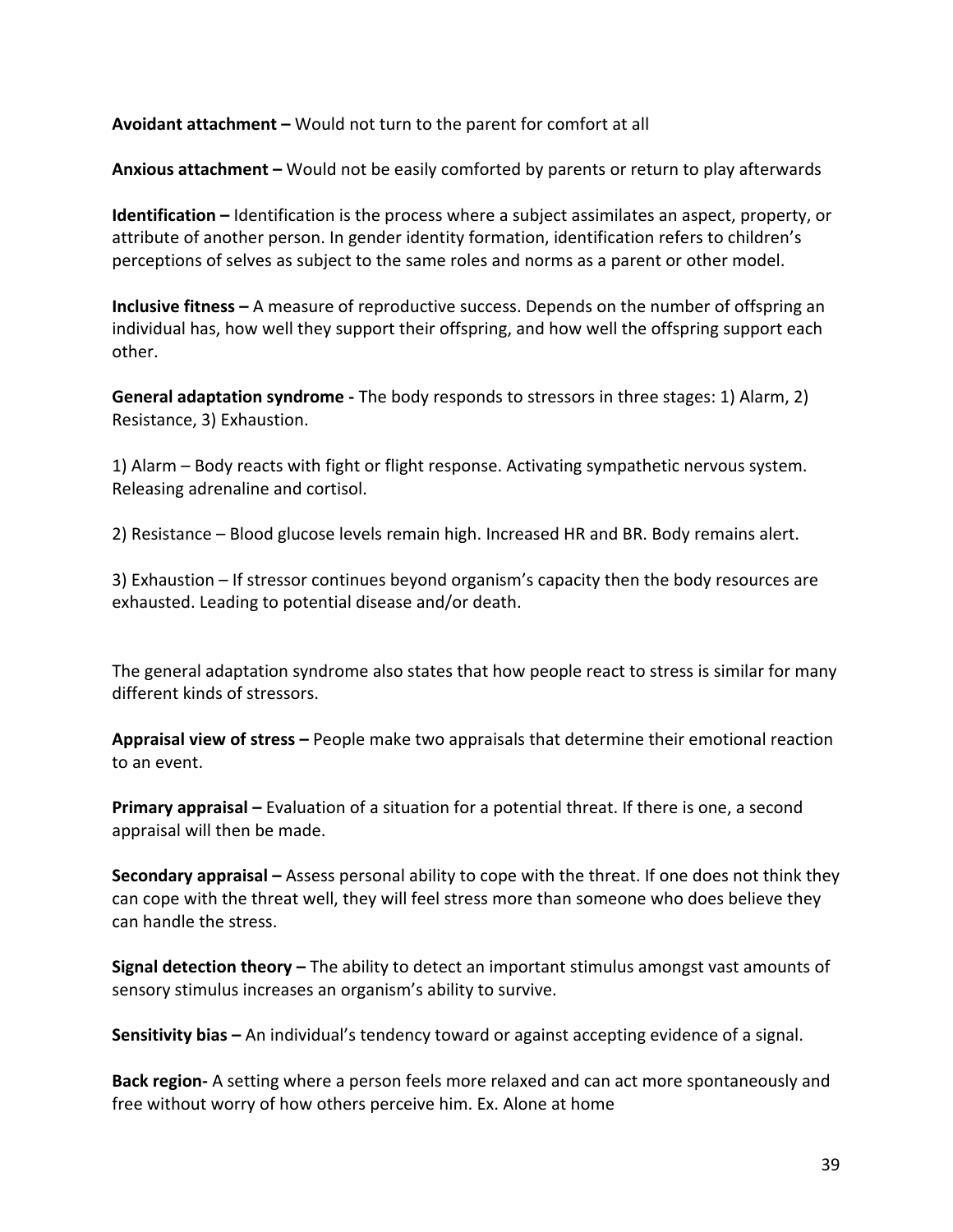**Avoidant attachment –** Would not turn to the parent for comfort at all

**Anxious attachment** – Would not be easily comforted by parents or return to play afterwards

**Identification** – Identification is the process where a subject assimilates an aspect, property, or attribute of another person. In gender identity formation, identification refers to children's perceptions of selves as subject to the same roles and norms as a parent or other model.

**Inclusive fitness** – A measure of reproductive success. Depends on the number of offspring an individual has, how well they support their offspring, and how well the offspring support each other. 

**General adaptation syndrome** - The body responds to stressors in three stages: 1) Alarm, 2) Resistance, 3) Exhaustion.

1) Alarm – Body reacts with fight or flight response. Activating sympathetic nervous system. Releasing adrenaline and cortisol.

2) Resistance – Blood glucose levels remain high. Increased HR and BR. Body remains alert.

3) Exhaustion – If stressor continues beyond organism's capacity then the body resources are exhausted. Leading to potential disease and/or death.

The general adaptation syndrome also states that how people react to stress is similar for many different kinds of stressors.

**Appraisal view of stress –** People make two appraisals that determine their emotional reaction to an event.

**Primary appraisal –** Evaluation of a situation for a potential threat. If there is one, a second appraisal will then be made.

**Secondary appraisal** – Assess personal ability to cope with the threat. If one does not think they can cope with the threat well, they will feel stress more than someone who does believe they can handle the stress.

**Signal detection theory** – The ability to detect an important stimulus amongst vast amounts of sensory stimulus increases an organism's ability to survive.

**Sensitivity bias** – An individual's tendency toward or against accepting evidence of a signal.

**Back region-** A setting where a person feels more relaxed and can act more spontaneously and free without worry of how others perceive him. Ex. Alone at home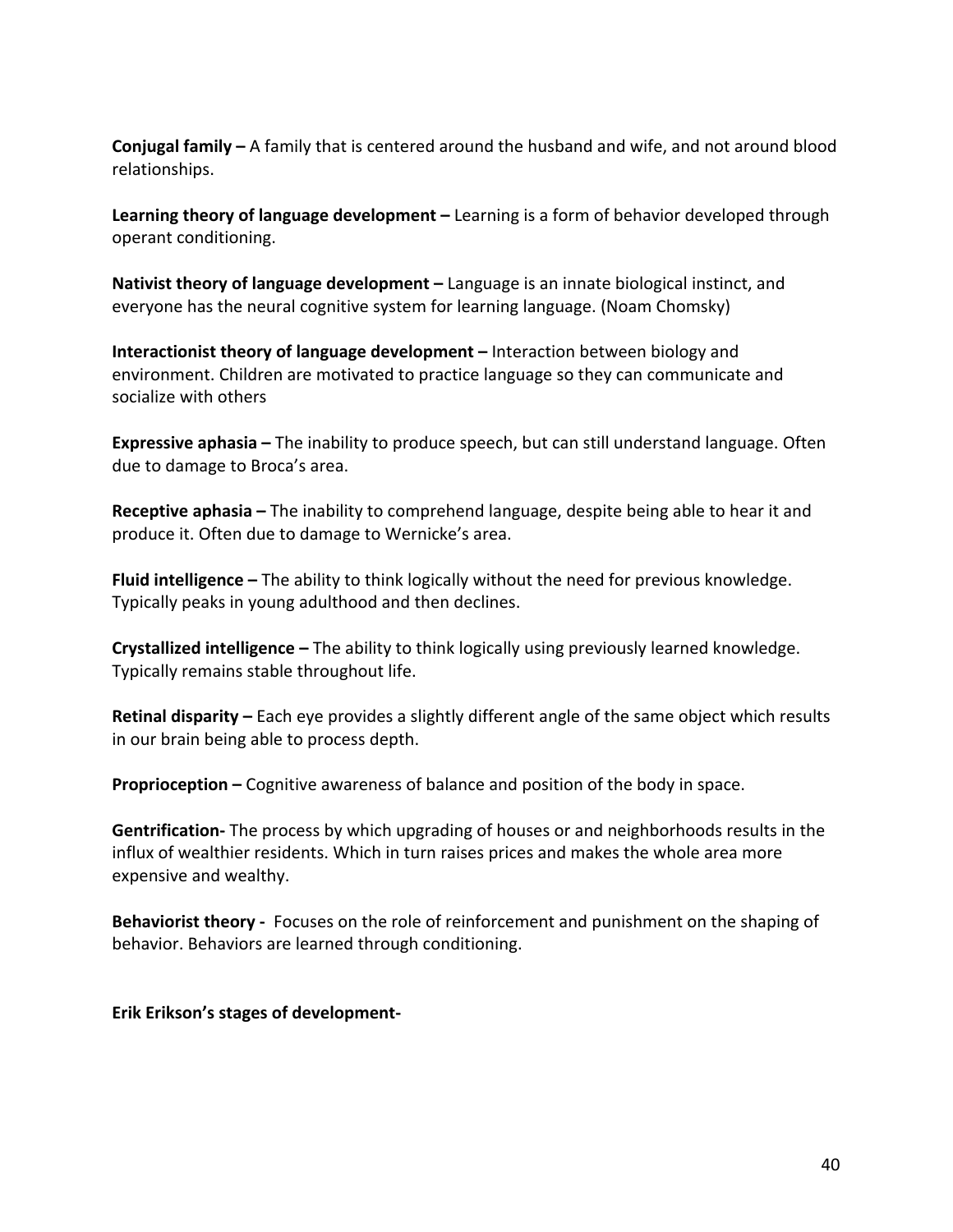**Conjugal family** – A family that is centered around the husband and wife, and not around blood relationships. 

**Learning theory of language development** – Learning is a form of behavior developed through operant conditioning.

**Nativist theory of language development** – Language is an innate biological instinct, and everyone has the neural cognitive system for learning language. (Noam Chomsky)

**Interactionist theory of language development** – Interaction between biology and environment. Children are motivated to practice language so they can communicate and socialize with others

**Expressive aphasia** – The inability to produce speech, but can still understand language. Often due to damage to Broca's area.

**Receptive aphasia** – The inability to comprehend language, despite being able to hear it and produce it. Often due to damage to Wernicke's area.

**Fluid intelligence** – The ability to think logically without the need for previous knowledge. Typically peaks in young adulthood and then declines.

**Crystallized intelligence** – The ability to think logically using previously learned knowledge. Typically remains stable throughout life.

**Retinal disparity** – Each eye provides a slightly different angle of the same object which results in our brain being able to process depth.

**Proprioception** – Cognitive awareness of balance and position of the body in space.

**Gentrification-** The process by which upgrading of houses or and neighborhoods results in the influx of wealthier residents. Which in turn raises prices and makes the whole area more expensive and wealthy.

**Behaviorist theory** - Focuses on the role of reinforcement and punishment on the shaping of behavior. Behaviors are learned through conditioning.

**Erik Erikson's stages of development-**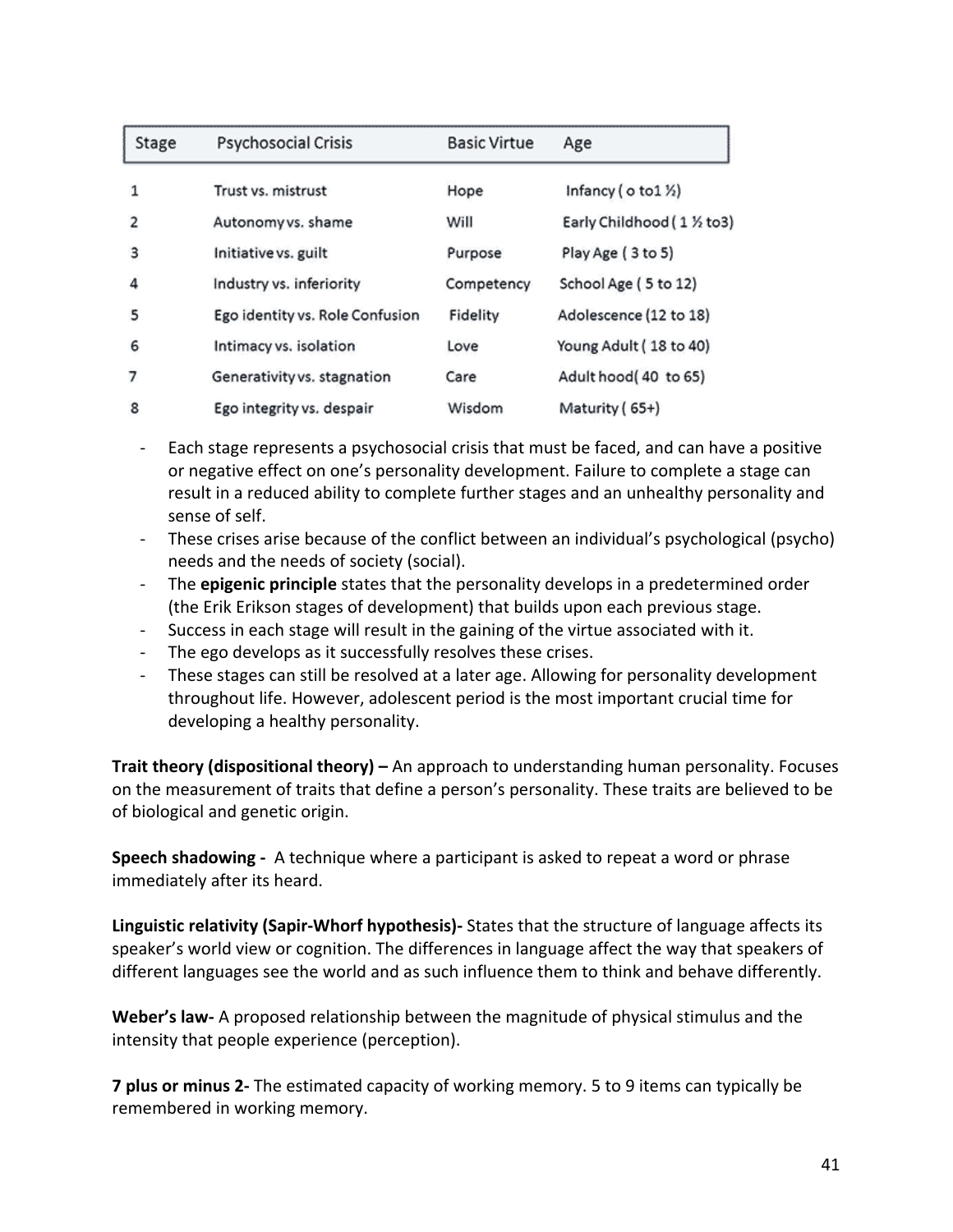| Stage          | Psychosocial Crisis             | <b>Basic Virtue</b> | Age                                    |
|----------------|---------------------------------|---------------------|----------------------------------------|
| 1              | Trust vs. mistrust              | Hope                | Infancy ( $\circ$ to 1 $\frac{1}{2}$ ) |
| $\overline{2}$ | Autonomy vs. shame              | Will                | Early Childhood (1 % to3)              |
| з              | Initiative vs. guilt            | Purpose             | Play Age (3 to 5)                      |
| 4              | Industry vs. inferiority        | Competency          | School Age (5 to 12)                   |
| 5              | Ego identity vs. Role Confusion | Fidelity            | Adolescence (12 to 18)                 |
| 6              | Intimacy vs. isolation          | Love                | Young Adult (18 to 40)                 |
| 7              | Generativity vs. stagnation     | Care                | Adult hood(40 to 65)                   |
| 8              | Ego integrity vs. despair       | Wisdom              | Maturity (65+)                         |

- Each stage represents a psychosocial crisis that must be faced, and can have a positive or negative effect on one's personality development. Failure to complete a stage can result in a reduced ability to complete further stages and an unhealthy personality and sense of self.
- These crises arise because of the conflict between an individual's psychological (psycho) needs and the needs of society (social).
- The **epigenic principle** states that the personality develops in a predetermined order (the Erik Erikson stages of development) that builds upon each previous stage.
- Success in each stage will result in the gaining of the virtue associated with it.
- The ego develops as it successfully resolves these crises.
- These stages can still be resolved at a later age. Allowing for personality development throughout life. However, adolescent period is the most important crucial time for developing a healthy personality.

**Trait theory (dispositional theory) –** An approach to understanding human personality. Focuses on the measurement of traits that define a person's personality. These traits are believed to be of biological and genetic origin.

**Speech shadowing** - A technique where a participant is asked to repeat a word or phrase immediately after its heard.

**Linguistic relativity (Sapir-Whorf hypothesis)**- States that the structure of language affects its speaker's world view or cognition. The differences in language affect the way that speakers of different languages see the world and as such influence them to think and behave differently.

**Weber's law-** A proposed relationship between the magnitude of physical stimulus and the intensity that people experience (perception).

**7 plus or minus 2-** The estimated capacity of working memory. 5 to 9 items can typically be remembered in working memory.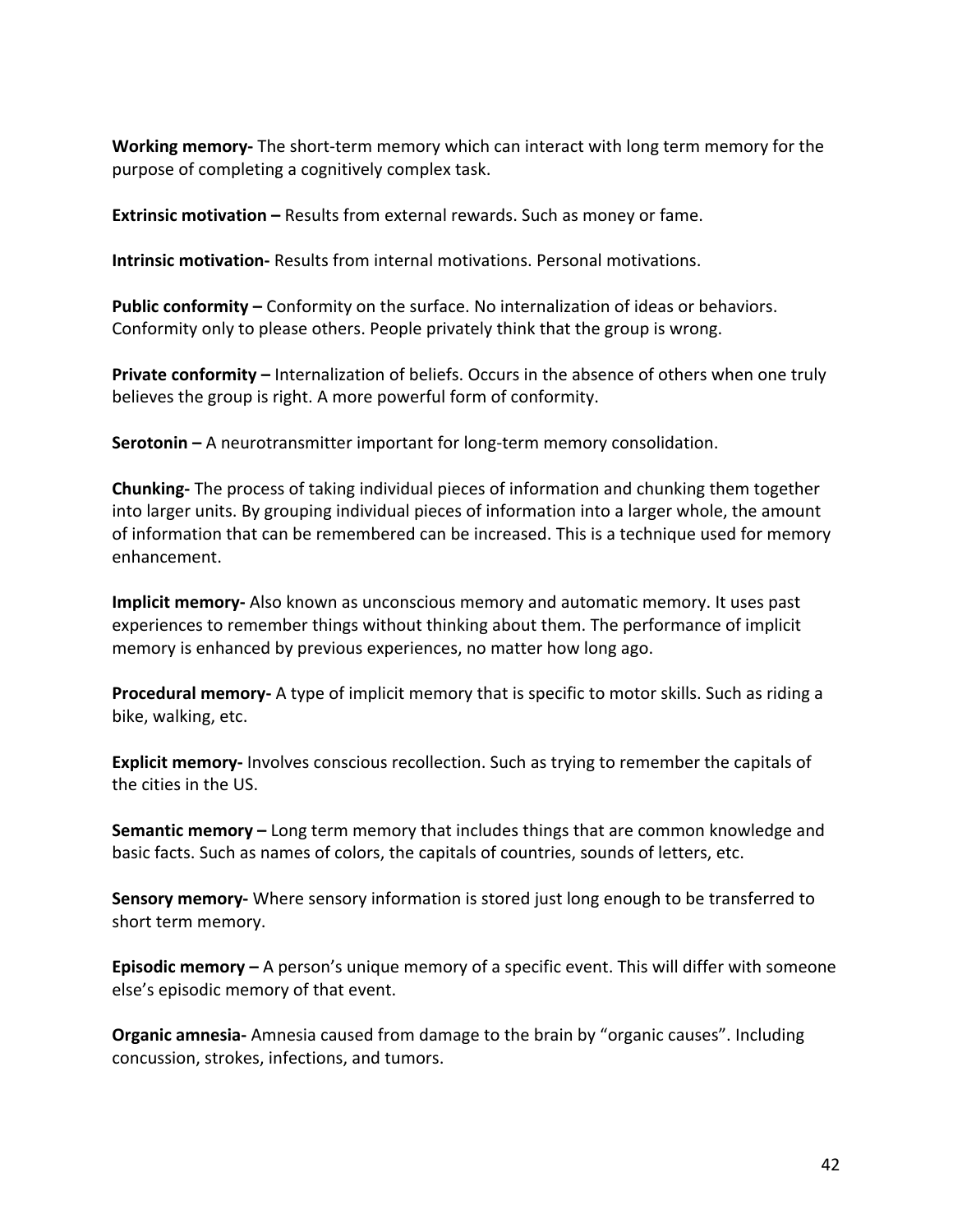**Working memory-** The short-term memory which can interact with long term memory for the purpose of completing a cognitively complex task.

**Extrinsic motivation** – Results from external rewards. Such as money or fame.

**Intrinsic motivation-** Results from internal motivations. Personal motivations.

**Public conformity** – Conformity on the surface. No internalization of ideas or behaviors. Conformity only to please others. People privately think that the group is wrong.

**Private conformity** – Internalization of beliefs. Occurs in the absence of others when one truly believes the group is right. A more powerful form of conformity.

**Serotonin** – A neurotransmitter important for long-term memory consolidation.

**Chunking-** The process of taking individual pieces of information and chunking them together into larger units. By grouping individual pieces of information into a larger whole, the amount of information that can be remembered can be increased. This is a technique used for memory enhancement. 

**Implicit memory-** Also known as unconscious memory and automatic memory. It uses past experiences to remember things without thinking about them. The performance of implicit memory is enhanced by previous experiences, no matter how long ago.

**Procedural memory-** A type of implicit memory that is specific to motor skills. Such as riding a bike, walking, etc.

**Explicit memory-** Involves conscious recollection. Such as trying to remember the capitals of the cities in the US.

**Semantic memory** – Long term memory that includes things that are common knowledge and basic facts. Such as names of colors, the capitals of countries, sounds of letters, etc.

**Sensory memory-** Where sensory information is stored just long enough to be transferred to short term memory.

**Episodic memory** – A person's unique memory of a specific event. This will differ with someone else's episodic memory of that event.

**Organic amnesia-** Amnesia caused from damage to the brain by "organic causes". Including concussion, strokes, infections, and tumors.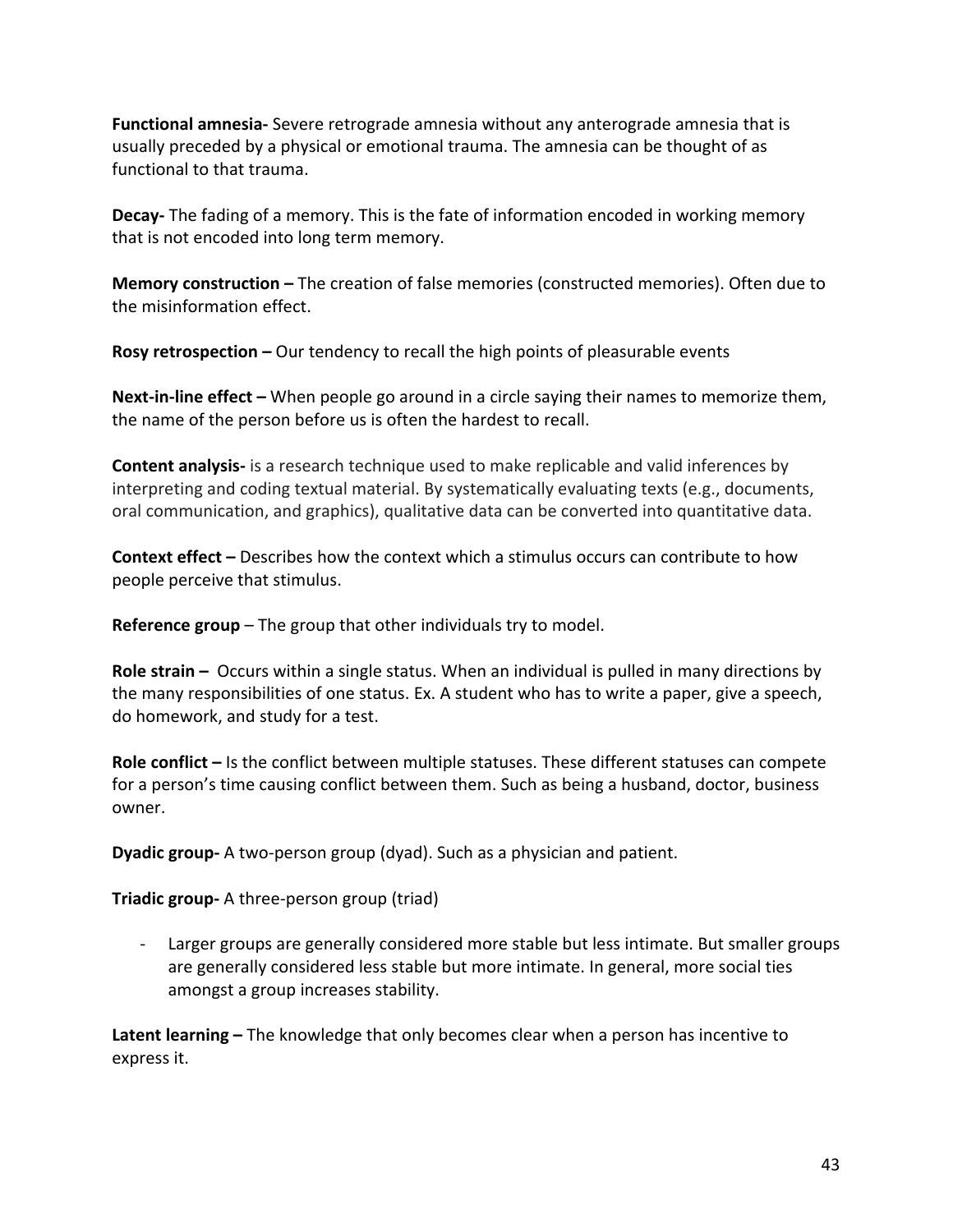**Functional amnesia-** Severe retrograde amnesia without any anterograde amnesia that is usually preceded by a physical or emotional trauma. The amnesia can be thought of as functional to that trauma.

**Decay-** The fading of a memory. This is the fate of information encoded in working memory that is not encoded into long term memory.

**Memory construction -** The creation of false memories (constructed memories). Often due to the misinformation effect.

**Rosy retrospection** – Our tendency to recall the high points of pleasurable events

**Next-in-line effect** – When people go around in a circle saying their names to memorize them, the name of the person before us is often the hardest to recall.

**Content analysis-** is a research technique used to make replicable and valid inferences by interpreting and coding textual material. By systematically evaluating texts (e.g., documents, oral communication, and graphics), qualitative data can be converted into quantitative data.

**Context effect** – Describes how the context which a stimulus occurs can contribute to how people perceive that stimulus.

**Reference group** – The group that other individuals try to model.

**Role strain** – Occurs within a single status. When an individual is pulled in many directions by the many responsibilities of one status. Ex. A student who has to write a paper, give a speech, do homework, and study for a test.

**Role conflict** – Is the conflict between multiple statuses. These different statuses can compete for a person's time causing conflict between them. Such as being a husband, doctor, business owner.

**Dyadic group-** A two-person group (dyad). Such as a physician and patient.

**Triadic group-** A three-person group (triad)

- Larger groups are generally considered more stable but less intimate. But smaller groups are generally considered less stable but more intimate. In general, more social ties amongst a group increases stability.

Latent learning – The knowledge that only becomes clear when a person has incentive to express it.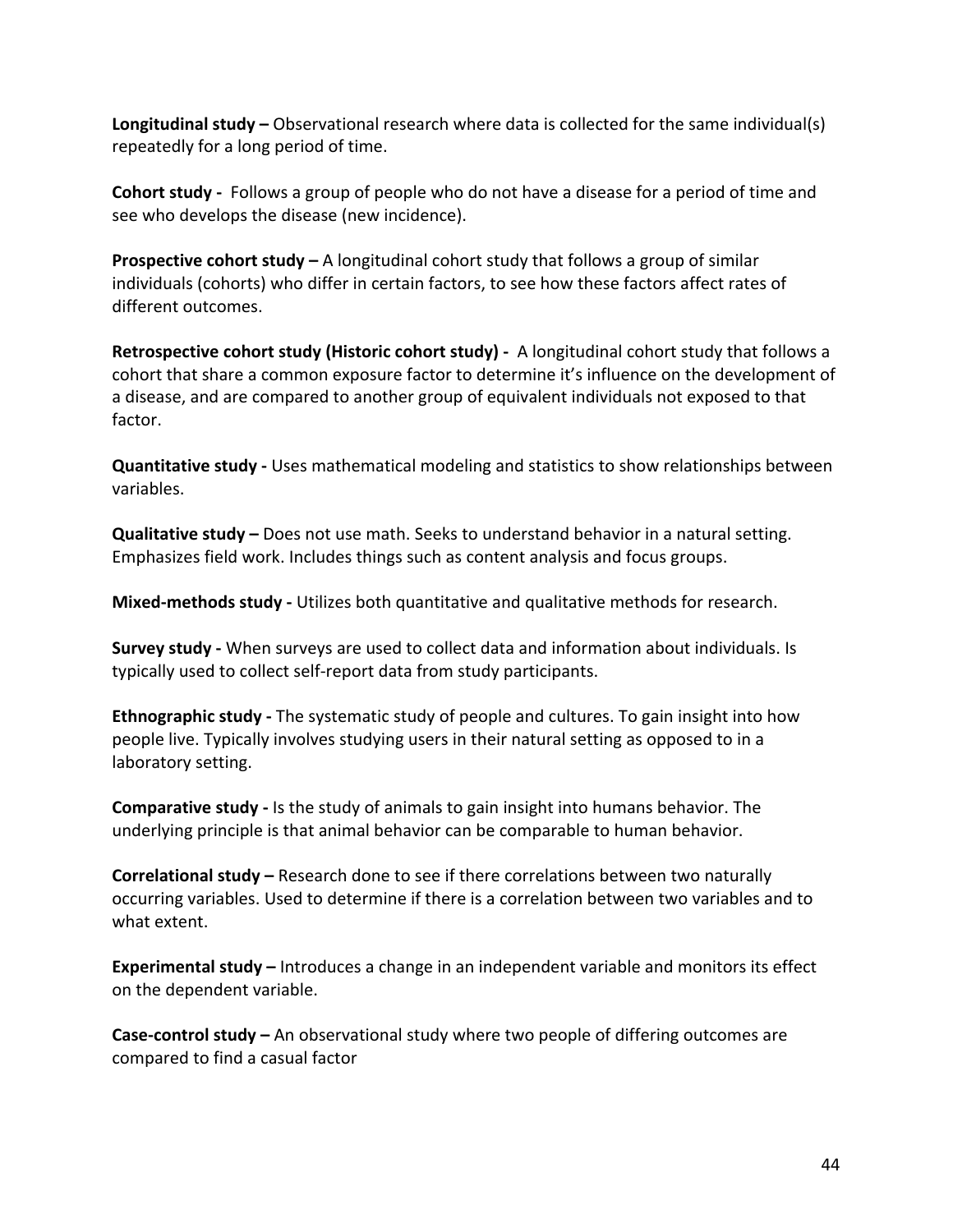**Longitudinal study** – Observational research where data is collected for the same individual(s) repeatedly for a long period of time.

**Cohort study** - Follows a group of people who do not have a disease for a period of time and see who develops the disease (new incidence).

**Prospective cohort study** – A longitudinal cohort study that follows a group of similar individuals (cohorts) who differ in certain factors, to see how these factors affect rates of different outcomes.

**Retrospective cohort study (Historic cohort study) - A longitudinal cohort study that follows a** cohort that share a common exposure factor to determine it's influence on the development of a disease, and are compared to another group of equivalent individuals not exposed to that factor. 

**Quantitative study** - Uses mathematical modeling and statistics to show relationships between variables. 

**Qualitative study** – Does not use math. Seeks to understand behavior in a natural setting. Emphasizes field work. Includes things such as content analysis and focus groups.

**Mixed-methods study** - Utilizes both quantitative and qualitative methods for research.

**Survey study** - When surveys are used to collect data and information about individuals. Is typically used to collect self-report data from study participants.

**Ethnographic study** - The systematic study of people and cultures. To gain insight into how people live. Typically involves studying users in their natural setting as opposed to in a laboratory setting.

**Comparative study** - Is the study of animals to gain insight into humans behavior. The underlying principle is that animal behavior can be comparable to human behavior.

**Correlational study** – Research done to see if there correlations between two naturally occurring variables. Used to determine if there is a correlation between two variables and to what extent.

**Experimental study** – Introduces a change in an independent variable and monitors its effect on the dependent variable.

**Case-control study** – An observational study where two people of differing outcomes are compared to find a casual factor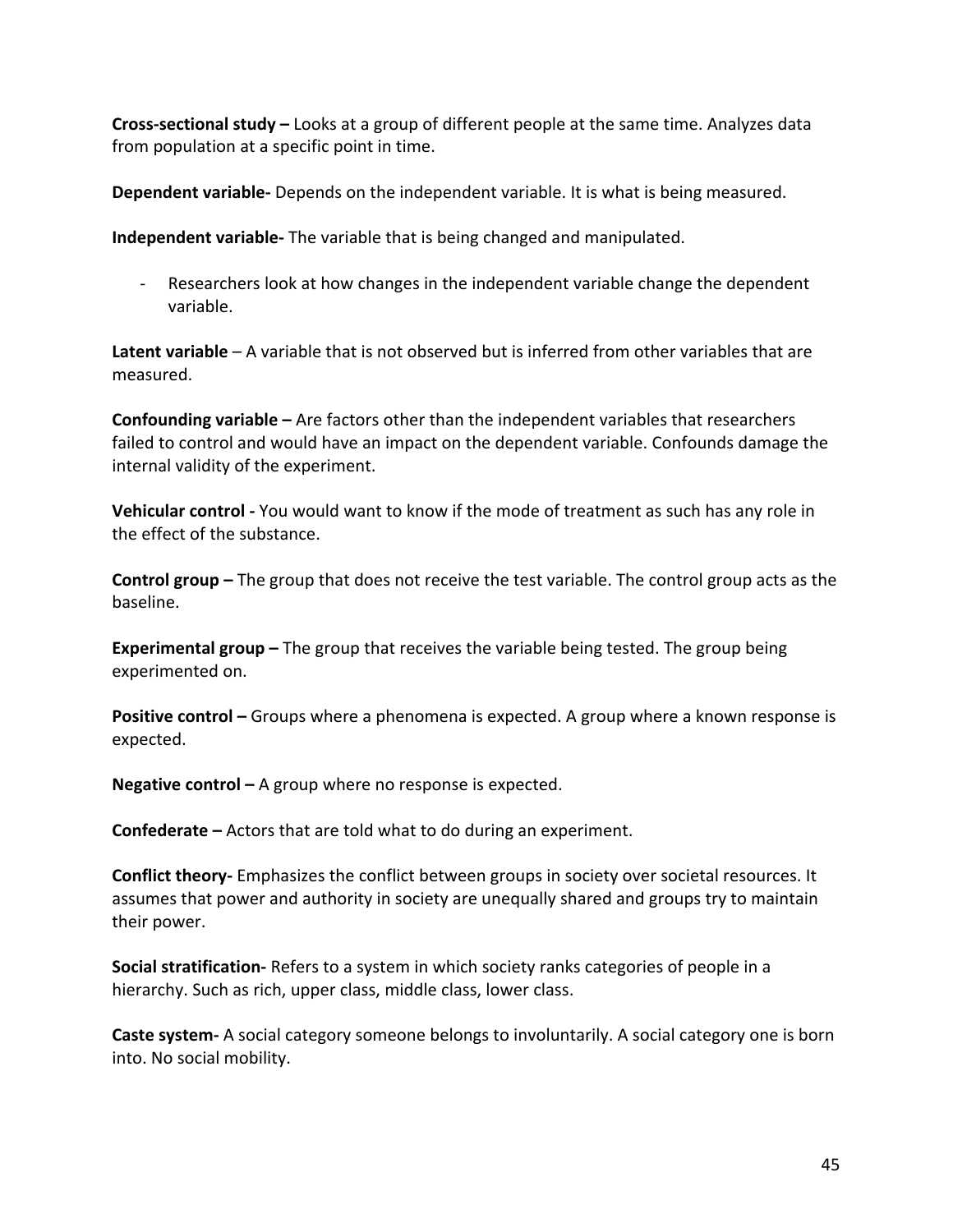**Cross-sectional study** – Looks at a group of different people at the same time. Analyzes data from population at a specific point in time.

**Dependent variable-** Depends on the independent variable. It is what is being measured.

**Independent variable-** The variable that is being changed and manipulated.

- Researchers look at how changes in the independent variable change the dependent variable. 

**Latent variable** – A variable that is not observed but is inferred from other variables that are measured. 

**Confounding variable** – Are factors other than the independent variables that researchers failed to control and would have an impact on the dependent variable. Confounds damage the internal validity of the experiment.

**Vehicular control** - You would want to know if the mode of treatment as such has any role in the effect of the substance.

**Control group** – The group that does not receive the test variable. The control group acts as the baseline. 

**Experimental group –** The group that receives the variable being tested. The group being experimented on.

**Positive control** – Groups where a phenomena is expected. A group where a known response is expected. 

**Negative control** – A group where no response is expected.

**Confederate** – Actors that are told what to do during an experiment.

**Conflict theory-** Emphasizes the conflict between groups in society over societal resources. It assumes that power and authority in society are unequally shared and groups try to maintain their power.

**Social stratification-** Refers to a system in which society ranks categories of people in a hierarchy. Such as rich, upper class, middle class, lower class.

**Caste system-** A social category someone belongs to involuntarily. A social category one is born into. No social mobility.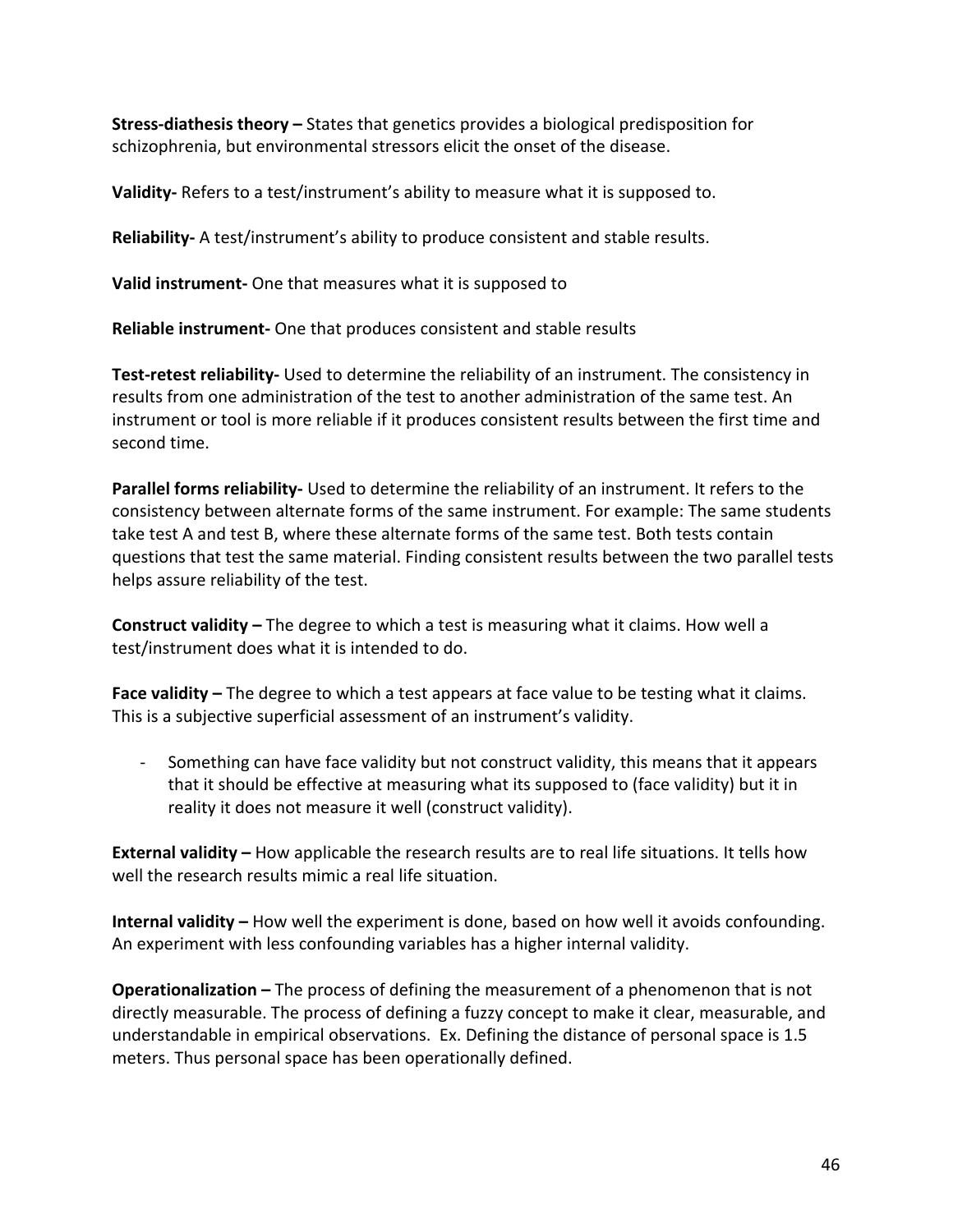**Stress-diathesis theory** – States that genetics provides a biological predisposition for schizophrenia, but environmental stressors elicit the onset of the disease.

**Validity-** Refers to a test/instrument's ability to measure what it is supposed to.

**Reliability-** A test/instrument's ability to produce consistent and stable results.

**Valid instrument-** One that measures what it is supposed to

**Reliable instrument-** One that produces consistent and stable results

**Test-retest reliability-** Used to determine the reliability of an instrument. The consistency in results from one administration of the test to another administration of the same test. An instrument or tool is more reliable if it produces consistent results between the first time and second time.

**Parallel forms reliability-** Used to determine the reliability of an instrument. It refers to the consistency between alternate forms of the same instrument. For example: The same students take test A and test B, where these alternate forms of the same test. Both tests contain questions that test the same material. Finding consistent results between the two parallel tests helps assure reliability of the test.

**Construct validity** – The degree to which a test is measuring what it claims. How well a test/instrument does what it is intended to do.

**Face validity** – The degree to which a test appears at face value to be testing what it claims. This is a subjective superficial assessment of an instrument's validity.

- Something can have face validity but not construct validity, this means that it appears that it should be effective at measuring what its supposed to (face validity) but it in reality it does not measure it well (construct validity).

**External validity** – How applicable the research results are to real life situations. It tells how well the research results mimic a real life situation.

**Internal validity** – How well the experiment is done, based on how well it avoids confounding. An experiment with less confounding variables has a higher internal validity.

**Operationalization** – The process of defining the measurement of a phenomenon that is not directly measurable. The process of defining a fuzzy concept to make it clear, measurable, and understandable in empirical observations. Ex. Defining the distance of personal space is 1.5 meters. Thus personal space has been operationally defined.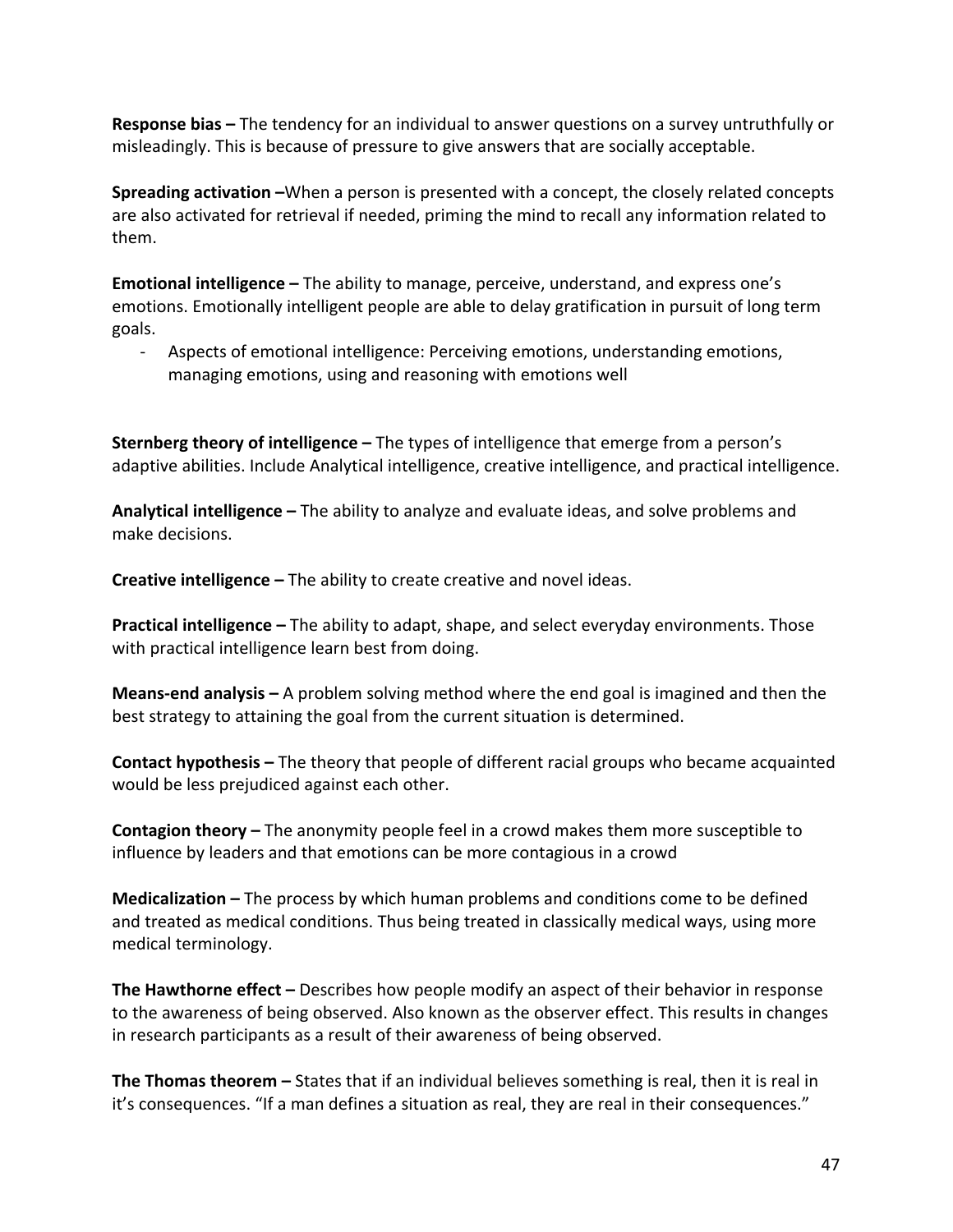**Response bias** – The tendency for an individual to answer questions on a survey untruthfully or misleadingly. This is because of pressure to give answers that are socially acceptable.

**Spreading activation** –When a person is presented with a concept, the closely related concepts are also activated for retrieval if needed, priming the mind to recall any information related to them. 

**Emotional intelligence** – The ability to manage, perceive, understand, and express one's emotions. Emotionally intelligent people are able to delay gratification in pursuit of long term goals. 

- Aspects of emotional intelligence: Perceiving emotions, understanding emotions, managing emotions, using and reasoning with emotions well

**Sternberg theory of intelligence** – The types of intelligence that emerge from a person's adaptive abilities. Include Analytical intelligence, creative intelligence, and practical intelligence.

**Analytical intelligence –** The ability to analyze and evaluate ideas, and solve problems and make decisions.

**Creative intelligence –** The ability to create creative and novel ideas.

**Practical intelligence** – The ability to adapt, shape, and select everyday environments. Those with practical intelligence learn best from doing.

**Means-end analysis** – A problem solving method where the end goal is imagined and then the best strategy to attaining the goal from the current situation is determined.

**Contact hypothesis** – The theory that people of different racial groups who became acquainted would be less prejudiced against each other.

**Contagion theory** – The anonymity people feel in a crowd makes them more susceptible to influence by leaders and that emotions can be more contagious in a crowd

**Medicalization** – The process by which human problems and conditions come to be defined and treated as medical conditions. Thus being treated in classically medical ways, using more medical terminology.

**The Hawthorne effect** – Describes how people modify an aspect of their behavior in response to the awareness of being observed. Also known as the observer effect. This results in changes in research participants as a result of their awareness of being observed.

**The Thomas theorem** – States that if an individual believes something is real, then it is real in it's consequences. "If a man defines a situation as real, they are real in their consequences."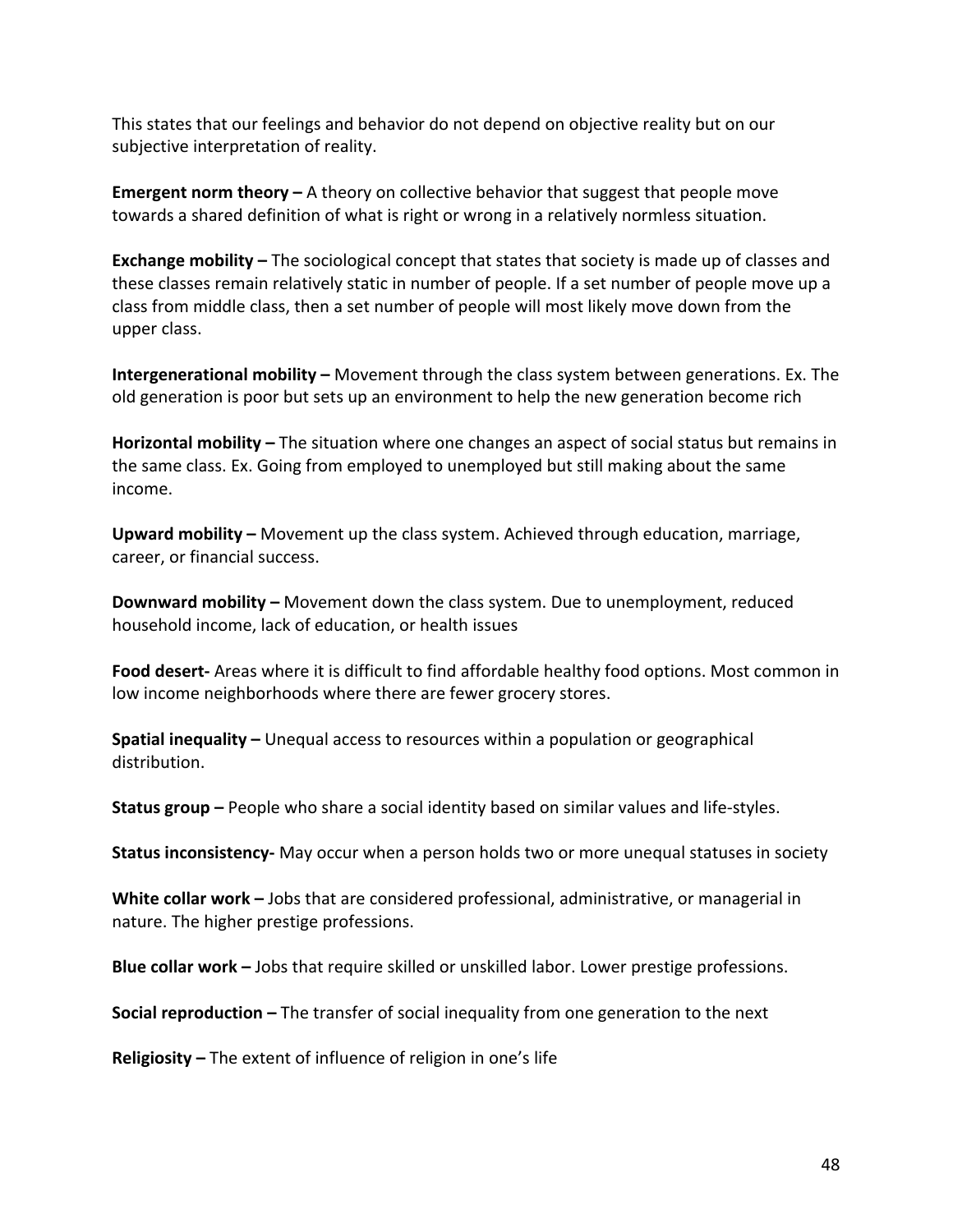This states that our feelings and behavior do not depend on objective reality but on our subjective interpretation of reality.

**Emergent norm theory** – A theory on collective behavior that suggest that people move towards a shared definition of what is right or wrong in a relatively normless situation.

**Exchange mobility** – The sociological concept that states that society is made up of classes and these classes remain relatively static in number of people. If a set number of people move up a class from middle class, then a set number of people will most likely move down from the upper class. 

**Intergenerational mobility** – Movement through the class system between generations. Ex. The old generation is poor but sets up an environment to help the new generation become rich

**Horizontal mobility** – The situation where one changes an aspect of social status but remains in the same class. Ex. Going from employed to unemployed but still making about the same income. 

**Upward mobility** – Movement up the class system. Achieved through education, marriage, career, or financial success.

**Downward mobility** – Movement down the class system. Due to unemployment, reduced household income, lack of education, or health issues

**Food desert-** Areas where it is difficult to find affordable healthy food options. Most common in low income neighborhoods where there are fewer grocery stores.

**Spatial inequality** – Unequal access to resources within a population or geographical distribution. 

**Status group** – People who share a social identity based on similar values and life-styles.

**Status inconsistency-** May occur when a person holds two or more unequal statuses in society

**White collar work** – Jobs that are considered professional, administrative, or managerial in nature. The higher prestige professions.

**Blue collar work** – Jobs that require skilled or unskilled labor. Lower prestige professions.

**Social reproduction** – The transfer of social inequality from one generation to the next

**Religiosity** – The extent of influence of religion in one's life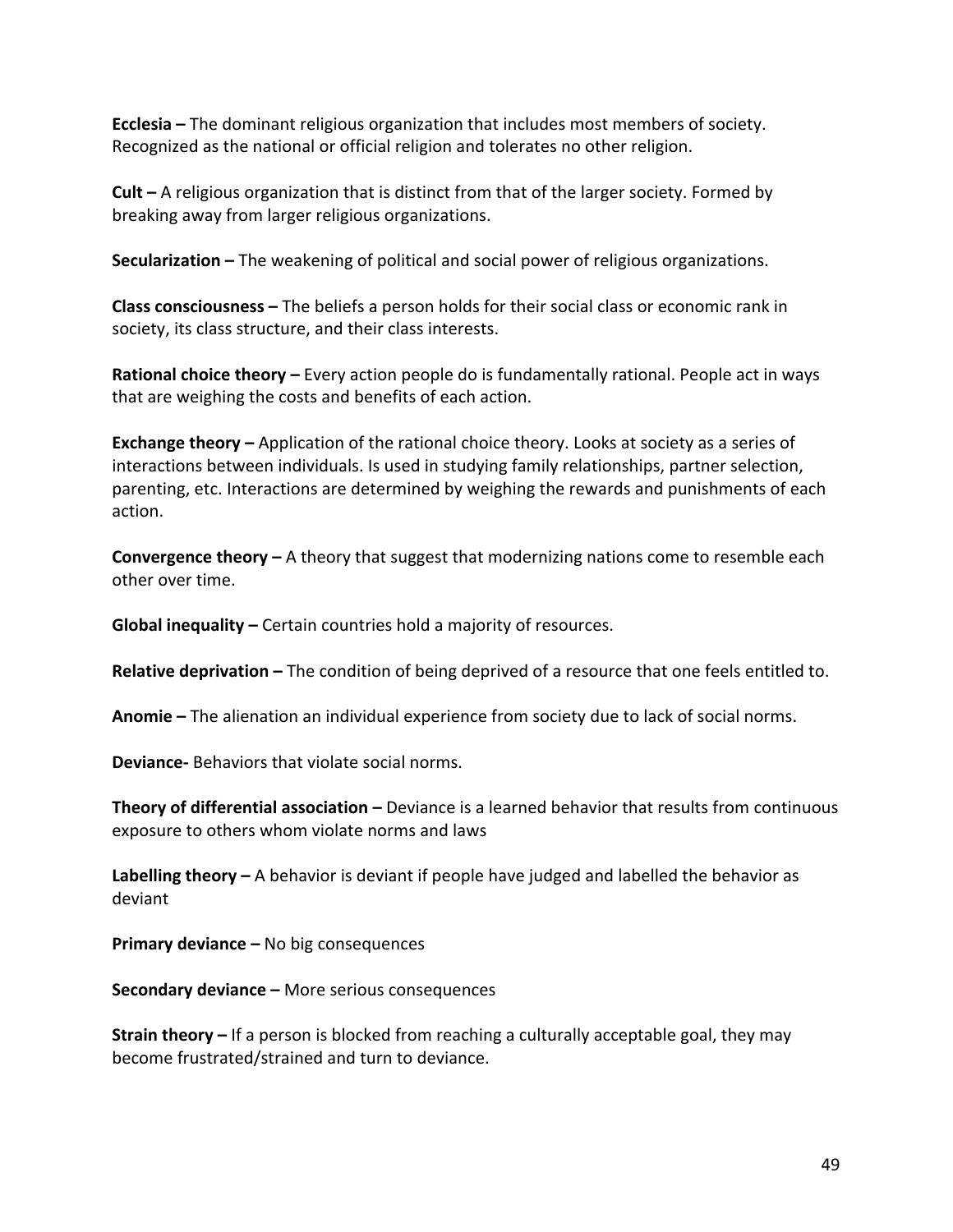**Ecclesia** – The dominant religious organization that includes most members of society. Recognized as the national or official religion and tolerates no other religion.

**Cult** – A religious organization that is distinct from that of the larger society. Formed by breaking away from larger religious organizations.

**Secularization** – The weakening of political and social power of religious organizations.

**Class consciousness** – The beliefs a person holds for their social class or economic rank in society, its class structure, and their class interests.

**Rational choice theory** – Every action people do is fundamentally rational. People act in ways that are weighing the costs and benefits of each action.

**Exchange theory** – Application of the rational choice theory. Looks at society as a series of interactions between individuals. Is used in studying family relationships, partner selection, parenting, etc. Interactions are determined by weighing the rewards and punishments of each action. 

**Convergence theory** – A theory that suggest that modernizing nations come to resemble each other over time.

**Global inequality** – Certain countries hold a majority of resources.

**Relative deprivation** – The condition of being deprived of a resource that one feels entitled to.

**Anomie** – The alienation an individual experience from society due to lack of social norms.

**Deviance-** Behaviors that violate social norms.

**Theory of differential association** – Deviance is a learned behavior that results from continuous exposure to others whom violate norms and laws

**Labelling theory** – A behavior is deviant if people have judged and labelled the behavior as deviant

**Primary deviance –** No big consequences

**Secondary deviance –** More serious consequences

**Strain theory** – If a person is blocked from reaching a culturally acceptable goal, they may become frustrated/strained and turn to deviance.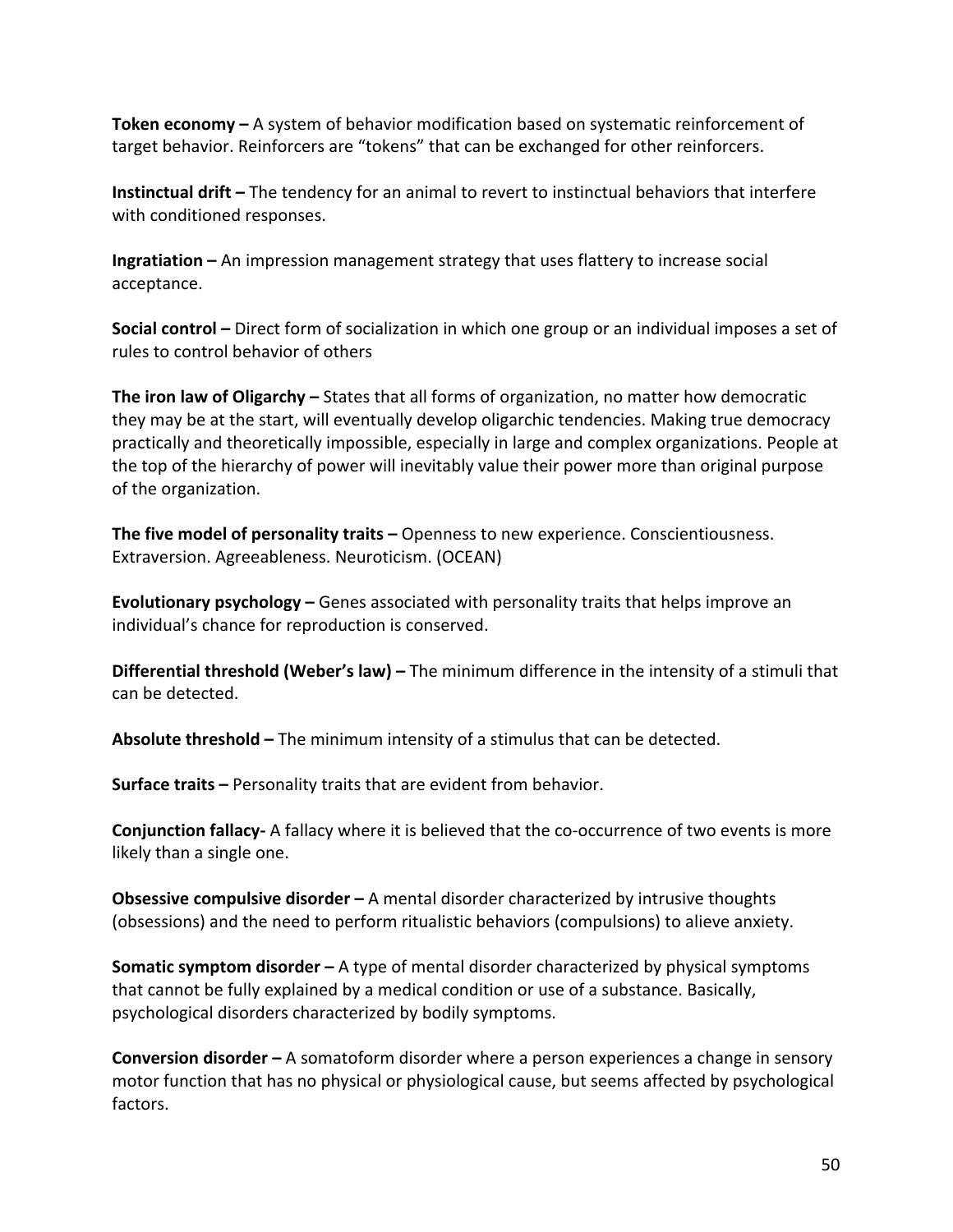**Token economy** – A system of behavior modification based on systematic reinforcement of target behavior. Reinforcers are "tokens" that can be exchanged for other reinforcers.

**Instinctual drift** – The tendency for an animal to revert to instinctual behaviors that interfere with conditioned responses.

**Ingratiation** – An impression management strategy that uses flattery to increase social acceptance.

**Social control** – Direct form of socialization in which one group or an individual imposes a set of rules to control behavior of others

**The iron law of Oligarchy** – States that all forms of organization, no matter how democratic they may be at the start, will eventually develop oligarchic tendencies. Making true democracy practically and theoretically impossible, especially in large and complex organizations. People at the top of the hierarchy of power will inevitably value their power more than original purpose of the organization.

**The five model of personality traits –** Openness to new experience. Conscientiousness. Extraversion. Agreeableness. Neuroticism. (OCEAN)

**Evolutionary psychology** – Genes associated with personality traits that helps improve an individual's chance for reproduction is conserved.

**Differential threshold (Weber's law)** – The minimum difference in the intensity of a stimuli that can be detected.

**Absolute threshold** – The minimum intensity of a stimulus that can be detected.

**Surface traits –** Personality traits that are evident from behavior.

**Conjunction fallacy-** A fallacy where it is believed that the co-occurrence of two events is more likely than a single one.

**Obsessive compulsive disorder** – A mental disorder characterized by intrusive thoughts (obsessions) and the need to perform ritualistic behaviors (compulsions) to alieve anxiety.

**Somatic symptom disorder** – A type of mental disorder characterized by physical symptoms that cannot be fully explained by a medical condition or use of a substance. Basically, psychological disorders characterized by bodily symptoms.

**Conversion disorder** – A somatoform disorder where a person experiences a change in sensory motor function that has no physical or physiological cause, but seems affected by psychological factors.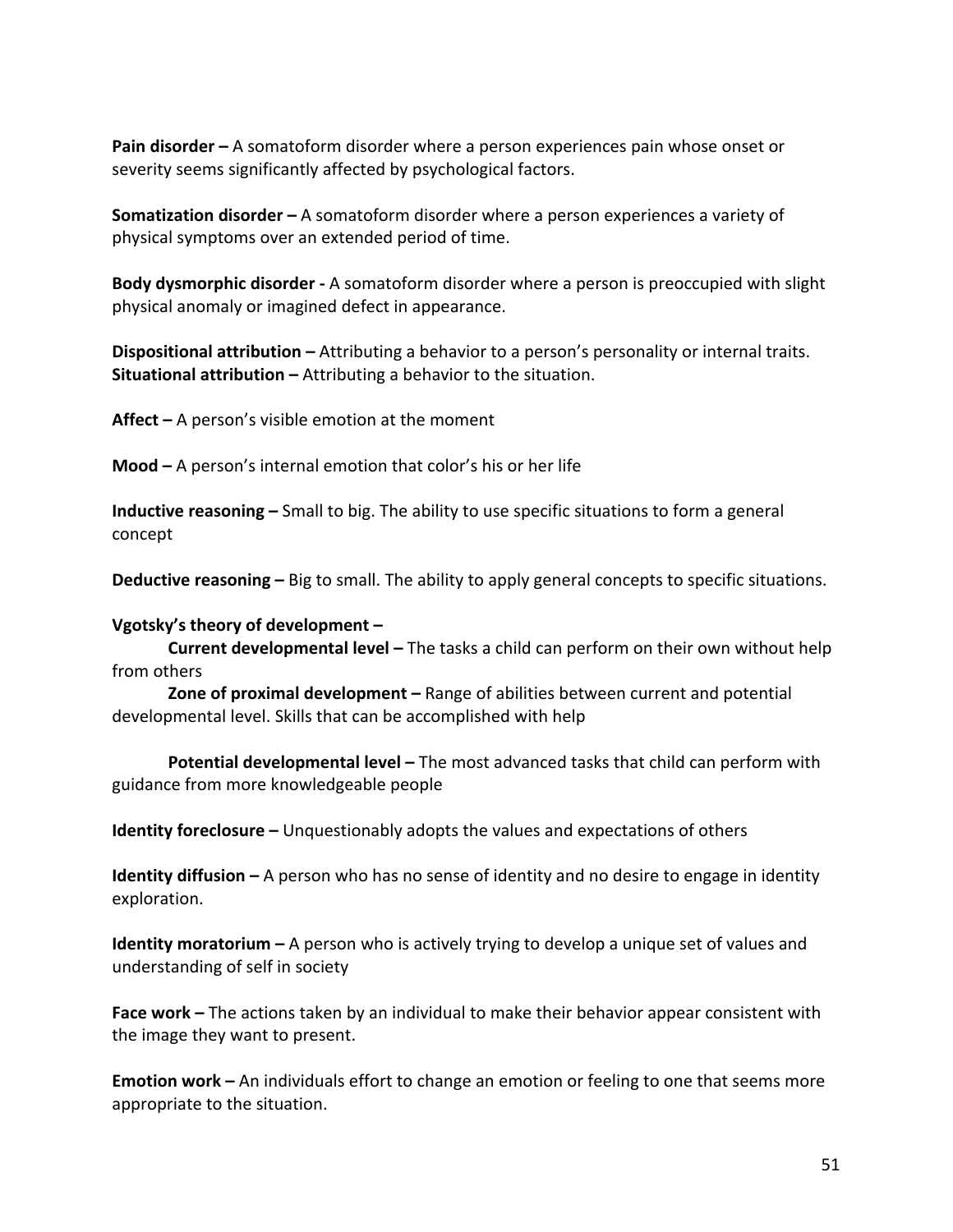**Pain disorder** – A somatoform disorder where a person experiences pain whose onset or severity seems significantly affected by psychological factors.

**Somatization disorder** – A somatoform disorder where a person experiences a variety of physical symptoms over an extended period of time.

**Body dysmorphic disorder** - A somatoform disorder where a person is preoccupied with slight physical anomaly or imagined defect in appearance.

**Dispositional attribution** – Attributing a behavior to a person's personality or internal traits. **Situational attribution** – Attributing a behavior to the situation.

**Affect –** A person's visible emotion at the moment

**Mood** – A person's internal emotion that color's his or her life

**Inductive reasoning** – Small to big. The ability to use specific situations to form a general concept

**Deductive reasoning** – Big to small. The ability to apply general concepts to specific situations.

#### Vgotsky's theory of development -

**Current developmental level** – The tasks a child can perform on their own without help from others

**Zone of proximal development** – Range of abilities between current and potential developmental level. Skills that can be accomplished with help

**Potential developmental level -** The most advanced tasks that child can perform with guidance from more knowledgeable people

**Identity foreclosure** – Unquestionably adopts the values and expectations of others

**Identity diffusion** – A person who has no sense of identity and no desire to engage in identity exploration. 

**Identity moratorium** – A person who is actively trying to develop a unique set of values and understanding of self in society

**Face work** – The actions taken by an individual to make their behavior appear consistent with the image they want to present.

**Emotion work** – An individuals effort to change an emotion or feeling to one that seems more appropriate to the situation.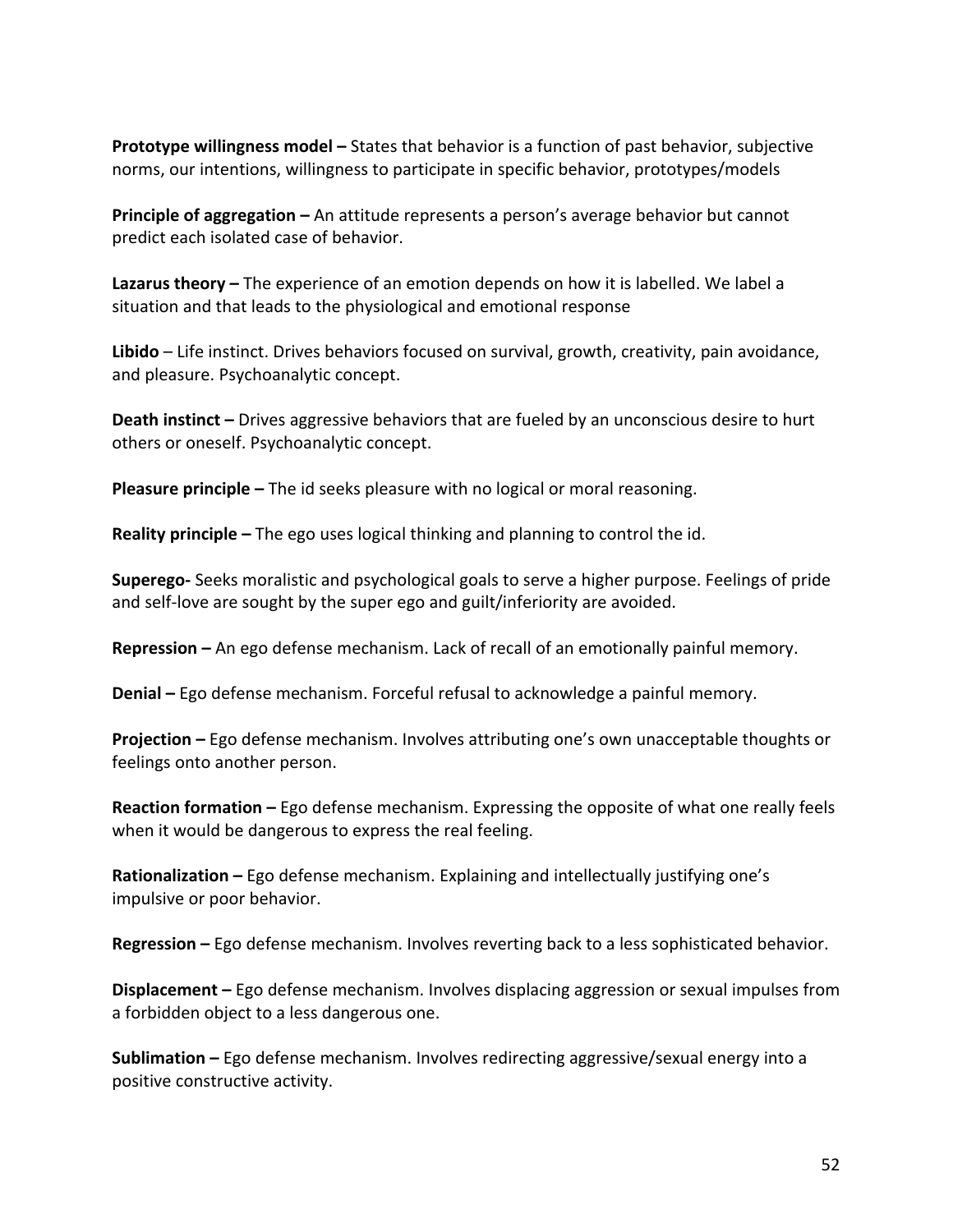**Prototype willingness model –** States that behavior is a function of past behavior, subjective norms, our intentions, willingness to participate in specific behavior, prototypes/models

**Principle of aggregation –** An attitude represents a person's average behavior but cannot predict each isolated case of behavior.

**Lazarus theory** – The experience of an emotion depends on how it is labelled. We label a situation and that leads to the physiological and emotional response

Libido - Life instinct. Drives behaviors focused on survival, growth, creativity, pain avoidance, and pleasure. Psychoanalytic concept.

**Death instinct** – Drives aggressive behaviors that are fueled by an unconscious desire to hurt others or oneself. Psychoanalytic concept.

**Pleasure principle** – The id seeks pleasure with no logical or moral reasoning.

**Reality principle** – The ego uses logical thinking and planning to control the id.

**Superego-** Seeks moralistic and psychological goals to serve a higher purpose. Feelings of pride and self-love are sought by the super ego and guilt/inferiority are avoided.

**Repression** – An ego defense mechanism. Lack of recall of an emotionally painful memory.

**Denial** – Ego defense mechanism. Forceful refusal to acknowledge a painful memory.

**Projection** – Ego defense mechanism. Involves attributing one's own unacceptable thoughts or feelings onto another person.

**Reaction formation** – Ego defense mechanism. Expressing the opposite of what one really feels when it would be dangerous to express the real feeling.

**Rationalization** – Ego defense mechanism. Explaining and intellectually justifying one's impulsive or poor behavior.

**Regression** – Ego defense mechanism. Involves reverting back to a less sophisticated behavior.

**Displacement** – Ego defense mechanism. Involves displacing aggression or sexual impulses from a forbidden object to a less dangerous one.

**Sublimation** – Ego defense mechanism. Involves redirecting aggressive/sexual energy into a positive constructive activity.